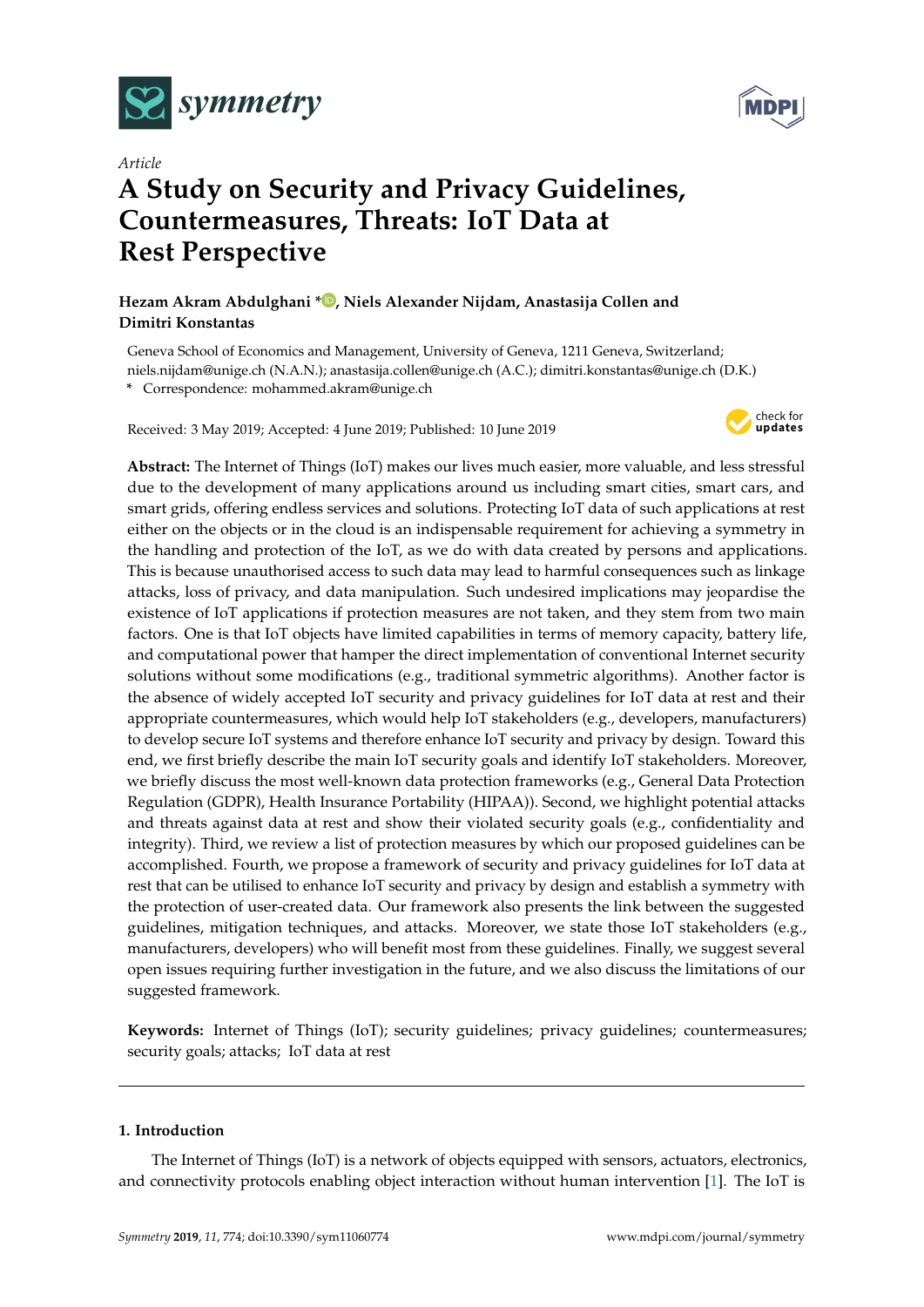

*Article*

# **A Study on Security and Privacy Guidelines, Countermeasures, Threats: IoT Data at Rest Perspective**

**Hezam Akram Abdulghani [\\*](https://orcid.org/0000-0003-0874-2642) , Niels Alexander Nijdam, Anastasija Collen and Dimitri Konstantas**

Geneva School of Economics and Management, University of Geneva, 1211 Geneva, Switzerland; niels.nijdam@unige.ch (N.A.N.); anastasija.collen@unige.ch (A.C.); dimitri.konstantas@unige.ch (D.K.)

**\*** Correspondence: mohammed.akram@unige.ch

Received: 3 May 2019; Accepted: 4 June 2019; Published: 10 June 2019



**Abstract:** The Internet of Things (IoT) makes our lives much easier, more valuable, and less stressful due to the development of many applications around us including smart cities, smart cars, and smart grids, offering endless services and solutions. Protecting IoT data of such applications at rest either on the objects or in the cloud is an indispensable requirement for achieving a symmetry in the handling and protection of the IoT, as we do with data created by persons and applications. This is because unauthorised access to such data may lead to harmful consequences such as linkage attacks, loss of privacy, and data manipulation. Such undesired implications may jeopardise the existence of IoT applications if protection measures are not taken, and they stem from two main factors. One is that IoT objects have limited capabilities in terms of memory capacity, battery life, and computational power that hamper the direct implementation of conventional Internet security solutions without some modifications (e.g., traditional symmetric algorithms). Another factor is the absence of widely accepted IoT security and privacy guidelines for IoT data at rest and their appropriate countermeasures, which would help IoT stakeholders (e.g., developers, manufacturers) to develop secure IoT systems and therefore enhance IoT security and privacy by design. Toward this end, we first briefly describe the main IoT security goals and identify IoT stakeholders. Moreover, we briefly discuss the most well-known data protection frameworks (e.g., General Data Protection Regulation (GDPR), Health Insurance Portability (HIPAA)). Second, we highlight potential attacks and threats against data at rest and show their violated security goals (e.g., confidentiality and integrity). Third, we review a list of protection measures by which our proposed guidelines can be accomplished. Fourth, we propose a framework of security and privacy guidelines for IoT data at rest that can be utilised to enhance IoT security and privacy by design and establish a symmetry with the protection of user-created data. Our framework also presents the link between the suggested guidelines, mitigation techniques, and attacks. Moreover, we state those IoT stakeholders (e.g., manufacturers, developers) who will benefit most from these guidelines. Finally, we suggest several open issues requiring further investigation in the future, and we also discuss the limitations of our suggested framework.

**Keywords:** Internet of Things (IoT); security guidelines; privacy guidelines; countermeasures; security goals; attacks; IoT data at rest

# **1. Introduction**

The Internet of Things (IoT) is a network of objects equipped with sensors, actuators, electronics, and connectivity protocols enabling object interaction without human intervention [\[1\]](#page-28-0). The IoT is

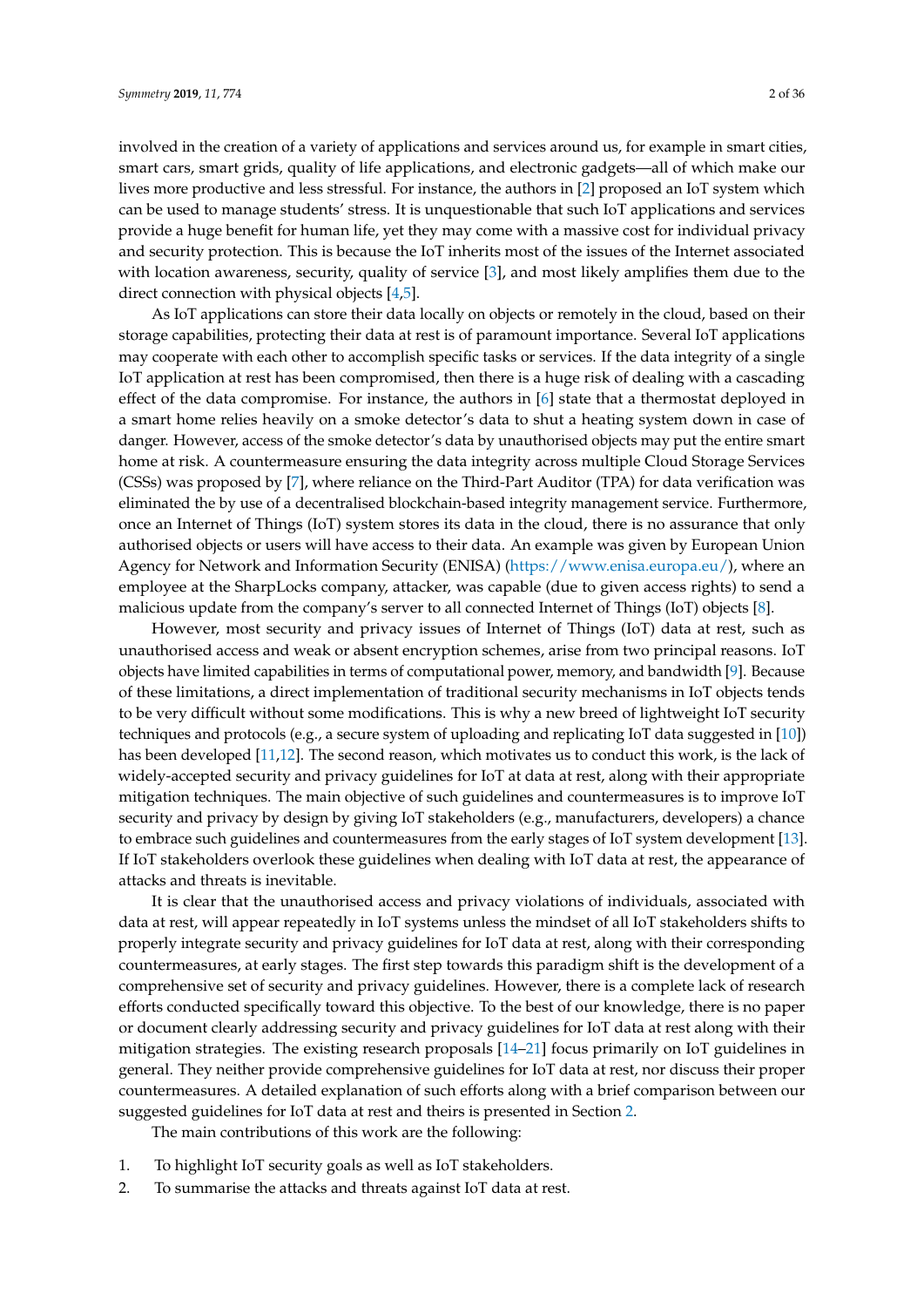involved in the creation of a variety of applications and services around us, for example in smart cities, smart cars, smart grids, quality of life applications, and electronic gadgets—all of which make our lives more productive and less stressful. For instance, the authors in [\[2\]](#page-28-1) proposed an IoT system which can be used to manage students' stress. It is unquestionable that such IoT applications and services provide a huge benefit for human life, yet they may come with a massive cost for individual privacy and security protection. This is because the IoT inherits most of the issues of the Internet associated with location awareness, security, quality of service [\[3\]](#page-28-2), and most likely amplifies them due to the direct connection with physical objects [\[4](#page-28-3)[,5\]](#page-28-4).

As IoT applications can store their data locally on objects or remotely in the cloud, based on their storage capabilities, protecting their data at rest is of paramount importance. Several IoT applications may cooperate with each other to accomplish specific tasks or services. If the data integrity of a single IoT application at rest has been compromised, then there is a huge risk of dealing with a cascading effect of the data compromise. For instance, the authors in [\[6\]](#page-28-5) state that a thermostat deployed in a smart home relies heavily on a smoke detector's data to shut a heating system down in case of danger. However, access of the smoke detector's data by unauthorised objects may put the entire smart home at risk. A countermeasure ensuring the data integrity across multiple Cloud Storage Services (CSSs) was proposed by [\[7\]](#page-29-0), where reliance on the Third-Part Auditor (TPA) for data verification was eliminated the by use of a decentralised blockchain-based integrity management service. Furthermore, once an Internet of Things (IoT) system stores its data in the cloud, there is no assurance that only authorised objects or users will have access to their data. An example was given by European Union Agency for Network and Information Security (ENISA) [\(https://www.enisa.europa.eu/\)](https://www.enisa.europa.eu/), where an employee at the SharpLocks company, attacker, was capable (due to given access rights) to send a malicious update from the company's server to all connected Internet of Things (IoT) objects [\[8\]](#page-29-1).

However, most security and privacy issues of Internet of Things (IoT) data at rest, such as unauthorised access and weak or absent encryption schemes, arise from two principal reasons. IoT objects have limited capabilities in terms of computational power, memory, and bandwidth [\[9\]](#page-29-2). Because of these limitations, a direct implementation of traditional security mechanisms in IoT objects tends to be very difficult without some modifications. This is why a new breed of lightweight IoT security techniques and protocols (e.g., a secure system of uploading and replicating IoT data suggested in [\[10\]](#page-29-3)) has been developed [\[11](#page-29-4)[,12\]](#page-29-5). The second reason, which motivates us to conduct this work, is the lack of widely-accepted security and privacy guidelines for IoT at data at rest, along with their appropriate mitigation techniques. The main objective of such guidelines and countermeasures is to improve IoT security and privacy by design by giving IoT stakeholders (e.g., manufacturers, developers) a chance to embrace such guidelines and countermeasures from the early stages of IoT system development [\[13\]](#page-29-6). If IoT stakeholders overlook these guidelines when dealing with IoT data at rest, the appearance of attacks and threats is inevitable.

It is clear that the unauthorised access and privacy violations of individuals, associated with data at rest, will appear repeatedly in IoT systems unless the mindset of all IoT stakeholders shifts to properly integrate security and privacy guidelines for IoT data at rest, along with their corresponding countermeasures, at early stages. The first step towards this paradigm shift is the development of a comprehensive set of security and privacy guidelines. However, there is a complete lack of research efforts conducted specifically toward this objective. To the best of our knowledge, there is no paper or document clearly addressing security and privacy guidelines for IoT data at rest along with their mitigation strategies. The existing research proposals [\[14–](#page-29-7)[21\]](#page-29-8) focus primarily on IoT guidelines in general. They neither provide comprehensive guidelines for IoT data at rest, nor discuss their proper countermeasures. A detailed explanation of such efforts along with a brief comparison between our suggested guidelines for IoT data at rest and theirs is presented in Section [2.](#page-2-0)

The main contributions of this work are the following:

- 1. To highlight IoT security goals as well as IoT stakeholders.
- 2. To summarise the attacks and threats against IoT data at rest.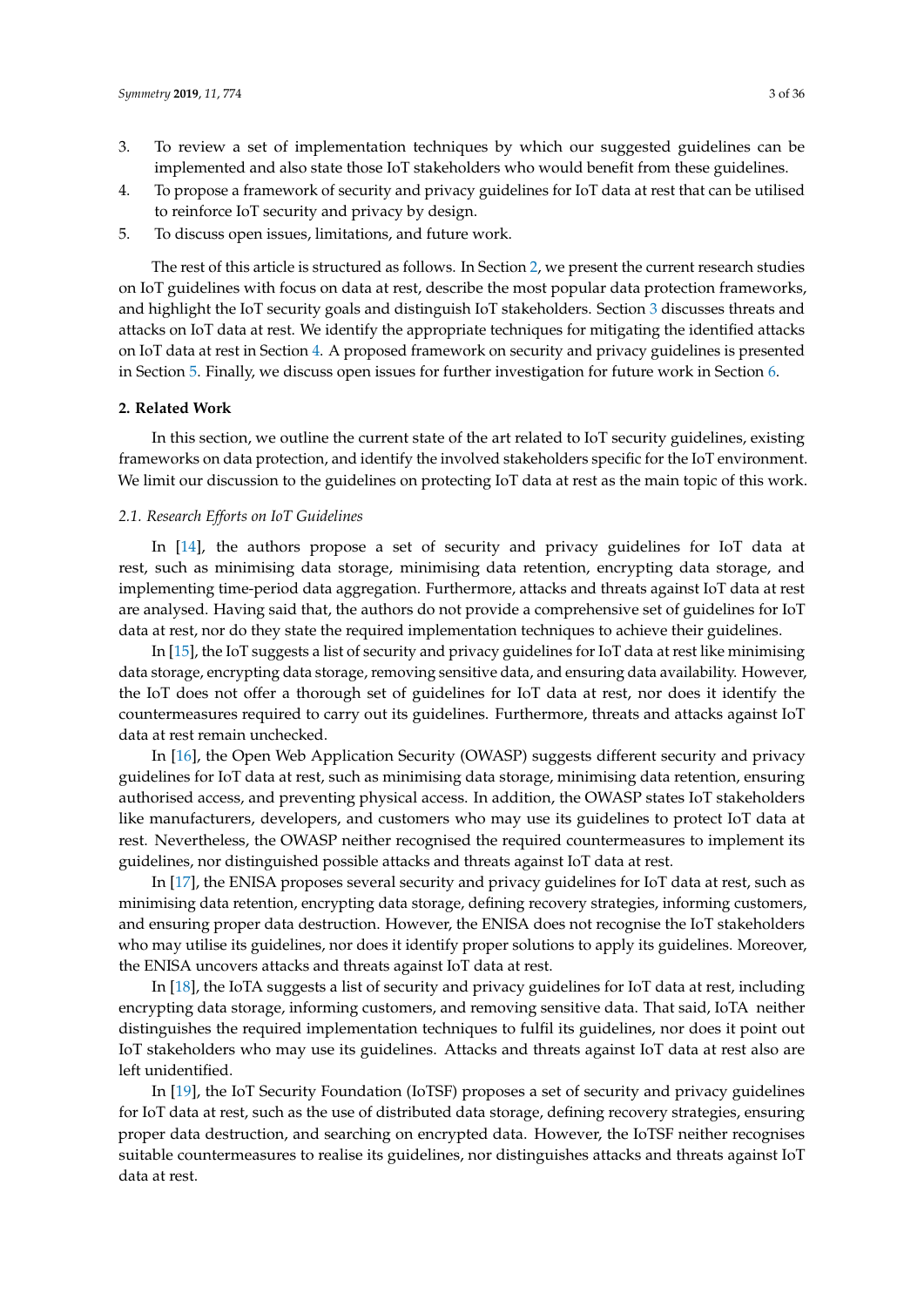- 3. To review a set of implementation techniques by which our suggested guidelines can be implemented and also state those IoT stakeholders who would benefit from these guidelines.
- 4. To propose a framework of security and privacy guidelines for IoT data at rest that can be utilised to reinforce IoT security and privacy by design.
- 5. To discuss open issues, limitations, and future work.

The rest of this article is structured as follows. In Section [2,](#page-2-0) we present the current research studies on IoT guidelines with focus on data at rest, describe the most popular data protection frameworks, and highlight the IoT security goals and distinguish IoT stakeholders. Section [3](#page-5-0) discusses threats and attacks on IoT data at rest. We identify the appropriate techniques for mitigating the identified attacks on IoT data at rest in Section [4.](#page-8-0) A proposed framework on security and privacy guidelines is presented in Section [5.](#page-16-0) Finally, we discuss open issues for further investigation for future work in Section [6.](#page-25-0)

# <span id="page-2-0"></span>**2. Related Work**

In this section, we outline the current state of the art related to IoT security guidelines, existing frameworks on data protection, and identify the involved stakeholders specific for the IoT environment. We limit our discussion to the guidelines on protecting IoT data at rest as the main topic of this work.

# *2.1. Research Efforts on IoT Guidelines*

In [\[14\]](#page-29-7), the authors propose a set of security and privacy guidelines for IoT data at rest, such as minimising data storage, minimising data retention, encrypting data storage, and implementing time-period data aggregation. Furthermore, attacks and threats against IoT data at rest are analysed. Having said that, the authors do not provide a comprehensive set of guidelines for IoT data at rest, nor do they state the required implementation techniques to achieve their guidelines.

In [\[15\]](#page-29-9), the IoT suggests a list of security and privacy guidelines for IoT data at rest like minimising data storage, encrypting data storage, removing sensitive data, and ensuring data availability. However, the IoT does not offer a thorough set of guidelines for IoT data at rest, nor does it identify the countermeasures required to carry out its guidelines. Furthermore, threats and attacks against IoT data at rest remain unchecked.

In [\[16\]](#page-29-10), the Open Web Application Security (OWASP) suggests different security and privacy guidelines for IoT data at rest, such as minimising data storage, minimising data retention, ensuring authorised access, and preventing physical access. In addition, the OWASP states IoT stakeholders like manufacturers, developers, and customers who may use its guidelines to protect IoT data at rest. Nevertheless, the OWASP neither recognised the required countermeasures to implement its guidelines, nor distinguished possible attacks and threats against IoT data at rest.

In [\[17\]](#page-29-11), the ENISA proposes several security and privacy guidelines for IoT data at rest, such as minimising data retention, encrypting data storage, defining recovery strategies, informing customers, and ensuring proper data destruction. However, the ENISA does not recognise the IoT stakeholders who may utilise its guidelines, nor does it identify proper solutions to apply its guidelines. Moreover, the ENISA uncovers attacks and threats against IoT data at rest.

In [\[18\]](#page-29-12), the IoTA suggests a list of security and privacy guidelines for IoT data at rest, including encrypting data storage, informing customers, and removing sensitive data. That said, IoTA neither distinguishes the required implementation techniques to fulfil its guidelines, nor does it point out IoT stakeholders who may use its guidelines. Attacks and threats against IoT data at rest also are left unidentified.

In [\[19\]](#page-29-13), the IoT Security Foundation (IoTSF) proposes a set of security and privacy guidelines for IoT data at rest, such as the use of distributed data storage, defining recovery strategies, ensuring proper data destruction, and searching on encrypted data. However, the IoTSF neither recognises suitable countermeasures to realise its guidelines, nor distinguishes attacks and threats against IoT data at rest.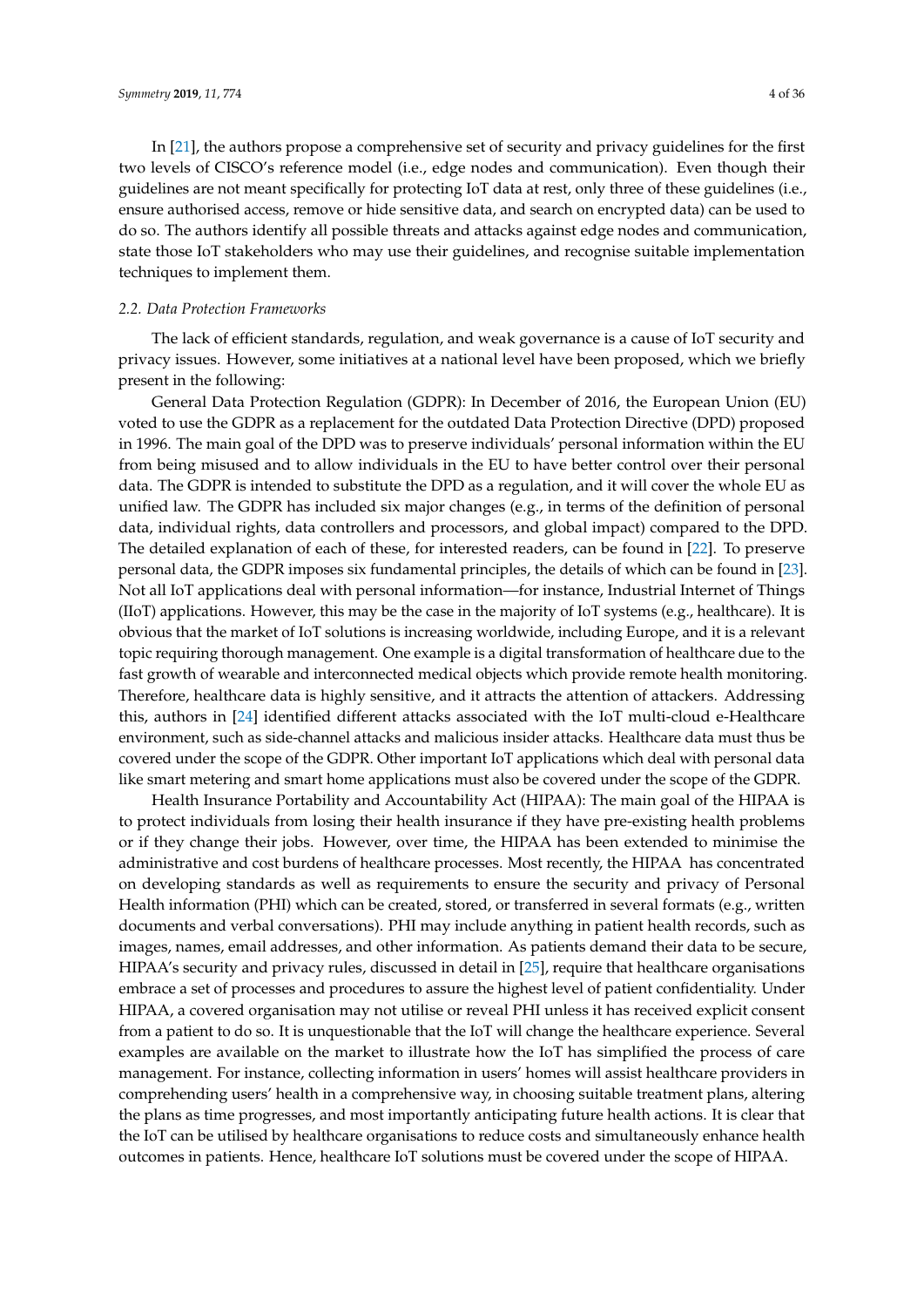In [\[21\]](#page-29-8), the authors propose a comprehensive set of security and privacy guidelines for the first two levels of CISCO's reference model (i.e., edge nodes and communication). Even though their guidelines are not meant specifically for protecting IoT data at rest, only three of these guidelines (i.e., ensure authorised access, remove or hide sensitive data, and search on encrypted data) can be used to do so. The authors identify all possible threats and attacks against edge nodes and communication, state those IoT stakeholders who may use their guidelines, and recognise suitable implementation techniques to implement them.

#### *2.2. Data Protection Frameworks*

The lack of efficient standards, regulation, and weak governance is a cause of IoT security and privacy issues. However, some initiatives at a national level have been proposed, which we briefly present in the following:

General Data Protection Regulation (GDPR): In December of 2016, the European Union (EU) voted to use the GDPR as a replacement for the outdated Data Protection Directive (DPD) proposed in 1996. The main goal of the DPD was to preserve individuals' personal information within the EU from being misused and to allow individuals in the EU to have better control over their personal data. The GDPR is intended to substitute the DPD as a regulation, and it will cover the whole EU as unified law. The GDPR has included six major changes (e.g., in terms of the definition of personal data, individual rights, data controllers and processors, and global impact) compared to the DPD. The detailed explanation of each of these, for interested readers, can be found in [\[22\]](#page-29-14). To preserve personal data, the GDPR imposes six fundamental principles, the details of which can be found in [\[23\]](#page-29-15). Not all IoT applications deal with personal information—for instance, Industrial Internet of Things (IIoT) applications. However, this may be the case in the majority of IoT systems (e.g., healthcare). It is obvious that the market of IoT solutions is increasing worldwide, including Europe, and it is a relevant topic requiring thorough management. One example is a digital transformation of healthcare due to the fast growth of wearable and interconnected medical objects which provide remote health monitoring. Therefore, healthcare data is highly sensitive, and it attracts the attention of attackers. Addressing this, authors in [\[24\]](#page-29-16) identified different attacks associated with the IoT multi-cloud e-Healthcare environment, such as side-channel attacks and malicious insider attacks. Healthcare data must thus be covered under the scope of the GDPR. Other important IoT applications which deal with personal data like smart metering and smart home applications must also be covered under the scope of the GDPR.

Health Insurance Portability and Accountability Act (HIPAA): The main goal of the HIPAA is to protect individuals from losing their health insurance if they have pre-existing health problems or if they change their jobs. However, over time, the HIPAA has been extended to minimise the administrative and cost burdens of healthcare processes. Most recently, the HIPAA has concentrated on developing standards as well as requirements to ensure the security and privacy of Personal Health information (PHI) which can be created, stored, or transferred in several formats (e.g., written documents and verbal conversations). PHI may include anything in patient health records, such as images, names, email addresses, and other information. As patients demand their data to be secure, HIPAA's security and privacy rules, discussed in detail in [\[25\]](#page-29-17), require that healthcare organisations embrace a set of processes and procedures to assure the highest level of patient confidentiality. Under HIPAA, a covered organisation may not utilise or reveal PHI unless it has received explicit consent from a patient to do so. It is unquestionable that the IoT will change the healthcare experience. Several examples are available on the market to illustrate how the IoT has simplified the process of care management. For instance, collecting information in users' homes will assist healthcare providers in comprehending users' health in a comprehensive way, in choosing suitable treatment plans, altering the plans as time progresses, and most importantly anticipating future health actions. It is clear that the IoT can be utilised by healthcare organisations to reduce costs and simultaneously enhance health outcomes in patients. Hence, healthcare IoT solutions must be covered under the scope of HIPAA.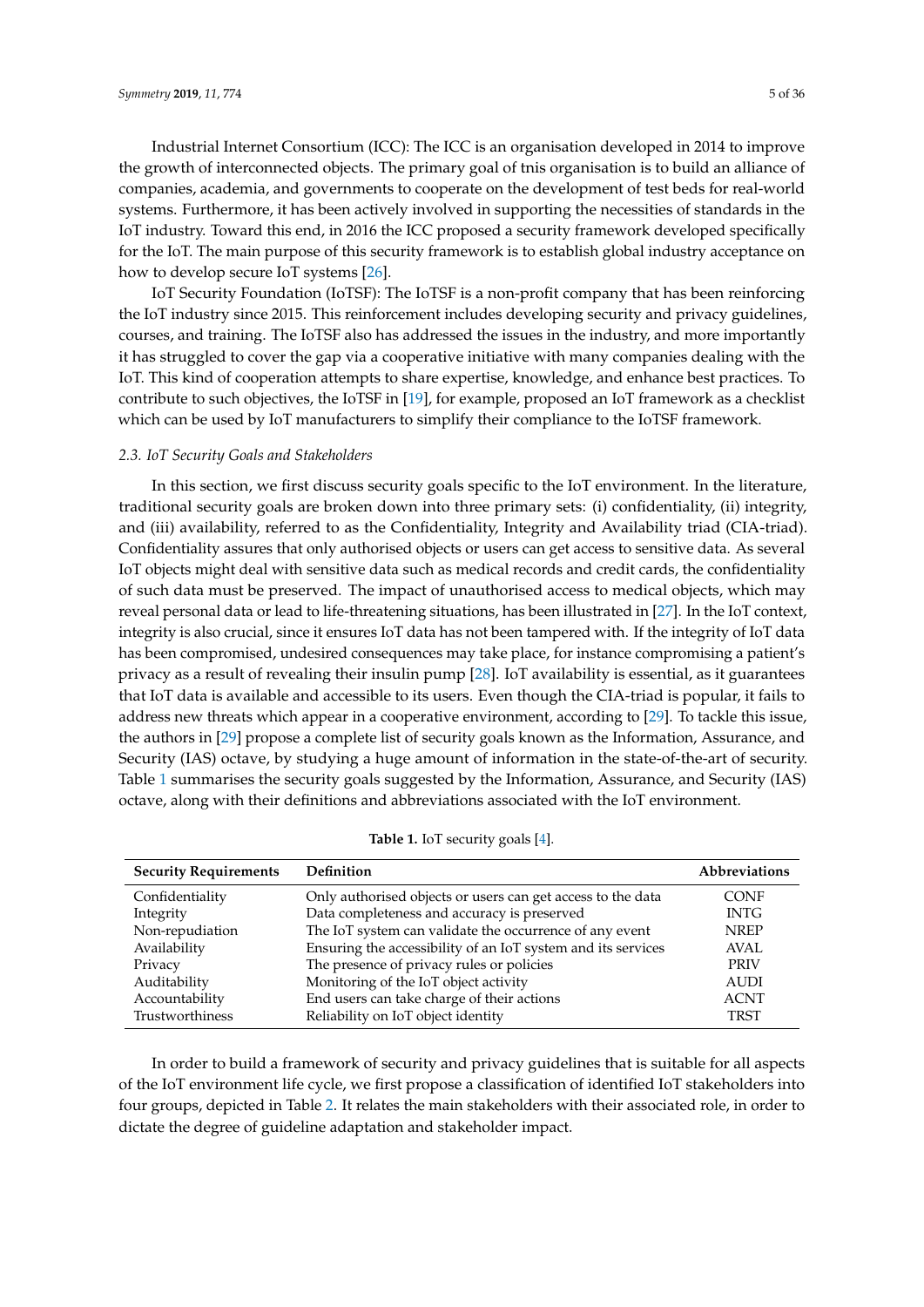Industrial Internet Consortium (ICC): The ICC is an organisation developed in 2014 to improve the growth of interconnected objects. The primary goal of tnis organisation is to build an alliance of companies, academia, and governments to cooperate on the development of test beds for real-world systems. Furthermore, it has been actively involved in supporting the necessities of standards in the IoT industry. Toward this end, in 2016 the ICC proposed a security framework developed specifically for the IoT. The main purpose of this security framework is to establish global industry acceptance on how to develop secure IoT systems [\[26\]](#page-29-18).

IoT Security Foundation (IoTSF): The IoTSF is a non-profit company that has been reinforcing the IoT industry since 2015. This reinforcement includes developing security and privacy guidelines, courses, and training. The IoTSF also has addressed the issues in the industry, and more importantly it has struggled to cover the gap via a cooperative initiative with many companies dealing with the IoT. This kind of cooperation attempts to share expertise, knowledge, and enhance best practices. To contribute to such objectives, the IoTSF in [\[19\]](#page-29-13), for example, proposed an IoT framework as a checklist which can be used by IoT manufacturers to simplify their compliance to the IoTSF framework.

#### *2.3. IoT Security Goals and Stakeholders*

In this section, we first discuss security goals specific to the IoT environment. In the literature, traditional security goals are broken down into three primary sets: (i) confidentiality, (ii) integrity, and (iii) availability, referred to as the Confidentiality, Integrity and Availability triad (CIA-triad). Confidentiality assures that only authorised objects or users can get access to sensitive data. As several IoT objects might deal with sensitive data such as medical records and credit cards, the confidentiality of such data must be preserved. The impact of unauthorised access to medical objects, which may reveal personal data or lead to life-threatening situations, has been illustrated in [\[27\]](#page-30-0). In the IoT context, integrity is also crucial, since it ensures IoT data has not been tampered with. If the integrity of IoT data has been compromised, undesired consequences may take place, for instance compromising a patient's privacy as a result of revealing their insulin pump [\[28\]](#page-30-1). IoT availability is essential, as it guarantees that IoT data is available and accessible to its users. Even though the CIA-triad is popular, it fails to address new threats which appear in a cooperative environment, according to [\[29\]](#page-30-2). To tackle this issue, the authors in [\[29\]](#page-30-2) propose a complete list of security goals known as the Information, Assurance, and Security (IAS) octave, by studying a huge amount of information in the state-of-the-art of security. Table [1](#page-4-0) summarises the security goals suggested by the Information, Assurance, and Security (IAS) octave, along with their definitions and abbreviations associated with the IoT environment.

<span id="page-4-0"></span>

| <b>Security Requirements</b> | <b>Definition</b>                                            | <b>Abbreviations</b> |
|------------------------------|--------------------------------------------------------------|----------------------|
| Confidentiality              | Only authorised objects or users can get access to the data  | <b>CONF</b>          |
| Integrity                    | Data completeness and accuracy is preserved                  | <b>INTG</b>          |
| Non-repudiation              | The IoT system can validate the occurrence of any event      | <b>NREP</b>          |
| Availability                 | Ensuring the accessibility of an IoT system and its services | AVAL                 |
| Privacy                      | The presence of privacy rules or policies                    | <b>PRIV</b>          |
| Auditability                 | Monitoring of the IoT object activity                        | <b>AUDI</b>          |
| Accountability               | End users can take charge of their actions                   | <b>ACNT</b>          |
| Trustworthiness              | Reliability on IoT object identity                           | <b>TRST</b>          |

|  |  | Table 1. IoT security goals [4]. |  |  |
|--|--|----------------------------------|--|--|
|--|--|----------------------------------|--|--|

In order to build a framework of security and privacy guidelines that is suitable for all aspects of the IoT environment life cycle, we first propose a classification of identified IoT stakeholders into four groups, depicted in Table [2.](#page-5-1) It relates the main stakeholders with their associated role, in order to dictate the degree of guideline adaptation and stakeholder impact.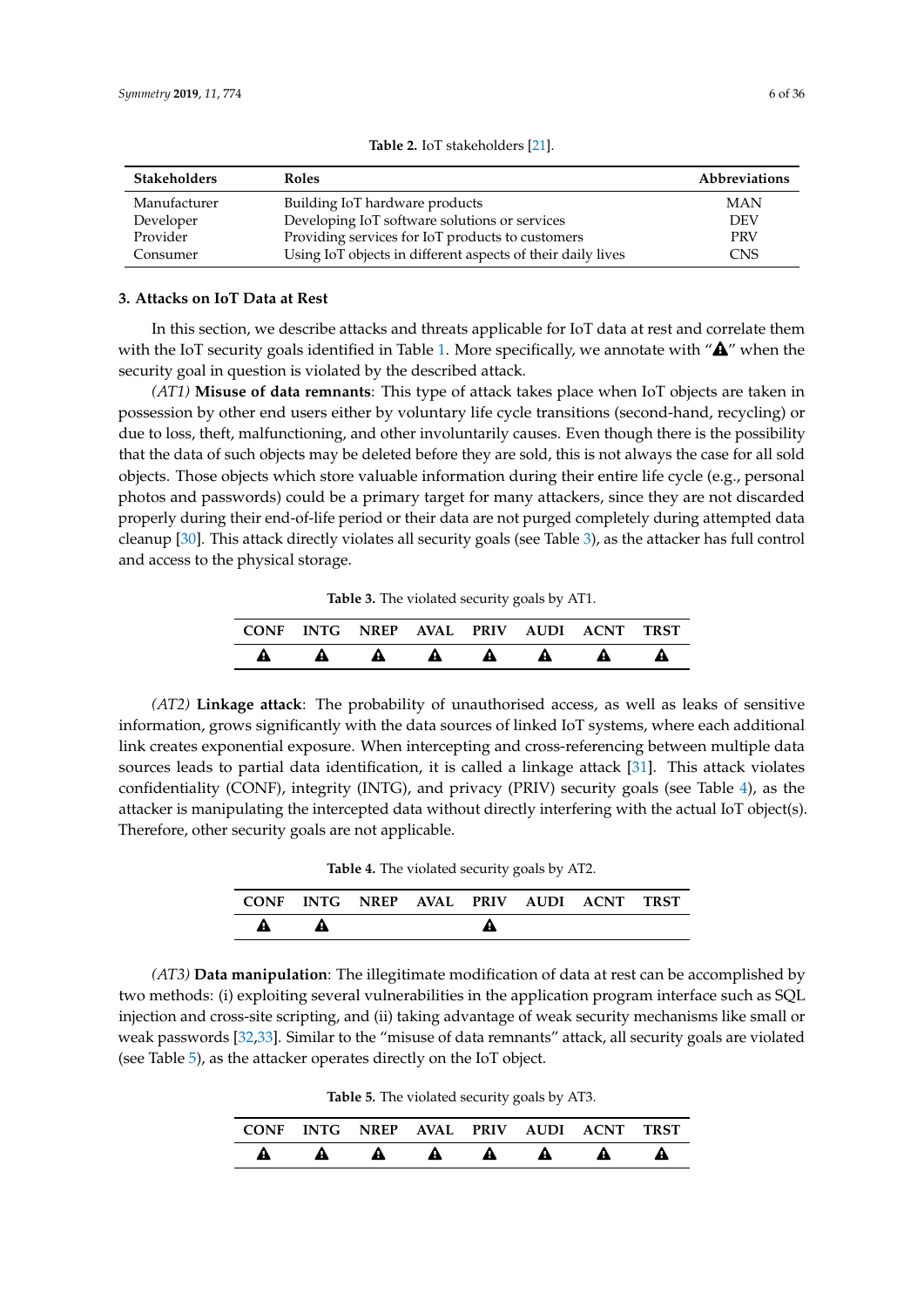<span id="page-5-1"></span>

| <b>Stakeholders</b> | <b>Roles</b>                                                | <b>Abbreviations</b> |
|---------------------|-------------------------------------------------------------|----------------------|
| Manufacturer        | Building IoT hardware products                              | <b>MAN</b>           |
| Developer           | Developing IoT software solutions or services               | <b>DEV</b>           |
| Provider            | Providing services for IoT products to customers            | <b>PRV</b>           |
| Consumer            | Using IoT objects in different aspects of their daily lives | CNS                  |

**Table 2.** IoT stakeholders [\[21\]](#page-29-8).

## <span id="page-5-0"></span>**3. Attacks on IoT Data at Rest**

In this section, we describe attacks and threats applicable for IoT data at rest and correlate them with the IoT security goals identified in Table [1.](#page-4-0) More specifically, we annotate with " $\mathbf{A}$ " when the security goal in question is violated by the described attack.

*(AT1)* **Misuse of data remnants**: This type of attack takes place when IoT objects are taken in possession by other end users either by voluntary life cycle transitions (second-hand, recycling) or due to loss, theft, malfunctioning, and other involuntarily causes. Even though there is the possibility that the data of such objects may be deleted before they are sold, this is not always the case for all sold objects. Those objects which store valuable information during their entire life cycle (e.g., personal photos and passwords) could be a primary target for many attackers, since they are not discarded properly during their end-of-life period or their data are not purged completely during attempted data cleanup [\[30\]](#page-30-3). This attack directly violates all security goals (see Table [3\)](#page-5-2), as the attacker has full control and access to the physical storage.

**Table 3.** The violated security goals by AT1.

|  |  |  | CONF INTG NREP AVAL PRIV AUDI ACNT TRST |  |
|--|--|--|-----------------------------------------|--|
|  |  |  |                                         |  |

<span id="page-5-2"></span>*(AT2)* **Linkage attack**: The probability of unauthorised access, as well as leaks of sensitive information, grows significantly with the data sources of linked IoT systems, where each additional link creates exponential exposure. When intercepting and cross-referencing between multiple data sources leads to partial data identification, it is called a linkage attack [\[31\]](#page-30-4). This attack violates confidentiality (CONF), integrity (INTG), and privacy (PRIV) security goals (see Table [4\)](#page-5-3), as the attacker is manipulating the intercepted data without directly interfering with the actual IoT object(s). Therefore, other security goals are not applicable.

**Table 4.** The violated security goals by AT2.

| CONF INTG NREP AVAL PRIV AUDI ACNT TRST |  |  |  |  |
|-----------------------------------------|--|--|--|--|
|                                         |  |  |  |  |

<span id="page-5-4"></span><span id="page-5-3"></span>*(AT3)* **Data manipulation**: The illegitimate modification of data at rest can be accomplished by two methods: (i) exploiting several vulnerabilities in the application program interface such as SQL injection and cross-site scripting, and (ii) taking advantage of weak security mechanisms like small or weak passwords [\[32,](#page-30-5)[33\]](#page-30-6). Similar to the "misuse of data remnants" attack, all security goals are violated (see Table [5\)](#page-5-4), as the attacker operates directly on the IoT object.

**Table 5.** The violated security goals by AT3.

|  |  |  | CONF INTG NREP AVAL PRIV AUDI ACNT TRST |  |
|--|--|--|-----------------------------------------|--|
|  |  |  |                                         |  |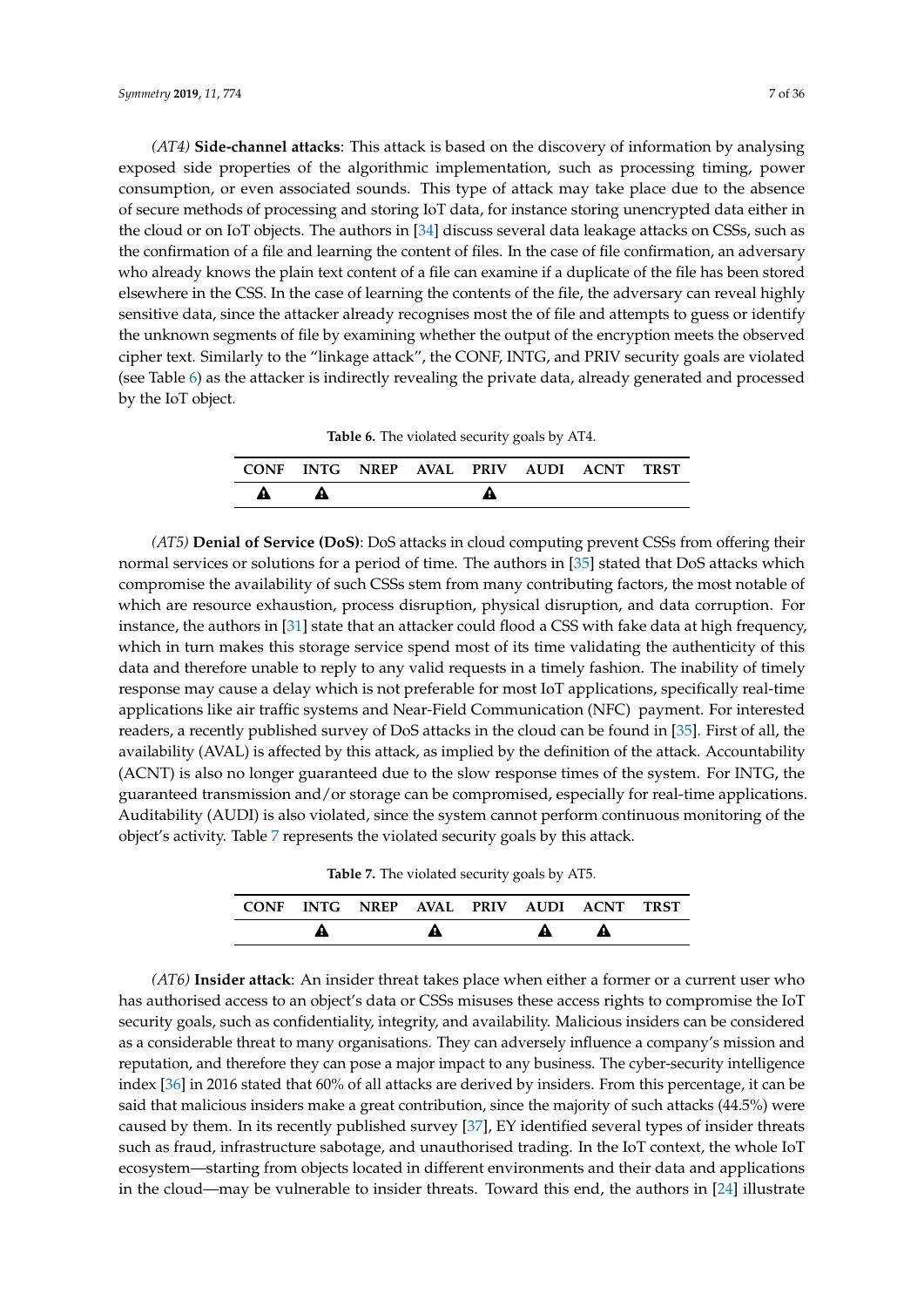*(AT4)* **Side-channel attacks**: This attack is based on the discovery of information by analysing exposed side properties of the algorithmic implementation, such as processing timing, power consumption, or even associated sounds. This type of attack may take place due to the absence of secure methods of processing and storing IoT data, for instance storing unencrypted data either in the cloud or on IoT objects. The authors in [\[34\]](#page-30-7) discuss several data leakage attacks on CSSs, such as the confirmation of a file and learning the content of files. In the case of file confirmation, an adversary who already knows the plain text content of a file can examine if a duplicate of the file has been stored elsewhere in the CSS. In the case of learning the contents of the file, the adversary can reveal highly sensitive data, since the attacker already recognises most the of file and attempts to guess or identify the unknown segments of file by examining whether the output of the encryption meets the observed cipher text. Similarly to the "linkage attack", the CONF, INTG, and PRIV security goals are violated (see Table [6\)](#page-6-0) as the attacker is indirectly revealing the private data, already generated and processed by the IoT object.

**Table 6.** The violated security goals by AT4.

|  |  |  | CONF INTG NREP AVAL PRIV AUDI ACNT TRST |  |
|--|--|--|-----------------------------------------|--|
|  |  |  |                                         |  |

<span id="page-6-0"></span>*(AT5)* **Denial of Service (DoS)**: DoS attacks in cloud computing prevent CSSs from offering their normal services or solutions for a period of time. The authors in [\[35\]](#page-30-8) stated that DoS attacks which compromise the availability of such CSSs stem from many contributing factors, the most notable of which are resource exhaustion, process disruption, physical disruption, and data corruption. For instance, the authors in [\[31\]](#page-30-4) state that an attacker could flood a CSS with fake data at high frequency, which in turn makes this storage service spend most of its time validating the authenticity of this data and therefore unable to reply to any valid requests in a timely fashion. The inability of timely response may cause a delay which is not preferable for most IoT applications, specifically real-time applications like air traffic systems and Near-Field Communication (NFC) payment. For interested readers, a recently published survey of DoS attacks in the cloud can be found in [\[35\]](#page-30-8). First of all, the availability (AVAL) is affected by this attack, as implied by the definition of the attack. Accountability (ACNT) is also no longer guaranteed due to the slow response times of the system. For INTG, the guaranteed transmission and/or storage can be compromised, especially for real-time applications. Auditability (AUDI) is also violated, since the system cannot perform continuous monitoring of the object's activity. Table [7](#page-6-1) represents the violated security goals by this attack.

**Table 7.** The violated security goals by AT5.

<span id="page-6-1"></span>

|  |  |  | CONF INTG NREP AVAL PRIV AUDI ACNT TRST |  |
|--|--|--|-----------------------------------------|--|
|  |  |  |                                         |  |

*(AT6)* **Insider attack**: An insider threat takes place when either a former or a current user who has authorised access to an object's data or CSSs misuses these access rights to compromise the IoT security goals, such as confidentiality, integrity, and availability. Malicious insiders can be considered as a considerable threat to many organisations. They can adversely influence a company's mission and reputation, and therefore they can pose a major impact to any business. The cyber-security intelligence index [\[36\]](#page-30-9) in 2016 stated that 60% of all attacks are derived by insiders. From this percentage, it can be said that malicious insiders make a great contribution, since the majority of such attacks (44.5%) were caused by them. In its recently published survey [\[37\]](#page-30-10), EY identified several types of insider threats such as fraud, infrastructure sabotage, and unauthorised trading. In the IoT context, the whole IoT ecosystem—starting from objects located in different environments and their data and applications in the cloud—may be vulnerable to insider threats. Toward this end, the authors in [\[24\]](#page-29-16) illustrate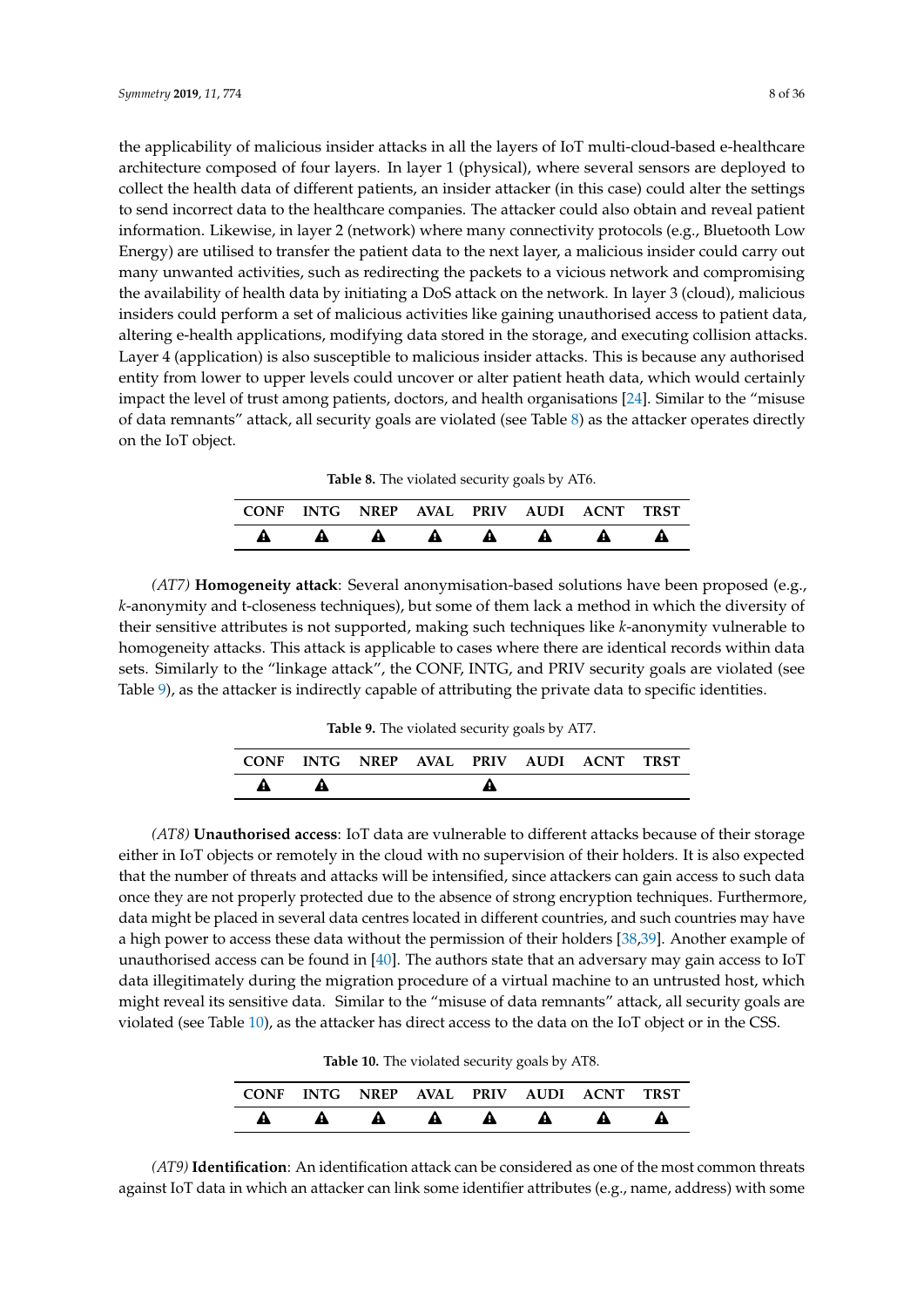the applicability of malicious insider attacks in all the layers of IoT multi-cloud-based e-healthcare architecture composed of four layers. In layer 1 (physical), where several sensors are deployed to collect the health data of different patients, an insider attacker (in this case) could alter the settings to send incorrect data to the healthcare companies. The attacker could also obtain and reveal patient information. Likewise, in layer 2 (network) where many connectivity protocols (e.g., Bluetooth Low Energy) are utilised to transfer the patient data to the next layer, a malicious insider could carry out many unwanted activities, such as redirecting the packets to a vicious network and compromising the availability of health data by initiating a DoS attack on the network. In layer 3 (cloud), malicious insiders could perform a set of malicious activities like gaining unauthorised access to patient data, altering e-health applications, modifying data stored in the storage, and executing collision attacks. Layer 4 (application) is also susceptible to malicious insider attacks. This is because any authorised entity from lower to upper levels could uncover or alter patient heath data, which would certainly impact the level of trust among patients, doctors, and health organisations [\[24\]](#page-29-16). Similar to the "misuse of data remnants" attack, all security goals are violated (see Table [8\)](#page-7-0) as the attacker operates directly on the IoT object.

**Table 8.** The violated security goals by AT6.

| CONF INTG NREP AVAL PRIV AUDI ACNT TRST |  |  |  |  |
|-----------------------------------------|--|--|--|--|
|                                         |  |  |  |  |

<span id="page-7-0"></span>*(AT7)* **Homogeneity attack**: Several anonymisation-based solutions have been proposed (e.g., *k*-anonymity and t-closeness techniques), but some of them lack a method in which the diversity of their sensitive attributes is not supported, making such techniques like *k*-anonymity vulnerable to homogeneity attacks. This attack is applicable to cases where there are identical records within data sets. Similarly to the "linkage attack", the CONF, INTG, and PRIV security goals are violated (see Table [9\)](#page-7-1), as the attacker is indirectly capable of attributing the private data to specific identities.

**Table 9.** The violated security goals by AT7.

|  |  |  | CONF INTG NREP AVAL PRIV AUDI ACNT TRST |  |
|--|--|--|-----------------------------------------|--|
|  |  |  |                                         |  |

<span id="page-7-1"></span>*(AT8)* **Unauthorised access**: IoT data are vulnerable to different attacks because of their storage either in IoT objects or remotely in the cloud with no supervision of their holders. It is also expected that the number of threats and attacks will be intensified, since attackers can gain access to such data once they are not properly protected due to the absence of strong encryption techniques. Furthermore, data might be placed in several data centres located in different countries, and such countries may have a high power to access these data without the permission of their holders [\[38,](#page-30-11)[39\]](#page-30-12). Another example of unauthorised access can be found in [\[40\]](#page-30-13). The authors state that an adversary may gain access to IoT data illegitimately during the migration procedure of a virtual machine to an untrusted host, which might reveal its sensitive data. Similar to the "misuse of data remnants" attack, all security goals are violated (see Table [10\)](#page-7-2), as the attacker has direct access to the data on the IoT object or in the CSS.

**Table 10.** The violated security goals by AT8.

| CONF INTG NREP AVAL PRIV AUDI ACNT TRST |  |  |  |  |
|-----------------------------------------|--|--|--|--|
|                                         |  |  |  |  |

<span id="page-7-2"></span>*(AT9)* **Identification**: An identification attack can be considered as one of the most common threats against IoT data in which an attacker can link some identifier attributes (e.g., name, address) with some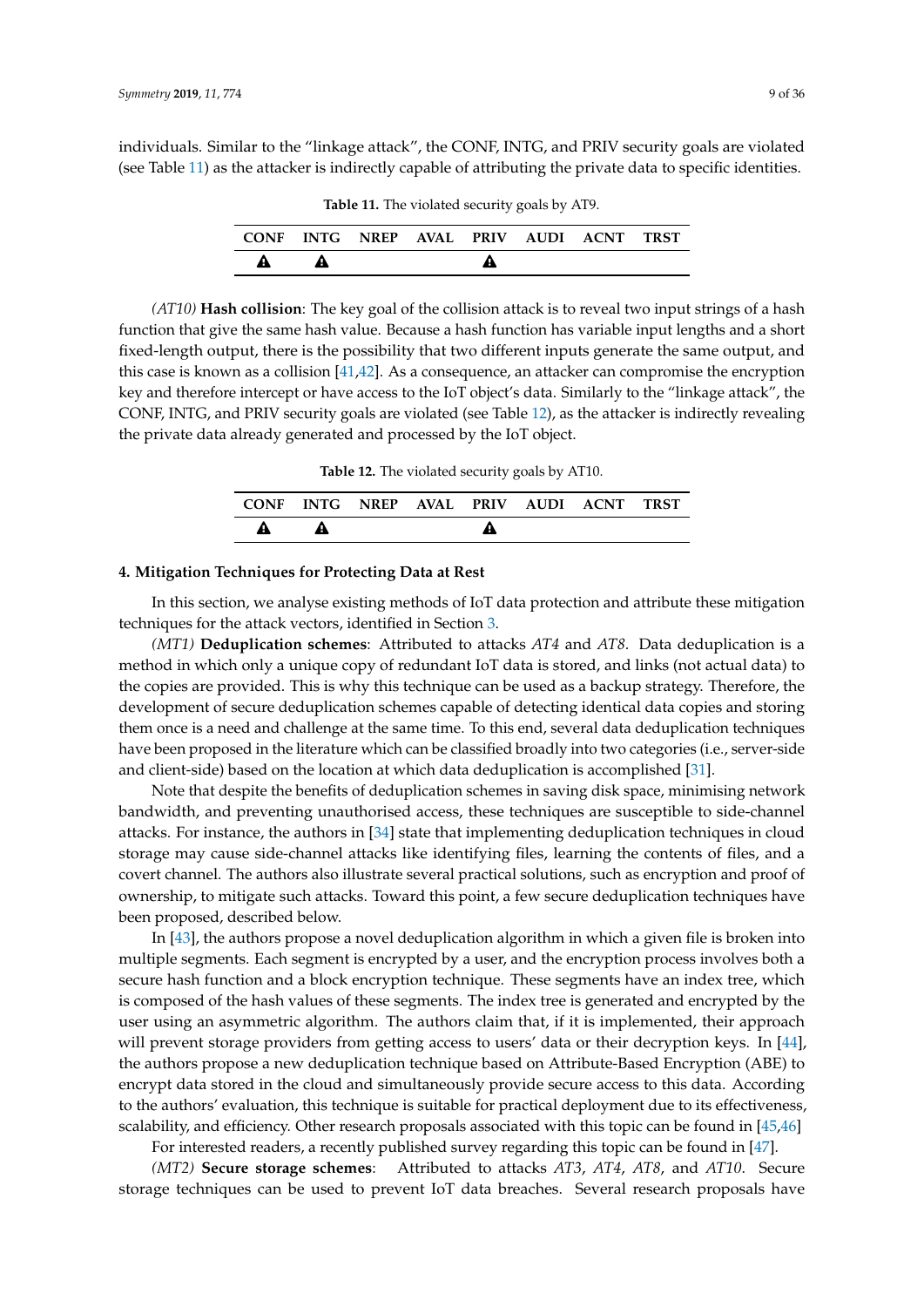<span id="page-8-1"></span>individuals. Similar to the "linkage attack", the CONF, INTG, and PRIV security goals are violated (see Table [11\)](#page-8-1) as the attacker is indirectly capable of attributing the private data to specific identities.

|  |  |  |  | CONF INTG NREP AVAL PRIV AUDI ACNT TRST |  |  |
|--|--|--|--|-----------------------------------------|--|--|
|  |  |  |  |                                         |  |  |

**Table 11.** The violated security goals by AT9.

*(AT10)* **Hash collision**: The key goal of the collision attack is to reveal two input strings of a hash function that give the same hash value. Because a hash function has variable input lengths and a short fixed-length output, there is the possibility that two different inputs generate the same output, and this case is known as a collision [\[41](#page-30-14)[,42\]](#page-30-15). As a consequence, an attacker can compromise the encryption key and therefore intercept or have access to the IoT object's data. Similarly to the "linkage attack", the CONF, INTG, and PRIV security goals are violated (see Table [12\)](#page-8-2), as the attacker is indirectly revealing the private data already generated and processed by the IoT object.

**Table 12.** The violated security goals by AT10.

|  |  |  | CONF INTG NREP AVAL PRIV AUDI ACNT TRST |  |
|--|--|--|-----------------------------------------|--|
|  |  |  |                                         |  |

## <span id="page-8-2"></span><span id="page-8-0"></span>**4. Mitigation Techniques for Protecting Data at Rest**

In this section, we analyse existing methods of IoT data protection and attribute these mitigation techniques for the attack vectors, identified in Section [3.](#page-5-0)

*(MT1)* **Deduplication schemes**: Attributed to attacks *AT4* and *AT8*. Data deduplication is a method in which only a unique copy of redundant IoT data is stored, and links (not actual data) to the copies are provided. This is why this technique can be used as a backup strategy. Therefore, the development of secure deduplication schemes capable of detecting identical data copies and storing them once is a need and challenge at the same time. To this end, several data deduplication techniques have been proposed in the literature which can be classified broadly into two categories (i.e., server-side and client-side) based on the location at which data deduplication is accomplished [\[31\]](#page-30-4).

Note that despite the benefits of deduplication schemes in saving disk space, minimising network bandwidth, and preventing unauthorised access, these techniques are susceptible to side-channel attacks. For instance, the authors in [\[34\]](#page-30-7) state that implementing deduplication techniques in cloud storage may cause side-channel attacks like identifying files, learning the contents of files, and a covert channel. The authors also illustrate several practical solutions, such as encryption and proof of ownership, to mitigate such attacks. Toward this point, a few secure deduplication techniques have been proposed, described below.

In [\[43\]](#page-30-16), the authors propose a novel deduplication algorithm in which a given file is broken into multiple segments. Each segment is encrypted by a user, and the encryption process involves both a secure hash function and a block encryption technique. These segments have an index tree, which is composed of the hash values of these segments. The index tree is generated and encrypted by the user using an asymmetric algorithm. The authors claim that, if it is implemented, their approach will prevent storage providers from getting access to users' data or their decryption keys. In [\[44\]](#page-30-17), the authors propose a new deduplication technique based on Attribute-Based Encryption (ABE) to encrypt data stored in the cloud and simultaneously provide secure access to this data. According to the authors' evaluation, this technique is suitable for practical deployment due to its effectiveness, scalability, and efficiency. Other research proposals associated with this topic can be found in [\[45,](#page-30-18)[46\]](#page-30-19)

For interested readers, a recently published survey regarding this topic can be found in [\[47\]](#page-30-20).

*(MT2)* **Secure storage schemes**: Attributed to attacks *AT3*, *AT4*, *AT8*, and *AT10*. Secure storage techniques can be used to prevent IoT data breaches. Several research proposals have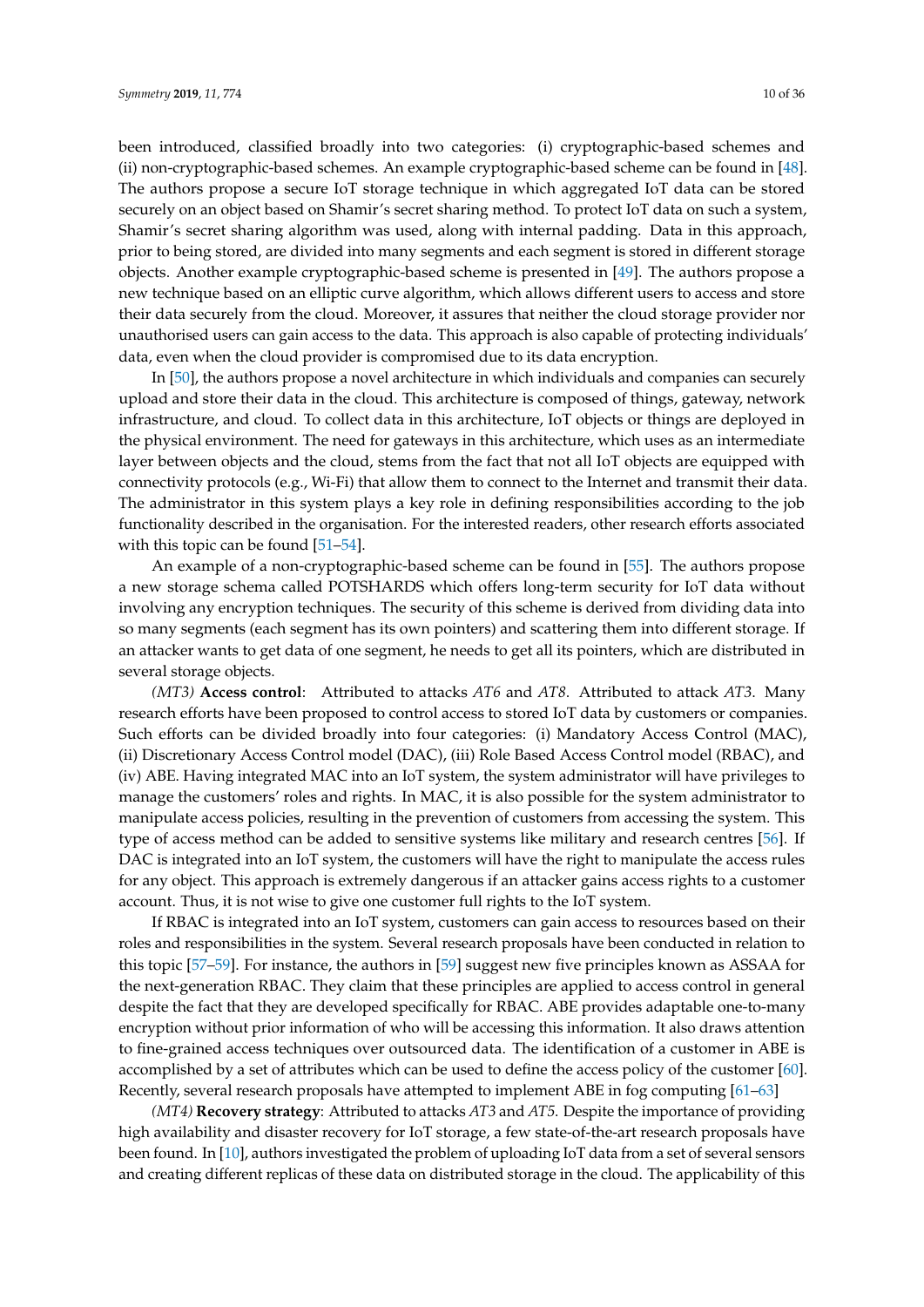been introduced, classified broadly into two categories: (i) cryptographic-based schemes and (ii) non-cryptographic-based schemes. An example cryptographic-based scheme can be found in [\[48\]](#page-31-0). The authors propose a secure IoT storage technique in which aggregated IoT data can be stored securely on an object based on Shamir's secret sharing method. To protect IoT data on such a system, Shamir's secret sharing algorithm was used, along with internal padding. Data in this approach, prior to being stored, are divided into many segments and each segment is stored in different storage objects. Another example cryptographic-based scheme is presented in [\[49\]](#page-31-1). The authors propose a new technique based on an elliptic curve algorithm, which allows different users to access and store their data securely from the cloud. Moreover, it assures that neither the cloud storage provider nor unauthorised users can gain access to the data. This approach is also capable of protecting individuals' data, even when the cloud provider is compromised due to its data encryption.

In [\[50\]](#page-31-2), the authors propose a novel architecture in which individuals and companies can securely upload and store their data in the cloud. This architecture is composed of things, gateway, network infrastructure, and cloud. To collect data in this architecture, IoT objects or things are deployed in the physical environment. The need for gateways in this architecture, which uses as an intermediate layer between objects and the cloud, stems from the fact that not all IoT objects are equipped with connectivity protocols (e.g., Wi-Fi) that allow them to connect to the Internet and transmit their data. The administrator in this system plays a key role in defining responsibilities according to the job functionality described in the organisation. For the interested readers, other research efforts associated with this topic can be found [\[51–](#page-31-3)[54\]](#page-31-4).

An example of a non-cryptographic-based scheme can be found in [\[55\]](#page-31-5). The authors propose a new storage schema called POTSHARDS which offers long-term security for IoT data without involving any encryption techniques. The security of this scheme is derived from dividing data into so many segments (each segment has its own pointers) and scattering them into different storage. If an attacker wants to get data of one segment, he needs to get all its pointers, which are distributed in several storage objects.

*(MT3)* **Access control**: Attributed to attacks *AT6* and *AT8*. Attributed to attack *AT3*. Many research efforts have been proposed to control access to stored IoT data by customers or companies. Such efforts can be divided broadly into four categories: (i) Mandatory Access Control (MAC), (ii) Discretionary Access Control model (DAC), (iii) Role Based Access Control model (RBAC), and (iv) ABE. Having integrated MAC into an IoT system, the system administrator will have privileges to manage the customers' roles and rights. In MAC, it is also possible for the system administrator to manipulate access policies, resulting in the prevention of customers from accessing the system. This type of access method can be added to sensitive systems like military and research centres [\[56\]](#page-31-6). If DAC is integrated into an IoT system, the customers will have the right to manipulate the access rules for any object. This approach is extremely dangerous if an attacker gains access rights to a customer account. Thus, it is not wise to give one customer full rights to the IoT system.

If RBAC is integrated into an IoT system, customers can gain access to resources based on their roles and responsibilities in the system. Several research proposals have been conducted in relation to this topic [\[57](#page-31-7)[–59\]](#page-31-8). For instance, the authors in [\[59\]](#page-31-8) suggest new five principles known as ASSAA for the next-generation RBAC. They claim that these principles are applied to access control in general despite the fact that they are developed specifically for RBAC. ABE provides adaptable one-to-many encryption without prior information of who will be accessing this information. It also draws attention to fine-grained access techniques over outsourced data. The identification of a customer in ABE is accomplished by a set of attributes which can be used to define the access policy of the customer [\[60\]](#page-31-9). Recently, several research proposals have attempted to implement ABE in fog computing [\[61–](#page-31-10)[63\]](#page-31-11)

*(MT4)* **Recovery strategy**: Attributed to attacks *AT3* and *AT5*. Despite the importance of providing high availability and disaster recovery for IoT storage, a few state-of-the-art research proposals have been found. In [\[10\]](#page-29-3), authors investigated the problem of uploading IoT data from a set of several sensors and creating different replicas of these data on distributed storage in the cloud. The applicability of this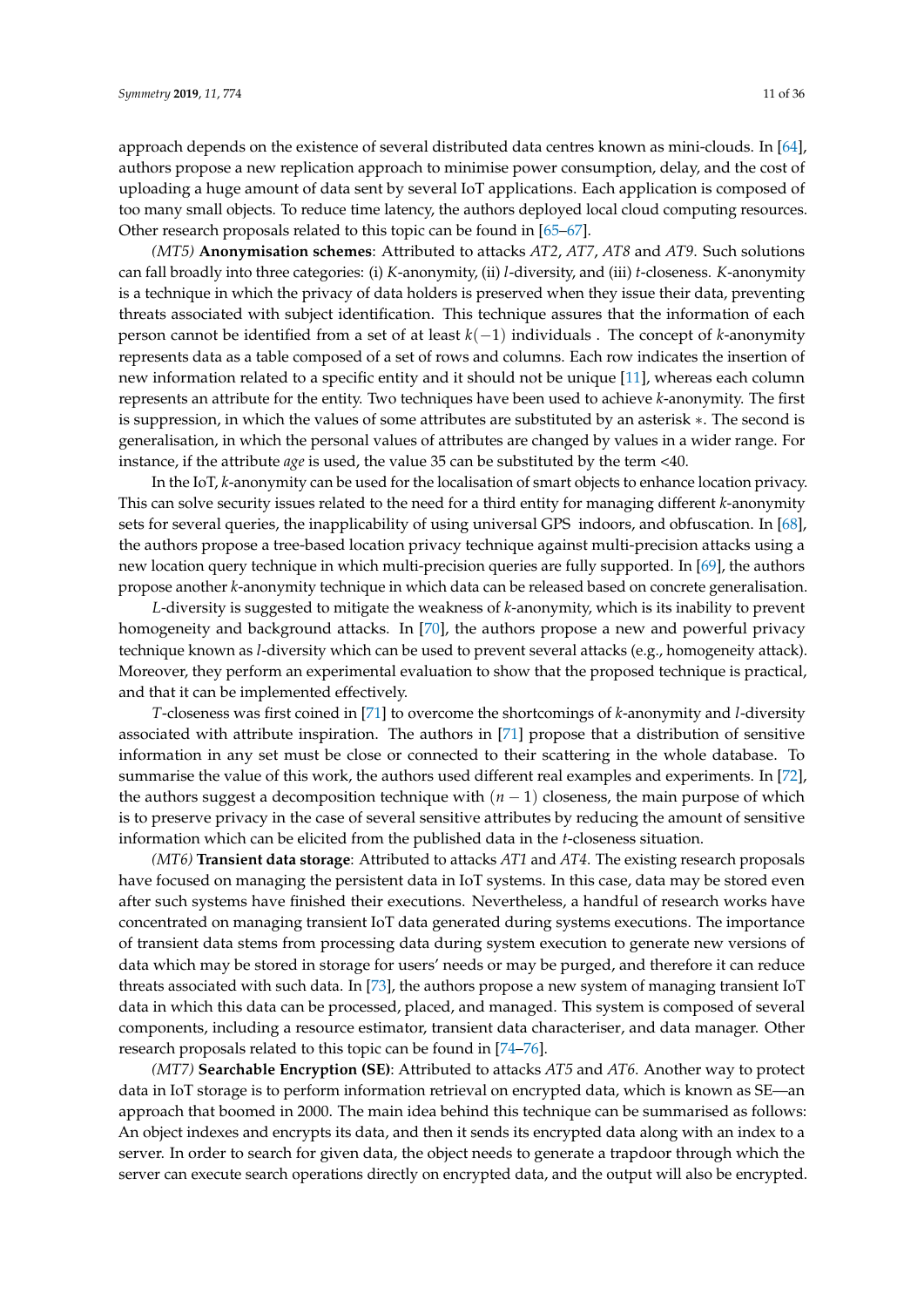approach depends on the existence of several distributed data centres known as mini-clouds. In [\[64\]](#page-31-12), authors propose a new replication approach to minimise power consumption, delay, and the cost of uploading a huge amount of data sent by several IoT applications. Each application is composed of too many small objects. To reduce time latency, the authors deployed local cloud computing resources. Other research proposals related to this topic can be found in [\[65](#page-31-13)[–67\]](#page-31-14).

*(MT5)* **Anonymisation schemes**: Attributed to attacks *AT2*, *AT7*, *AT8* and *AT9*. Such solutions can fall broadly into three categories: (i) *K*-anonymity, (ii) *l*-diversity, and (iii) *t*-closeness. *K*-anonymity is a technique in which the privacy of data holders is preserved when they issue their data, preventing threats associated with subject identification. This technique assures that the information of each person cannot be identified from a set of at least *k*(−1) individuals . The concept of *k*-anonymity represents data as a table composed of a set of rows and columns. Each row indicates the insertion of new information related to a specific entity and it should not be unique [\[11\]](#page-29-4), whereas each column represents an attribute for the entity. Two techniques have been used to achieve *k*-anonymity. The first is suppression, in which the values of some attributes are substituted by an asterisk ∗. The second is generalisation, in which the personal values of attributes are changed by values in a wider range. For instance, if the attribute *age* is used, the value 35 can be substituted by the term <40.

In the IoT, *k*-anonymity can be used for the localisation of smart objects to enhance location privacy. This can solve security issues related to the need for a third entity for managing different *k*-anonymity sets for several queries, the inapplicability of using universal GPS indoors, and obfuscation. In [\[68\]](#page-31-15), the authors propose a tree-based location privacy technique against multi-precision attacks using a new location query technique in which multi-precision queries are fully supported. In [\[69\]](#page-32-0), the authors propose another *k*-anonymity technique in which data can be released based on concrete generalisation.

*L*-diversity is suggested to mitigate the weakness of *k*-anonymity, which is its inability to prevent homogeneity and background attacks. In [\[70\]](#page-32-1), the authors propose a new and powerful privacy technique known as *l*-diversity which can be used to prevent several attacks (e.g., homogeneity attack). Moreover, they perform an experimental evaluation to show that the proposed technique is practical, and that it can be implemented effectively.

*T*-closeness was first coined in [\[71\]](#page-32-2) to overcome the shortcomings of *k*-anonymity and *l*-diversity associated with attribute inspiration. The authors in [\[71\]](#page-32-2) propose that a distribution of sensitive information in any set must be close or connected to their scattering in the whole database. To summarise the value of this work, the authors used different real examples and experiments. In [\[72\]](#page-32-3), the authors suggest a decomposition technique with  $(n - 1)$  closeness, the main purpose of which is to preserve privacy in the case of several sensitive attributes by reducing the amount of sensitive information which can be elicited from the published data in the *t*-closeness situation.

*(MT6)* **Transient data storage**: Attributed to attacks *AT1* and *AT4*. The existing research proposals have focused on managing the persistent data in IoT systems. In this case, data may be stored even after such systems have finished their executions. Nevertheless, a handful of research works have concentrated on managing transient IoT data generated during systems executions. The importance of transient data stems from processing data during system execution to generate new versions of data which may be stored in storage for users' needs or may be purged, and therefore it can reduce threats associated with such data. In [\[73\]](#page-32-4), the authors propose a new system of managing transient IoT data in which this data can be processed, placed, and managed. This system is composed of several components, including a resource estimator, transient data characteriser, and data manager. Other research proposals related to this topic can be found in [\[74](#page-32-5)[–76\]](#page-32-6).

*(MT7)* **Searchable Encryption (SE)**: Attributed to attacks *AT5* and *AT6*. Another way to protect data in IoT storage is to perform information retrieval on encrypted data, which is known as SE—an approach that boomed in 2000. The main idea behind this technique can be summarised as follows: An object indexes and encrypts its data, and then it sends its encrypted data along with an index to a server. In order to search for given data, the object needs to generate a trapdoor through which the server can execute search operations directly on encrypted data, and the output will also be encrypted.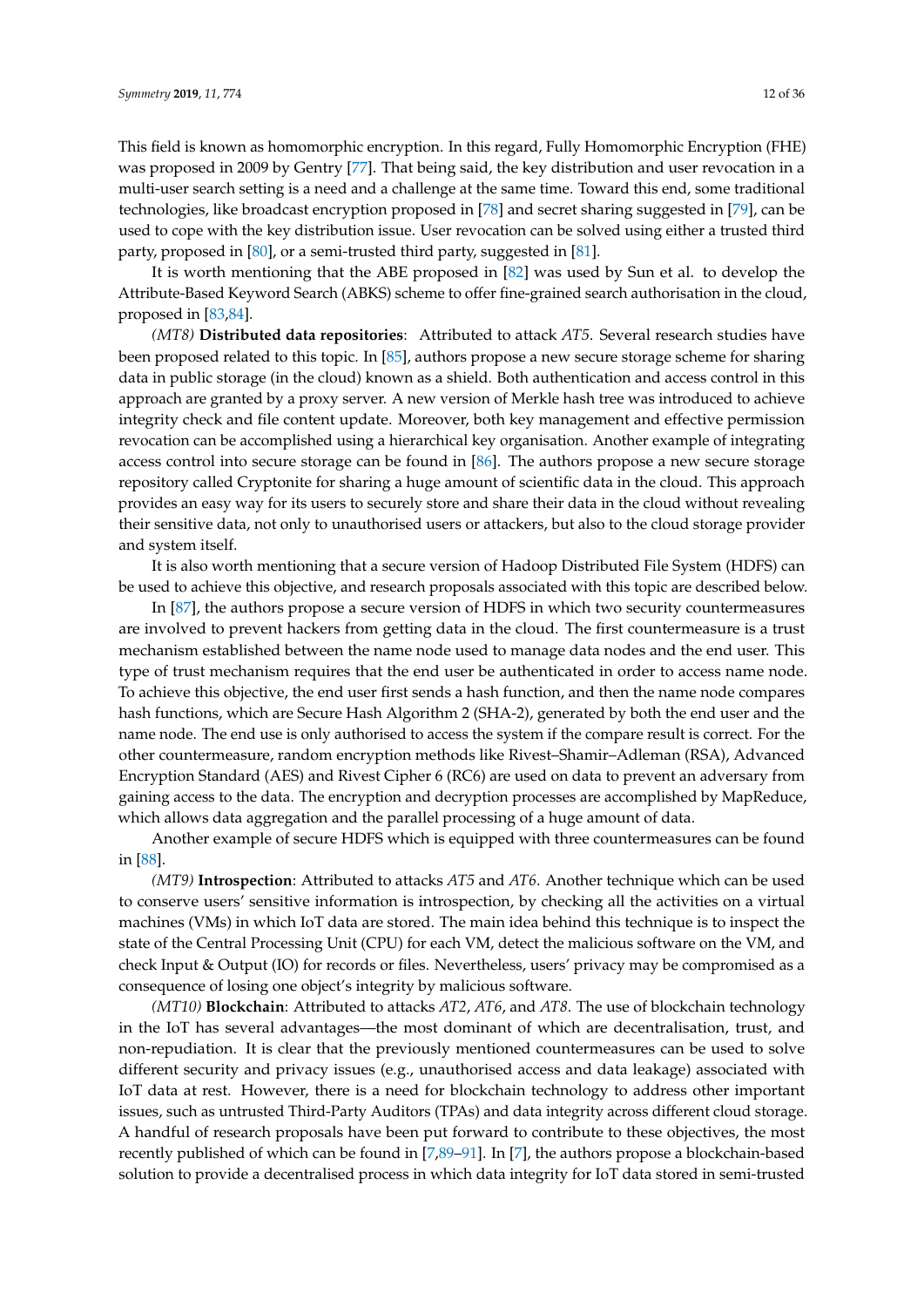This field is known as homomorphic encryption. In this regard, Fully Homomorphic Encryption (FHE) was proposed in 2009 by Gentry [\[77\]](#page-32-7). That being said, the key distribution and user revocation in a multi-user search setting is a need and a challenge at the same time. Toward this end, some traditional technologies, like broadcast encryption proposed in [\[78\]](#page-32-8) and secret sharing suggested in [\[79\]](#page-32-9), can be used to cope with the key distribution issue. User revocation can be solved using either a trusted third party, proposed in [\[80\]](#page-32-10), or a semi-trusted third party, suggested in [\[81\]](#page-32-11).

It is worth mentioning that the ABE proposed in [\[82\]](#page-32-12) was used by Sun et al. to develop the Attribute-Based Keyword Search (ABKS) scheme to offer fine-grained search authorisation in the cloud, proposed in [\[83](#page-32-13)[,84\]](#page-32-14).

*(MT8)* **Distributed data repositories**: Attributed to attack *AT5*. Several research studies have been proposed related to this topic. In [\[85\]](#page-32-15), authors propose a new secure storage scheme for sharing data in public storage (in the cloud) known as a shield. Both authentication and access control in this approach are granted by a proxy server. A new version of Merkle hash tree was introduced to achieve integrity check and file content update. Moreover, both key management and effective permission revocation can be accomplished using a hierarchical key organisation. Another example of integrating access control into secure storage can be found in [\[86\]](#page-32-16). The authors propose a new secure storage repository called Cryptonite for sharing a huge amount of scientific data in the cloud. This approach provides an easy way for its users to securely store and share their data in the cloud without revealing their sensitive data, not only to unauthorised users or attackers, but also to the cloud storage provider and system itself.

It is also worth mentioning that a secure version of Hadoop Distributed File System (HDFS) can be used to achieve this objective, and research proposals associated with this topic are described below.

In [\[87\]](#page-32-17), the authors propose a secure version of HDFS in which two security countermeasures are involved to prevent hackers from getting data in the cloud. The first countermeasure is a trust mechanism established between the name node used to manage data nodes and the end user. This type of trust mechanism requires that the end user be authenticated in order to access name node. To achieve this objective, the end user first sends a hash function, and then the name node compares hash functions, which are Secure Hash Algorithm 2 (SHA-2), generated by both the end user and the name node. The end use is only authorised to access the system if the compare result is correct. For the other countermeasure, random encryption methods like Rivest–Shamir–Adleman (RSA), Advanced Encryption Standard (AES) and Rivest Cipher 6 (RC6) are used on data to prevent an adversary from gaining access to the data. The encryption and decryption processes are accomplished by MapReduce, which allows data aggregation and the parallel processing of a huge amount of data.

Another example of secure HDFS which is equipped with three countermeasures can be found in [\[88\]](#page-33-0).

*(MT9)* **Introspection**: Attributed to attacks *AT5* and *AT6*. Another technique which can be used to conserve users' sensitive information is introspection, by checking all the activities on a virtual machines (VMs) in which IoT data are stored. The main idea behind this technique is to inspect the state of the Central Processing Unit (CPU) for each VM, detect the malicious software on the VM, and check Input & Output (IO) for records or files. Nevertheless, users' privacy may be compromised as a consequence of losing one object's integrity by malicious software.

*(MT10)* **Blockchain**: Attributed to attacks *AT2*, *AT6*, and *AT8*. The use of blockchain technology in the IoT has several advantages—the most dominant of which are decentralisation, trust, and non-repudiation. It is clear that the previously mentioned countermeasures can be used to solve different security and privacy issues (e.g., unauthorised access and data leakage) associated with IoT data at rest. However, there is a need for blockchain technology to address other important issues, such as untrusted Third-Party Auditors (TPAs) and data integrity across different cloud storage. A handful of research proposals have been put forward to contribute to these objectives, the most recently published of which can be found in [\[7](#page-29-0)[,89–](#page-33-1)[91\]](#page-33-2). In [\[7\]](#page-29-0), the authors propose a blockchain-based solution to provide a decentralised process in which data integrity for IoT data stored in semi-trusted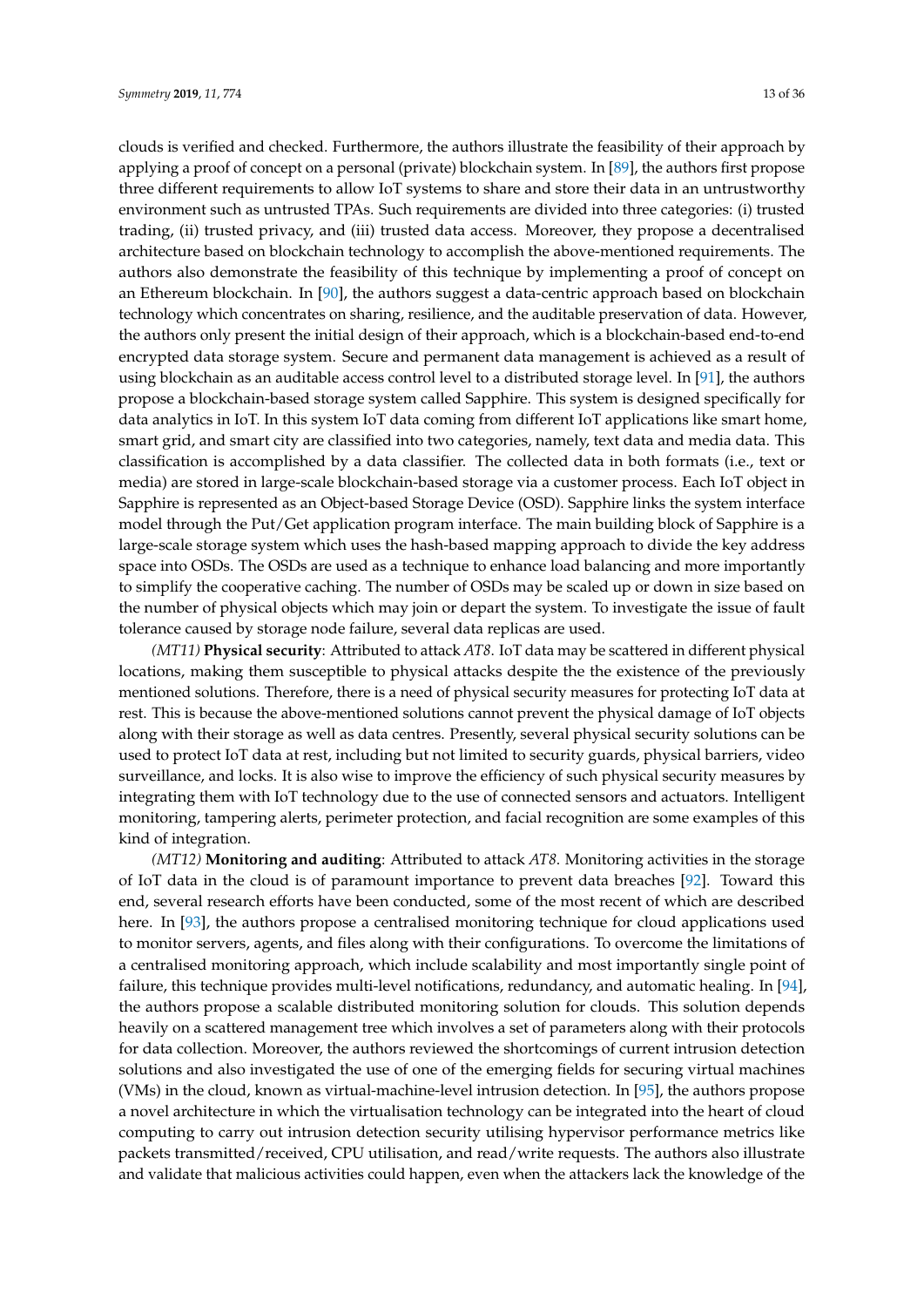clouds is verified and checked. Furthermore, the authors illustrate the feasibility of their approach by applying a proof of concept on a personal (private) blockchain system. In [\[89\]](#page-33-1), the authors first propose three different requirements to allow IoT systems to share and store their data in an untrustworthy environment such as untrusted TPAs. Such requirements are divided into three categories: (i) trusted trading, (ii) trusted privacy, and (iii) trusted data access. Moreover, they propose a decentralised architecture based on blockchain technology to accomplish the above-mentioned requirements. The authors also demonstrate the feasibility of this technique by implementing a proof of concept on an Ethereum blockchain. In [\[90\]](#page-33-3), the authors suggest a data-centric approach based on blockchain technology which concentrates on sharing, resilience, and the auditable preservation of data. However, the authors only present the initial design of their approach, which is a blockchain-based end-to-end encrypted data storage system. Secure and permanent data management is achieved as a result of using blockchain as an auditable access control level to a distributed storage level. In [\[91\]](#page-33-2), the authors propose a blockchain-based storage system called Sapphire. This system is designed specifically for data analytics in IoT. In this system IoT data coming from different IoT applications like smart home, smart grid, and smart city are classified into two categories, namely, text data and media data. This classification is accomplished by a data classifier. The collected data in both formats (i.e., text or media) are stored in large-scale blockchain-based storage via a customer process. Each IoT object in Sapphire is represented as an Object-based Storage Device (OSD). Sapphire links the system interface model through the Put/Get application program interface. The main building block of Sapphire is a large-scale storage system which uses the hash-based mapping approach to divide the key address space into OSDs. The OSDs are used as a technique to enhance load balancing and more importantly to simplify the cooperative caching. The number of OSDs may be scaled up or down in size based on the number of physical objects which may join or depart the system. To investigate the issue of fault tolerance caused by storage node failure, several data replicas are used.

*(MT11)* **Physical security**: Attributed to attack *AT8*. IoT data may be scattered in different physical locations, making them susceptible to physical attacks despite the the existence of the previously mentioned solutions. Therefore, there is a need of physical security measures for protecting IoT data at rest. This is because the above-mentioned solutions cannot prevent the physical damage of IoT objects along with their storage as well as data centres. Presently, several physical security solutions can be used to protect IoT data at rest, including but not limited to security guards, physical barriers, video surveillance, and locks. It is also wise to improve the efficiency of such physical security measures by integrating them with IoT technology due to the use of connected sensors and actuators. Intelligent monitoring, tampering alerts, perimeter protection, and facial recognition are some examples of this kind of integration.

*(MT12)* **Monitoring and auditing**: Attributed to attack *AT8*. Monitoring activities in the storage of IoT data in the cloud is of paramount importance to prevent data breaches [\[92\]](#page-33-4). Toward this end, several research efforts have been conducted, some of the most recent of which are described here. In [\[93\]](#page-33-5), the authors propose a centralised monitoring technique for cloud applications used to monitor servers, agents, and files along with their configurations. To overcome the limitations of a centralised monitoring approach, which include scalability and most importantly single point of failure, this technique provides multi-level notifications, redundancy, and automatic healing. In [\[94\]](#page-33-6), the authors propose a scalable distributed monitoring solution for clouds. This solution depends heavily on a scattered management tree which involves a set of parameters along with their protocols for data collection. Moreover, the authors reviewed the shortcomings of current intrusion detection solutions and also investigated the use of one of the emerging fields for securing virtual machines (VMs) in the cloud, known as virtual-machine-level intrusion detection. In [\[95\]](#page-33-7), the authors propose a novel architecture in which the virtualisation technology can be integrated into the heart of cloud computing to carry out intrusion detection security utilising hypervisor performance metrics like packets transmitted/received, CPU utilisation, and read/write requests. The authors also illustrate and validate that malicious activities could happen, even when the attackers lack the knowledge of the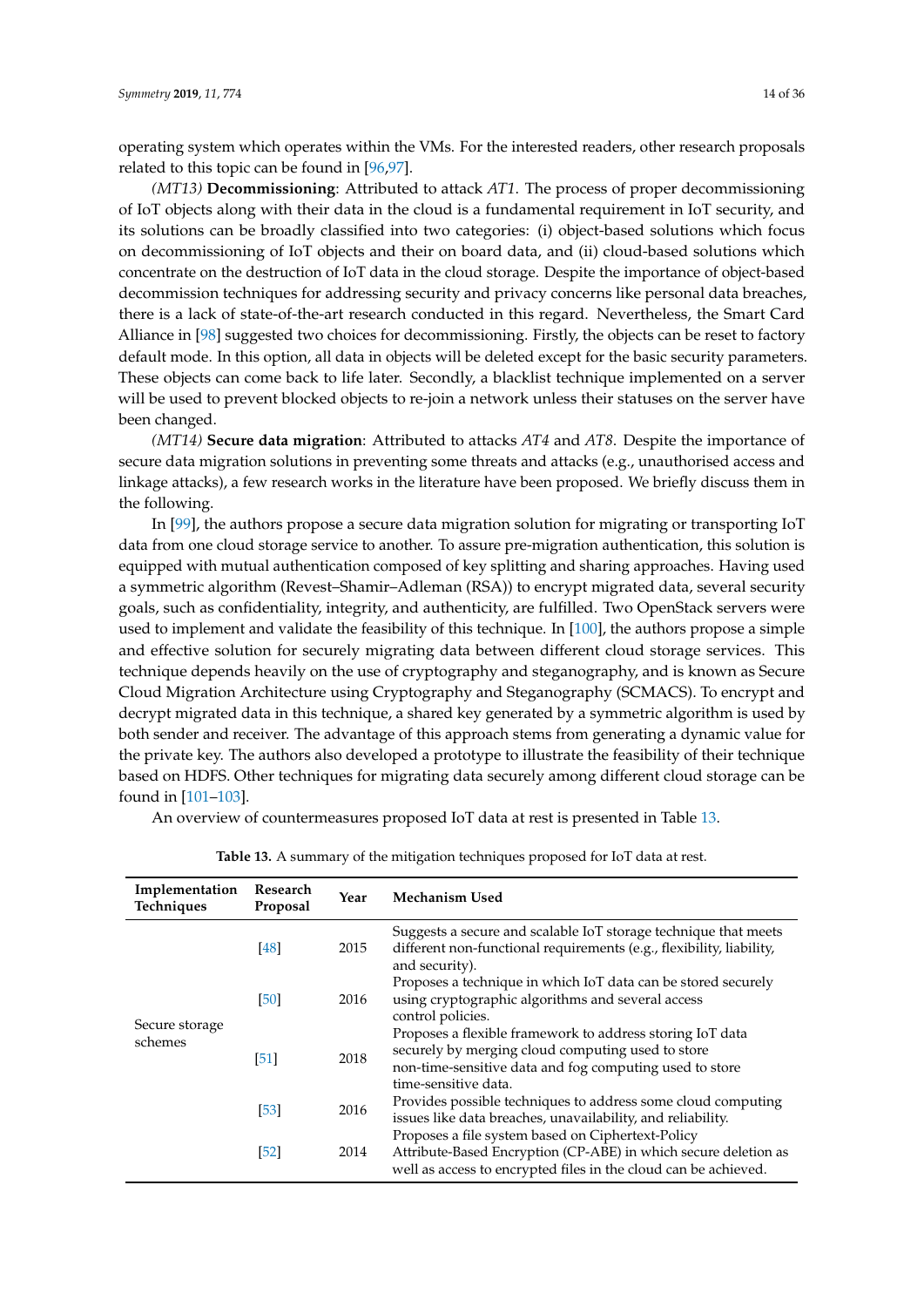operating system which operates within the VMs. For the interested readers, other research proposals related to this topic can be found in [\[96](#page-33-8)[,97\]](#page-33-9).

*(MT13)* **Decommissioning**: Attributed to attack *AT1*. The process of proper decommissioning of IoT objects along with their data in the cloud is a fundamental requirement in IoT security, and its solutions can be broadly classified into two categories: (i) object-based solutions which focus on decommissioning of IoT objects and their on board data, and (ii) cloud-based solutions which concentrate on the destruction of IoT data in the cloud storage. Despite the importance of object-based decommission techniques for addressing security and privacy concerns like personal data breaches, there is a lack of state-of-the-art research conducted in this regard. Nevertheless, the Smart Card Alliance in [\[98\]](#page-33-10) suggested two choices for decommissioning. Firstly, the objects can be reset to factory default mode. In this option, all data in objects will be deleted except for the basic security parameters. These objects can come back to life later. Secondly, a blacklist technique implemented on a server will be used to prevent blocked objects to re-join a network unless their statuses on the server have been changed.

*(MT14)* **Secure data migration**: Attributed to attacks *AT4* and *AT8*. Despite the importance of secure data migration solutions in preventing some threats and attacks (e.g., unauthorised access and linkage attacks), a few research works in the literature have been proposed. We briefly discuss them in the following.

In [\[99\]](#page-33-11), the authors propose a secure data migration solution for migrating or transporting IoT data from one cloud storage service to another. To assure pre-migration authentication, this solution is equipped with mutual authentication composed of key splitting and sharing approaches. Having used a symmetric algorithm (Revest–Shamir–Adleman (RSA)) to encrypt migrated data, several security goals, such as confidentiality, integrity, and authenticity, are fulfilled. Two OpenStack servers were used to implement and validate the feasibility of this technique. In [\[100\]](#page-33-12), the authors propose a simple and effective solution for securely migrating data between different cloud storage services. This technique depends heavily on the use of cryptography and steganography, and is known as Secure Cloud Migration Architecture using Cryptography and Steganography (SCMACS). To encrypt and decrypt migrated data in this technique, a shared key generated by a symmetric algorithm is used by both sender and receiver. The advantage of this approach stems from generating a dynamic value for the private key. The authors also developed a prototype to illustrate the feasibility of their technique based on HDFS. Other techniques for migrating data securely among different cloud storage can be found in [\[101](#page-33-13)[–103\]](#page-33-14).

An overview of countermeasures proposed IoT data at rest is presented in Table [13.](#page-13-0)

<span id="page-13-0"></span>

| Implementation<br>Techniques | Research<br>Proposal | Year | <b>Mechanism Used</b>                                                                                                                                                                             |
|------------------------------|----------------------|------|---------------------------------------------------------------------------------------------------------------------------------------------------------------------------------------------------|
|                              | [48]                 | 2015 | Suggests a secure and scalable IoT storage technique that meets<br>different non-functional requirements (e.g., flexibility, liability,<br>and security).                                         |
|                              | [50]                 | 2016 | Proposes a technique in which IoT data can be stored securely<br>using cryptographic algorithms and several access<br>control policies.                                                           |
| Secure storage<br>schemes    | [51]                 | 2018 | Proposes a flexible framework to address storing IoT data<br>securely by merging cloud computing used to store<br>non-time-sensitive data and fog computing used to store<br>time-sensitive data. |
|                              | [53]                 | 2016 | Provides possible techniques to address some cloud computing<br>issues like data breaches, unavailability, and reliability.                                                                       |
|                              | [52]                 | 2014 | Proposes a file system based on Ciphertext-Policy<br>Attribute-Based Encryption (CP-ABE) in which secure deletion as<br>well as access to encrypted files in the cloud can be achieved.           |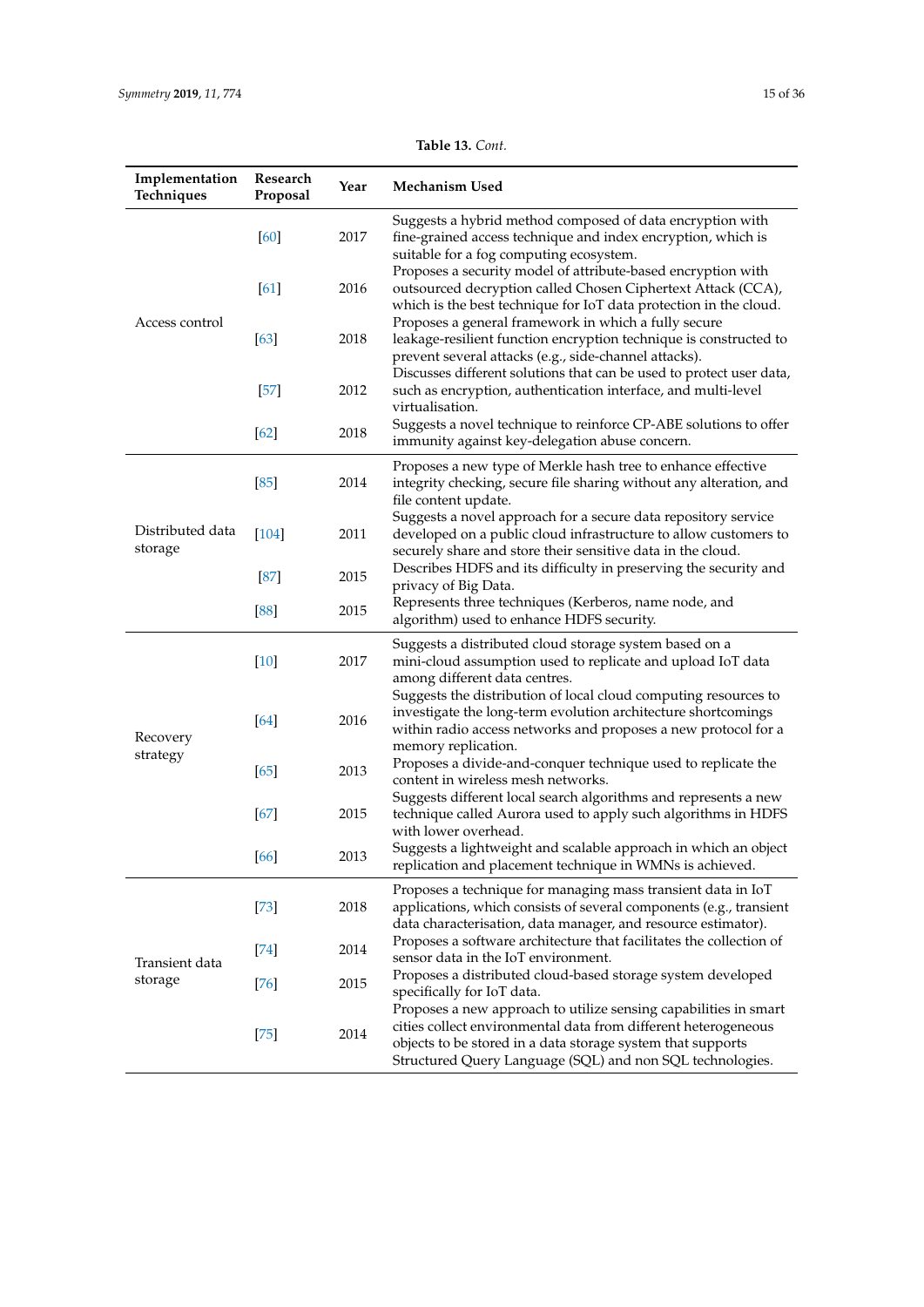# **Table 13.** *Cont.*

| Implementation<br>Techniques | Research<br>Proposal | Year | <b>Mechanism Used</b>                                                                                                                                                                                                                                          |
|------------------------------|----------------------|------|----------------------------------------------------------------------------------------------------------------------------------------------------------------------------------------------------------------------------------------------------------------|
|                              | [60]                 | 2017 | Suggests a hybrid method composed of data encryption with<br>fine-grained access technique and index encryption, which is<br>suitable for a fog computing ecosystem.                                                                                           |
|                              | [61]                 | 2016 | Proposes a security model of attribute-based encryption with<br>outsourced decryption called Chosen Ciphertext Attack (CCA),<br>which is the best technique for IoT data protection in the cloud.                                                              |
| Access control               | $[63]$               | 2018 | Proposes a general framework in which a fully secure<br>leakage-resilient function encryption technique is constructed to<br>prevent several attacks (e.g., side-channel attacks).                                                                             |
|                              | $[57]$               | 2012 | Discusses different solutions that can be used to protect user data,<br>such as encryption, authentication interface, and multi-level<br>virtualisation.                                                                                                       |
|                              | $[62]$               | 2018 | Suggests a novel technique to reinforce CP-ABE solutions to offer<br>immunity against key-delegation abuse concern.                                                                                                                                            |
|                              | $[85]$               | 2014 | Proposes a new type of Merkle hash tree to enhance effective<br>integrity checking, secure file sharing without any alteration, and<br>file content update.                                                                                                    |
| Distributed data<br>storage  | $[104]$              | 2011 | Suggests a novel approach for a secure data repository service<br>developed on a public cloud infrastructure to allow customers to<br>securely share and store their sensitive data in the cloud.                                                              |
|                              | $[87]$               | 2015 | Describes HDFS and its difficulty in preserving the security and<br>privacy of Big Data.                                                                                                                                                                       |
|                              | [88]                 | 2015 | Represents three techniques (Kerberos, name node, and<br>algorithm) used to enhance HDFS security.                                                                                                                                                             |
|                              | $[10]$               | 2017 | Suggests a distributed cloud storage system based on a<br>mini-cloud assumption used to replicate and upload IoT data<br>among different data centres.                                                                                                         |
| Recovery                     | [64]                 | 2016 | Suggests the distribution of local cloud computing resources to<br>investigate the long-term evolution architecture shortcomings<br>within radio access networks and proposes a new protocol for a                                                             |
| strategy                     | $[65]$               | 2013 | memory replication.<br>Proposes a divide-and-conquer technique used to replicate the<br>content in wireless mesh networks.                                                                                                                                     |
|                              | [67]                 | 2015 | Suggests different local search algorithms and represents a new<br>technique called Aurora used to apply such algorithms in HDFS<br>with lower overhead.                                                                                                       |
|                              | [66]                 | 2013 | Suggests a lightweight and scalable approach in which an object<br>replication and placement technique in WMNs is achieved.                                                                                                                                    |
|                              | $[73]$               | 2018 | Proposes a technique for managing mass transient data in IoT<br>applications, which consists of several components (e.g., transient<br>data characterisation, data manager, and resource estimator).                                                           |
| Transient data               | $[74]$               | 2014 | Proposes a software architecture that facilitates the collection of<br>sensor data in the IoT environment.                                                                                                                                                     |
| storage                      | $[76]$               | 2015 | Proposes a distributed cloud-based storage system developed<br>specifically for IoT data.                                                                                                                                                                      |
|                              | $[75]$               | 2014 | Proposes a new approach to utilize sensing capabilities in smart<br>cities collect environmental data from different heterogeneous<br>objects to be stored in a data storage system that supports<br>Structured Query Language (SQL) and non SQL technologies. |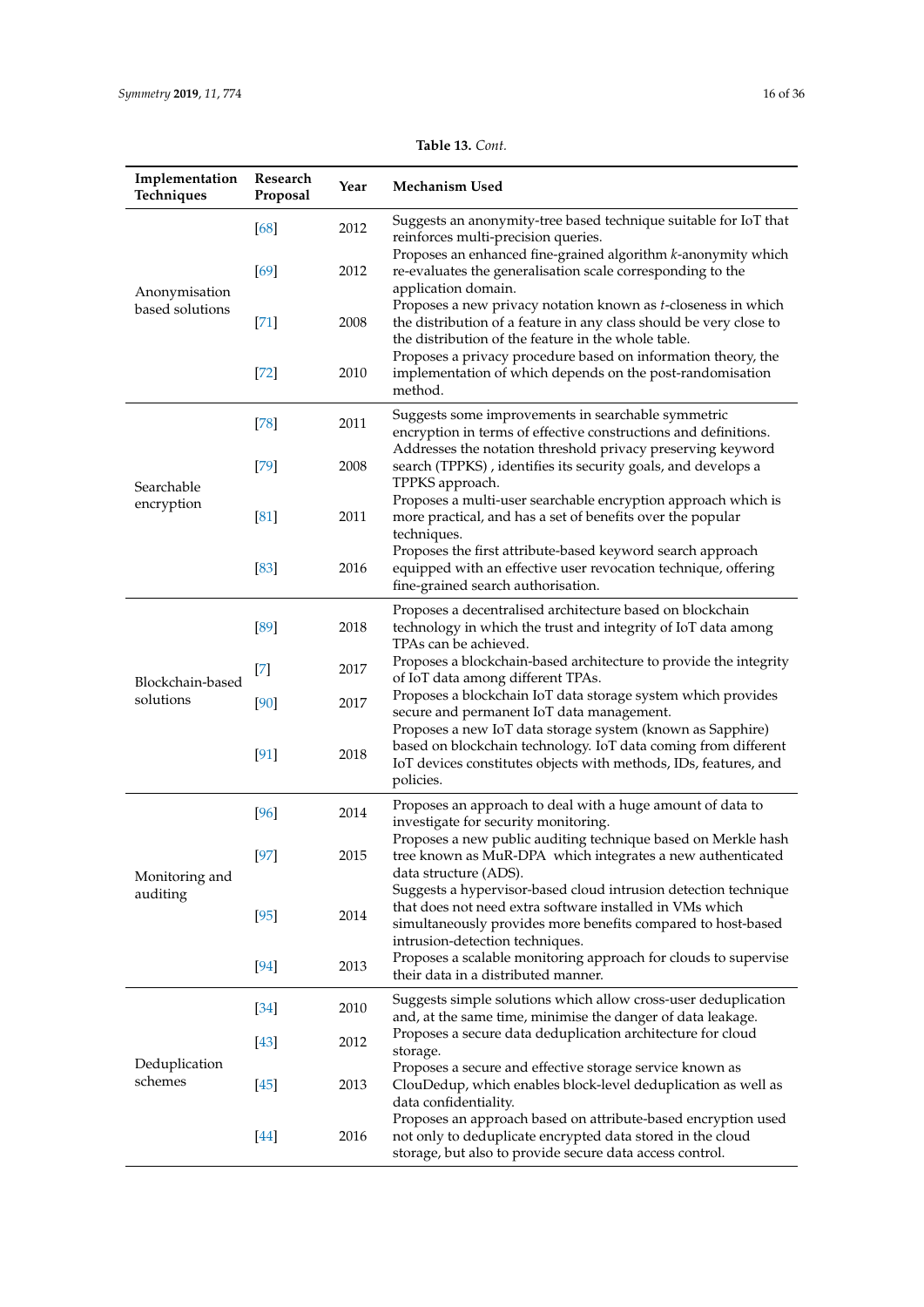# **Table 13.** *Cont.*

| Implementation<br>Techniques | Research<br>Proposal              | Year | <b>Mechanism Used</b>                                                                                                                                                                                                          |
|------------------------------|-----------------------------------|------|--------------------------------------------------------------------------------------------------------------------------------------------------------------------------------------------------------------------------------|
|                              | [68]                              | 2012 | Suggests an anonymity-tree based technique suitable for IoT that<br>reinforces multi-precision queries.                                                                                                                        |
| Anonymisation                | [69]                              | 2012 | Proposes an enhanced fine-grained algorithm k-anonymity which<br>re-evaluates the generalisation scale corresponding to the<br>application domain.                                                                             |
| based solutions              | $[71]$                            | 2008 | Proposes a new privacy notation known as t-closeness in which<br>the distribution of a feature in any class should be very close to<br>the distribution of the feature in the whole table.                                     |
|                              | $[72]$                            | 2010 | Proposes a privacy procedure based on information theory, the<br>implementation of which depends on the post-randomisation<br>method.                                                                                          |
|                              | $[78]$                            | 2011 | Suggests some improvements in searchable symmetric<br>encryption in terms of effective constructions and definitions.                                                                                                          |
| Searchable                   | 2008<br>$[79]$<br>TPPKS approach. |      | Addresses the notation threshold privacy preserving keyword<br>search (TPPKS), identifies its security goals, and develops a                                                                                                   |
| encryption                   | [81]                              | 2011 | Proposes a multi-user searchable encryption approach which is<br>more practical, and has a set of benefits over the popular<br>techniques.                                                                                     |
|                              | $[83]$                            | 2016 | Proposes the first attribute-based keyword search approach<br>equipped with an effective user revocation technique, offering<br>fine-grained search authorisation.                                                             |
|                              | [89]                              | 2018 | Proposes a decentralised architecture based on blockchain<br>technology in which the trust and integrity of IoT data among<br>TPAs can be achieved.                                                                            |
| Blockchain-based             | $[7]$                             | 2017 | Proposes a blockchain-based architecture to provide the integrity<br>of IoT data among different TPAs.                                                                                                                         |
| solutions                    | [90]                              | 2017 | Proposes a blockchain IoT data storage system which provides<br>secure and permanent IoT data management.<br>Proposes a new IoT data storage system (known as Sapphire)                                                        |
|                              | [91]                              | 2018 | based on blockchain technology. IoT data coming from different<br>IoT devices constitutes objects with methods, IDs, features, and<br>policies.                                                                                |
|                              | [96]                              | 2014 | Proposes an approach to deal with a huge amount of data to<br>investigate for security monitoring.                                                                                                                             |
| Monitoring and               | $[97]$                            | 2015 | Proposes a new public auditing technique based on Merkle hash<br>tree known as MuR-DPA which integrates a new authenticated<br>data structure (ADS).                                                                           |
| auditing                     | $[95]$                            | 2014 | Suggests a hypervisor-based cloud intrusion detection technique<br>that does not need extra software installed in VMs which<br>simultaneously provides more benefits compared to host-based<br>intrusion-detection techniques. |
|                              | $[94]$                            | 2013 | Proposes a scalable monitoring approach for clouds to supervise<br>their data in a distributed manner.                                                                                                                         |
|                              | $[34]$                            | 2010 | Suggests simple solutions which allow cross-user deduplication<br>and, at the same time, minimise the danger of data leakage.                                                                                                  |
|                              | $[43]$                            | 2012 | Proposes a secure data deduplication architecture for cloud<br>storage.                                                                                                                                                        |
| Deduplication<br>schemes     | $[45]$                            | 2013 | Proposes a secure and effective storage service known as<br>ClouDedup, which enables block-level deduplication as well as<br>data confidentiality.                                                                             |
|                              | $[44]$                            | 2016 | Proposes an approach based on attribute-based encryption used<br>not only to deduplicate encrypted data stored in the cloud<br>storage, but also to provide secure data access control.                                        |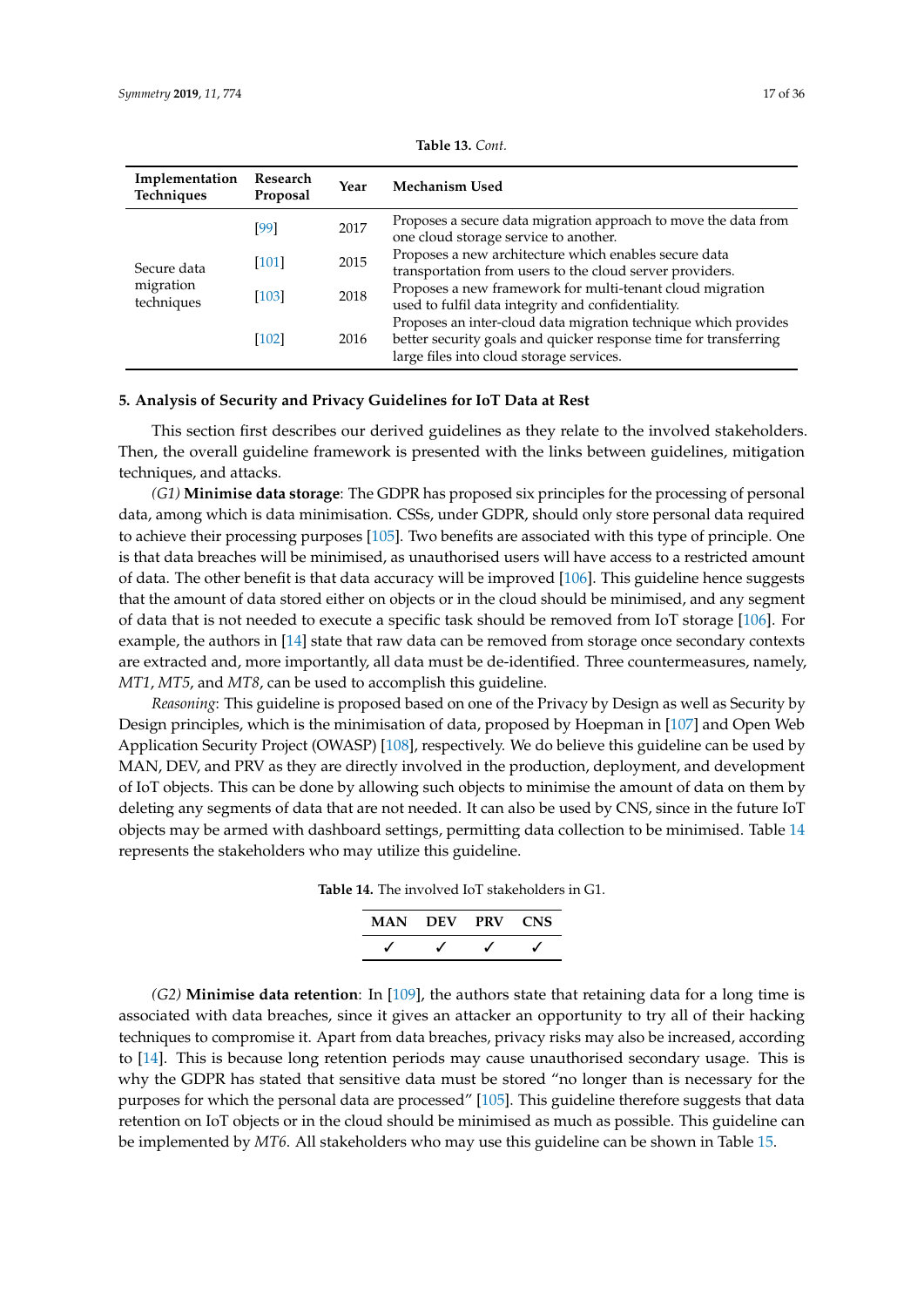| Implementation<br>Techniques                                 | Research<br>Proposal | Year | <b>Mechanism Used</b>                                                                                                                                                           |
|--------------------------------------------------------------|----------------------|------|---------------------------------------------------------------------------------------------------------------------------------------------------------------------------------|
|                                                              | [99]                 | 2017 | Proposes a secure data migration approach to move the data from<br>one cloud storage service to another.                                                                        |
| $[101]$<br>Secure data<br>migration<br>$[103]$<br>techniques |                      | 2015 | Proposes a new architecture which enables secure data<br>transportation from users to the cloud server providers.                                                               |
|                                                              |                      | 2018 | Proposes a new framework for multi-tenant cloud migration<br>used to fulfil data integrity and confidentiality.                                                                 |
|                                                              | [102]                | 2016 | Proposes an inter-cloud data migration technique which provides<br>better security goals and quicker response time for transferring<br>large files into cloud storage services. |

**Table 13.** *Cont.*

# <span id="page-16-0"></span>**5. Analysis of Security and Privacy Guidelines for IoT Data at Rest**

This section first describes our derived guidelines as they relate to the involved stakeholders. Then, the overall guideline framework is presented with the links between guidelines, mitigation techniques, and attacks.

*(G1)* **Minimise data storage**: The GDPR has proposed six principles for the processing of personal data, among which is data minimisation. CSSs, under GDPR, should only store personal data required to achieve their processing purposes [\[105\]](#page-33-17). Two benefits are associated with this type of principle. One is that data breaches will be minimised, as unauthorised users will have access to a restricted amount of data. The other benefit is that data accuracy will be improved [\[106\]](#page-34-0). This guideline hence suggests that the amount of data stored either on objects or in the cloud should be minimised, and any segment of data that is not needed to execute a specific task should be removed from IoT storage [\[106\]](#page-34-0). For example, the authors in [\[14\]](#page-29-7) state that raw data can be removed from storage once secondary contexts are extracted and, more importantly, all data must be de-identified. Three countermeasures, namely, *MT1*, *MT5*, and *MT8*, can be used to accomplish this guideline.

*Reasoning*: This guideline is proposed based on one of the Privacy by Design as well as Security by Design principles, which is the minimisation of data, proposed by Hoepman in [\[107\]](#page-34-1) and Open Web Application Security Project (OWASP) [\[108\]](#page-34-2), respectively. We do believe this guideline can be used by MAN, DEV, and PRV as they are directly involved in the production, deployment, and development of IoT objects. This can be done by allowing such objects to minimise the amount of data on them by deleting any segments of data that are not needed. It can also be used by CNS, since in the future IoT objects may be armed with dashboard settings, permitting data collection to be minimised. Table [14](#page-16-1) represents the stakeholders who may utilize this guideline.

**Table 14.** The involved IoT stakeholders in G1.

| MAN DEV | PRV | <b>CNS</b> |
|---------|-----|------------|
|         |     |            |

<span id="page-16-1"></span>*(G2)* **Minimise data retention**: In [\[109\]](#page-34-3), the authors state that retaining data for a long time is associated with data breaches, since it gives an attacker an opportunity to try all of their hacking techniques to compromise it. Apart from data breaches, privacy risks may also be increased, according to [\[14\]](#page-29-7). This is because long retention periods may cause unauthorised secondary usage. This is why the GDPR has stated that sensitive data must be stored "no longer than is necessary for the purposes for which the personal data are processed" [\[105\]](#page-33-17). This guideline therefore suggests that data retention on IoT objects or in the cloud should be minimised as much as possible. This guideline can be implemented by *MT6*. All stakeholders who may use this guideline can be shown in Table [15.](#page-17-0)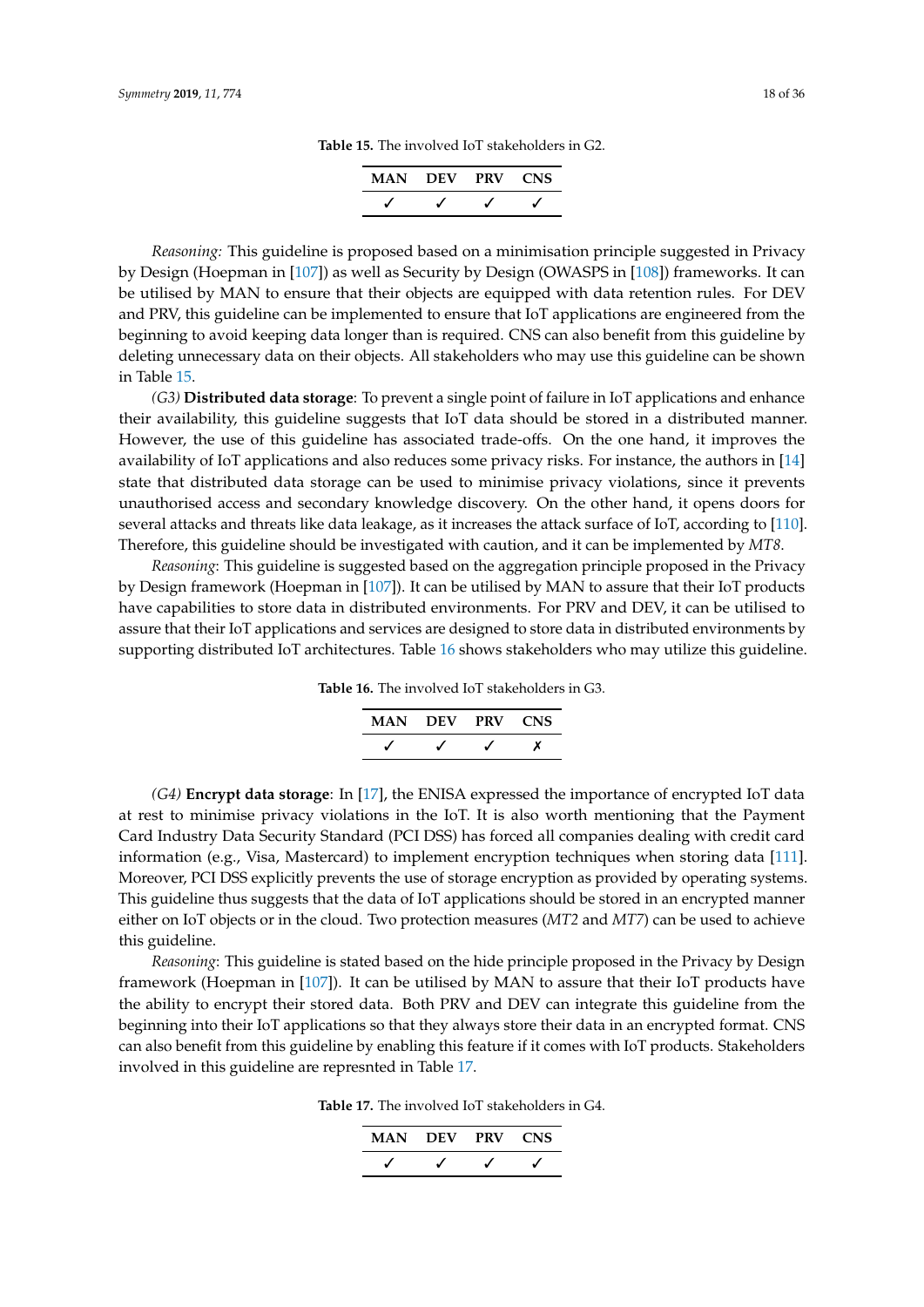**Table 15.** The involved IoT stakeholders in G2.

| MAN | DEV | PRV |  |
|-----|-----|-----|--|
|     |     |     |  |

<span id="page-17-0"></span>*Reasoning:* This guideline is proposed based on a minimisation principle suggested in Privacy by Design (Hoepman in [\[107\]](#page-34-1)) as well as Security by Design (OWASPS in [\[108\]](#page-34-2)) frameworks. It can be utilised by MAN to ensure that their objects are equipped with data retention rules. For DEV and PRV, this guideline can be implemented to ensure that IoT applications are engineered from the beginning to avoid keeping data longer than is required. CNS can also benefit from this guideline by deleting unnecessary data on their objects. All stakeholders who may use this guideline can be shown in Table [15.](#page-17-0)

*(G3)* **Distributed data storage**: To prevent a single point of failure in IoT applications and enhance their availability, this guideline suggests that IoT data should be stored in a distributed manner. However, the use of this guideline has associated trade-offs. On the one hand, it improves the availability of IoT applications and also reduces some privacy risks. For instance, the authors in [\[14\]](#page-29-7) state that distributed data storage can be used to minimise privacy violations, since it prevents unauthorised access and secondary knowledge discovery. On the other hand, it opens doors for several attacks and threats like data leakage, as it increases the attack surface of IoT, according to [\[110\]](#page-34-4). Therefore, this guideline should be investigated with caution, and it can be implemented by *MT8*.

<span id="page-17-1"></span>*Reasoning*: This guideline is suggested based on the aggregation principle proposed in the Privacy by Design framework (Hoepman in [\[107\]](#page-34-1)). It can be utilised by MAN to assure that their IoT products have capabilities to store data in distributed environments. For PRV and DEV, it can be utilised to assure that their IoT applications and services are designed to store data in distributed environments by supporting distributed IoT architectures. Table [16](#page-17-1) shows stakeholders who may utilize this guideline.

**Table 16.** The involved IoT stakeholders in G3.

| MAN DEV PRV | <b>CNS</b> |
|-------------|------------|
|             |            |

*(G4)* **Encrypt data storage**: In [\[17\]](#page-29-11), the ENISA expressed the importance of encrypted IoT data at rest to minimise privacy violations in the IoT. It is also worth mentioning that the Payment Card Industry Data Security Standard (PCI DSS) has forced all companies dealing with credit card information (e.g., Visa, Mastercard) to implement encryption techniques when storing data [\[111\]](#page-34-5). Moreover, PCI DSS explicitly prevents the use of storage encryption as provided by operating systems. This guideline thus suggests that the data of IoT applications should be stored in an encrypted manner either on IoT objects or in the cloud. Two protection measures (*MT2* and *MT7*) can be used to achieve this guideline.

<span id="page-17-2"></span>*Reasoning*: This guideline is stated based on the hide principle proposed in the Privacy by Design framework (Hoepman in [\[107\]](#page-34-1)). It can be utilised by MAN to assure that their IoT products have the ability to encrypt their stored data. Both PRV and DEV can integrate this guideline from the beginning into their IoT applications so that they always store their data in an encrypted format. CNS can also benefit from this guideline by enabling this feature if it comes with IoT products. Stakeholders involved in this guideline are represnted in Table [17.](#page-17-2)

**Table 17.** The involved IoT stakeholders in G4.

| MAN DEV PRV | <b>CNS</b> |
|-------------|------------|
|             |            |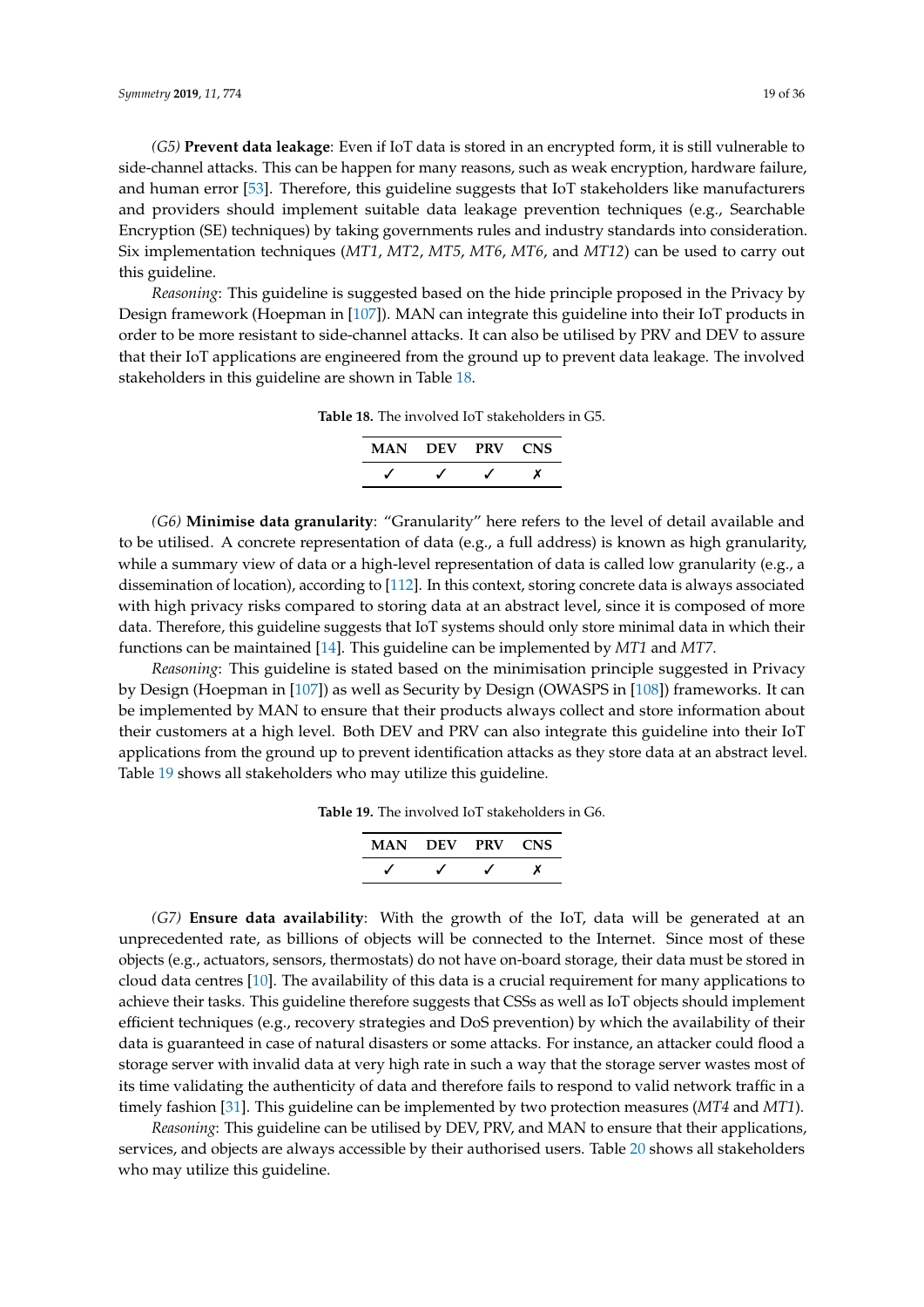*(G5)* **Prevent data leakage**: Even if IoT data is stored in an encrypted form, it is still vulnerable to side-channel attacks. This can be happen for many reasons, such as weak encryption, hardware failure, and human error [\[53\]](#page-31-16). Therefore, this guideline suggests that IoT stakeholders like manufacturers and providers should implement suitable data leakage prevention techniques (e.g., Searchable Encryption (SE) techniques) by taking governments rules and industry standards into consideration. Six implementation techniques (*MT1*, *MT2*, *MT5*, *MT6*, *MT6*, and *MT12*) can be used to carry out this guideline.

<span id="page-18-0"></span>*Reasoning*: This guideline is suggested based on the hide principle proposed in the Privacy by Design framework (Hoepman in [\[107\]](#page-34-1)). MAN can integrate this guideline into their IoT products in order to be more resistant to side-channel attacks. It can also be utilised by PRV and DEV to assure that their IoT applications are engineered from the ground up to prevent data leakage. The involved stakeholders in this guideline are shown in Table [18.](#page-18-0)

**Table 18.** The involved IoT stakeholders in G5.

| MAN | DEV | PRV |  |
|-----|-----|-----|--|
|     |     |     |  |

*(G6)* **Minimise data granularity**: "Granularity" here refers to the level of detail available and to be utilised. A concrete representation of data (e.g., a full address) is known as high granularity, while a summary view of data or a high-level representation of data is called low granularity (e.g., a dissemination of location), according to [\[112\]](#page-34-6). In this context, storing concrete data is always associated with high privacy risks compared to storing data at an abstract level, since it is composed of more data. Therefore, this guideline suggests that IoT systems should only store minimal data in which their functions can be maintained [\[14\]](#page-29-7). This guideline can be implemented by *MT1* and *MT7*.

*Reasoning*: This guideline is stated based on the minimisation principle suggested in Privacy by Design (Hoepman in [\[107\]](#page-34-1)) as well as Security by Design (OWASPS in [\[108\]](#page-34-2)) frameworks. It can be implemented by MAN to ensure that their products always collect and store information about their customers at a high level. Both DEV and PRV can also integrate this guideline into their IoT applications from the ground up to prevent identification attacks as they store data at an abstract level. Table [19](#page-18-1) shows all stakeholders who may utilize this guideline.

| <b>Table 19.</b> The involved IoT stakeholders in G6. |
|-------------------------------------------------------|
|-------------------------------------------------------|

| <b>MAN DEV PRV</b> | <b>CNS</b> |
|--------------------|------------|
|                    |            |

<span id="page-18-1"></span>*(G7)* **Ensure data availability**: With the growth of the IoT, data will be generated at an unprecedented rate, as billions of objects will be connected to the Internet. Since most of these objects (e.g., actuators, sensors, thermostats) do not have on-board storage, their data must be stored in cloud data centres [\[10\]](#page-29-3). The availability of this data is a crucial requirement for many applications to achieve their tasks. This guideline therefore suggests that CSSs as well as IoT objects should implement efficient techniques (e.g., recovery strategies and DoS prevention) by which the availability of their data is guaranteed in case of natural disasters or some attacks. For instance, an attacker could flood a storage server with invalid data at very high rate in such a way that the storage server wastes most of its time validating the authenticity of data and therefore fails to respond to valid network traffic in a timely fashion [\[31\]](#page-30-4). This guideline can be implemented by two protection measures (*MT4* and *MT1*).

*Reasoning*: This guideline can be utilised by DEV, PRV, and MAN to ensure that their applications, services, and objects are always accessible by their authorised users. Table [20](#page-19-0) shows all stakeholders who may utilize this guideline.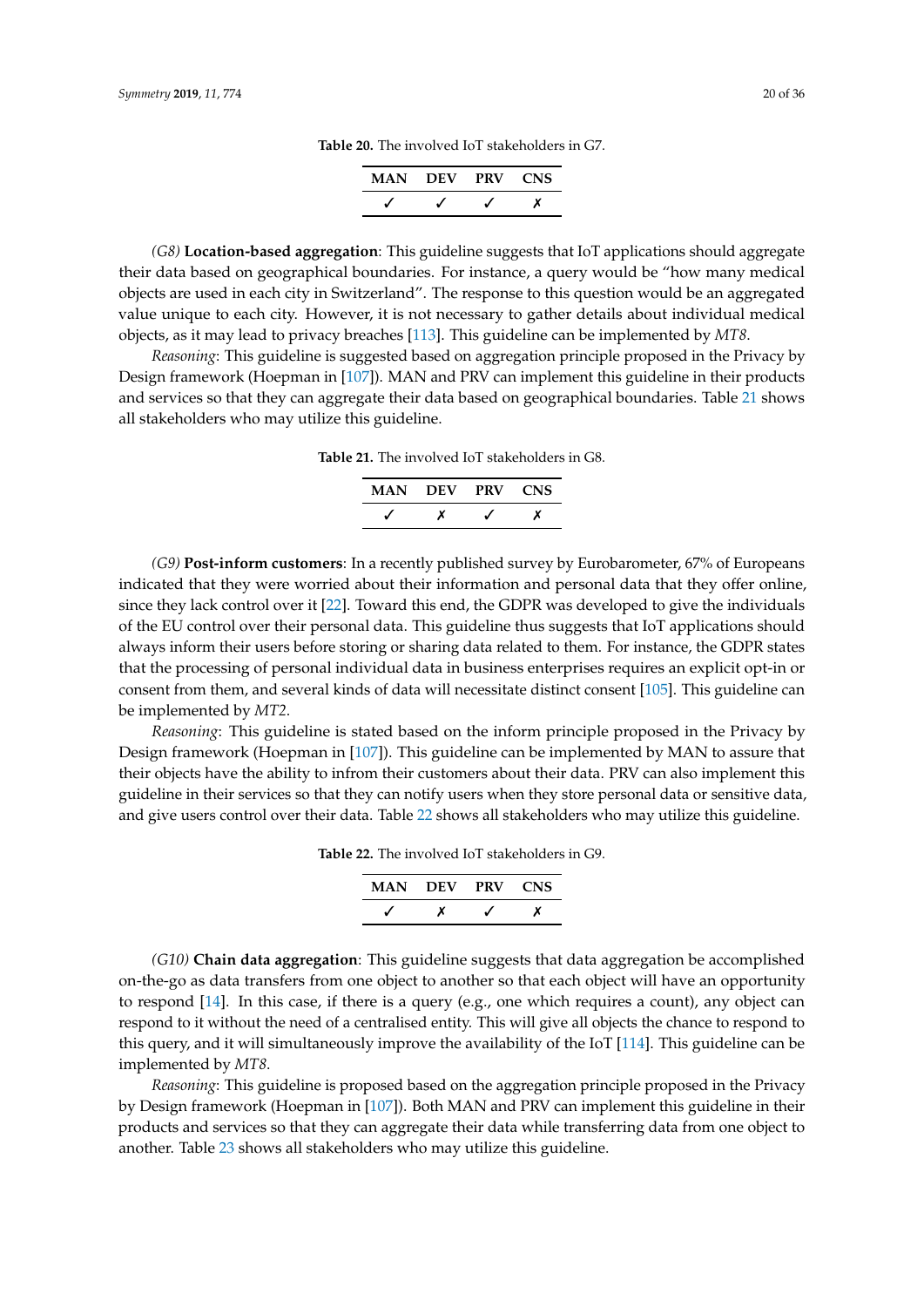**Table 20.** The involved IoT stakeholders in G7.

| MAN | DEV | PRV | <b>CNS</b> |
|-----|-----|-----|------------|
|     |     |     |            |

<span id="page-19-0"></span>*(G8)* **Location-based aggregation**: This guideline suggests that IoT applications should aggregate their data based on geographical boundaries. For instance, a query would be "how many medical objects are used in each city in Switzerland". The response to this question would be an aggregated value unique to each city. However, it is not necessary to gather details about individual medical objects, as it may lead to privacy breaches [\[113\]](#page-34-7). This guideline can be implemented by *MT8*.

<span id="page-19-1"></span>*Reasoning*: This guideline is suggested based on aggregation principle proposed in the Privacy by Design framework (Hoepman in [\[107\]](#page-34-1)). MAN and PRV can implement this guideline in their products and services so that they can aggregate their data based on geographical boundaries. Table [21](#page-19-1) shows all stakeholders who may utilize this guideline.

**Table 21.** The involved IoT stakeholders in G8.

| MAN | DEV | PRV | <b>CNS</b> |
|-----|-----|-----|------------|
|     |     |     |            |

*(G9)* **Post-inform customers**: In a recently published survey by Eurobarometer, 67% of Europeans indicated that they were worried about their information and personal data that they offer online, since they lack control over it [\[22\]](#page-29-14). Toward this end, the GDPR was developed to give the individuals of the EU control over their personal data. This guideline thus suggests that IoT applications should always inform their users before storing or sharing data related to them. For instance, the GDPR states that the processing of personal individual data in business enterprises requires an explicit opt-in or consent from them, and several kinds of data will necessitate distinct consent [\[105\]](#page-33-17). This guideline can be implemented by *MT2*.

<span id="page-19-2"></span>*Reasoning*: This guideline is stated based on the inform principle proposed in the Privacy by Design framework (Hoepman in [\[107\]](#page-34-1)). This guideline can be implemented by MAN to assure that their objects have the ability to infrom their customers about their data. PRV can also implement this guideline in their services so that they can notify users when they store personal data or sensitive data, and give users control over their data. Table [22](#page-19-2) shows all stakeholders who may utilize this guideline.

**Table 22.** The involved IoT stakeholders in G9.

| <b>MAN</b> | DFV | PRV | 6 N.S |
|------------|-----|-----|-------|
|            |     |     |       |

*(G10)* **Chain data aggregation**: This guideline suggests that data aggregation be accomplished on-the-go as data transfers from one object to another so that each object will have an opportunity to respond [\[14\]](#page-29-7). In this case, if there is a query (e.g., one which requires a count), any object can respond to it without the need of a centralised entity. This will give all objects the chance to respond to this query, and it will simultaneously improve the availability of the IoT [\[114\]](#page-34-8). This guideline can be implemented by *MT8*.

*Reasoning*: This guideline is proposed based on the aggregation principle proposed in the Privacy by Design framework (Hoepman in [\[107\]](#page-34-1)). Both MAN and PRV can implement this guideline in their products and services so that they can aggregate their data while transferring data from one object to another. Table [23](#page-20-0) shows all stakeholders who may utilize this guideline.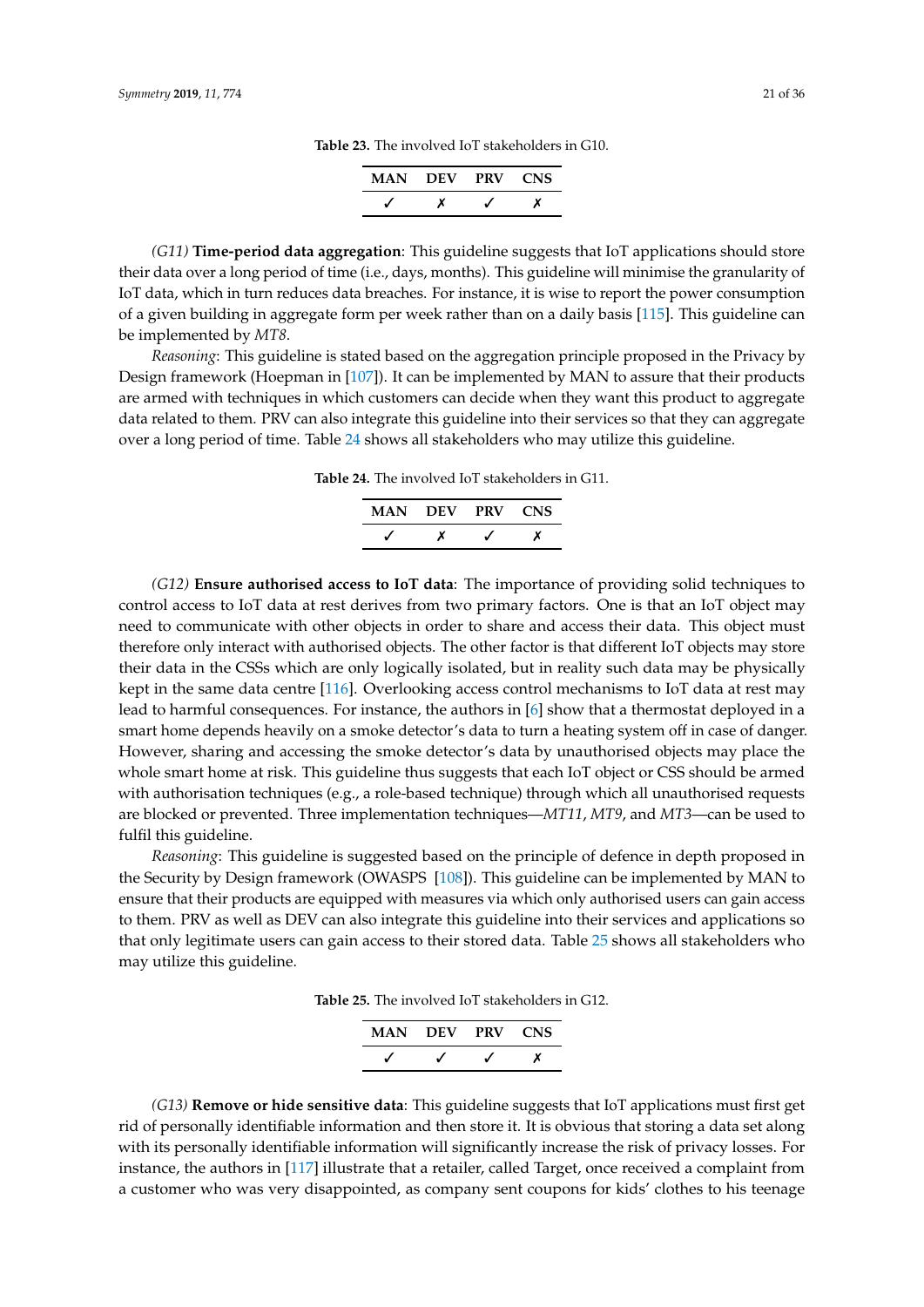**Table 23.** The involved IoT stakeholders in G10.

| MAN | DEV | PRV | <b>CNS</b> |
|-----|-----|-----|------------|
|     |     |     |            |

<span id="page-20-0"></span>*(G11)* **Time-period data aggregation**: This guideline suggests that IoT applications should store their data over a long period of time (i.e., days, months). This guideline will minimise the granularity of IoT data, which in turn reduces data breaches. For instance, it is wise to report the power consumption of a given building in aggregate form per week rather than on a daily basis [\[115\]](#page-34-9). This guideline can be implemented by *MT8*.

<span id="page-20-1"></span>*Reasoning*: This guideline is stated based on the aggregation principle proposed in the Privacy by Design framework (Hoepman in [\[107\]](#page-34-1)). It can be implemented by MAN to assure that their products are armed with techniques in which customers can decide when they want this product to aggregate data related to them. PRV can also integrate this guideline into their services so that they can aggregate over a long period of time. Table [24](#page-20-1) shows all stakeholders who may utilize this guideline.

**Table 24.** The involved IoT stakeholders in G11.

| MAN DEV PRV | <b>CR</b> |
|-------------|-----------|
|             |           |

*(G12)* **Ensure authorised access to IoT data**: The importance of providing solid techniques to control access to IoT data at rest derives from two primary factors. One is that an IoT object may need to communicate with other objects in order to share and access their data. This object must therefore only interact with authorised objects. The other factor is that different IoT objects may store their data in the CSSs which are only logically isolated, but in reality such data may be physically kept in the same data centre [\[116\]](#page-34-10). Overlooking access control mechanisms to IoT data at rest may lead to harmful consequences. For instance, the authors in [\[6\]](#page-28-5) show that a thermostat deployed in a smart home depends heavily on a smoke detector's data to turn a heating system off in case of danger. However, sharing and accessing the smoke detector's data by unauthorised objects may place the whole smart home at risk. This guideline thus suggests that each IoT object or CSS should be armed with authorisation techniques (e.g., a role-based technique) through which all unauthorised requests are blocked or prevented. Three implementation techniques—*MT11*, *MT9*, and *MT3*—can be used to fulfil this guideline.

*Reasoning*: This guideline is suggested based on the principle of defence in depth proposed in the Security by Design framework (OWASPS [\[108\]](#page-34-2)). This guideline can be implemented by MAN to ensure that their products are equipped with measures via which only authorised users can gain access to them. PRV as well as DEV can also integrate this guideline into their services and applications so that only legitimate users can gain access to their stored data. Table [25](#page-20-2) shows all stakeholders who may utilize this guideline.

**Table 25.** The involved IoT stakeholders in G12.

| MAN | <b>DEV</b> | PRV |  |
|-----|------------|-----|--|
|     |            |     |  |

<span id="page-20-2"></span>*(G13)* **Remove or hide sensitive data**: This guideline suggests that IoT applications must first get rid of personally identifiable information and then store it. It is obvious that storing a data set along with its personally identifiable information will significantly increase the risk of privacy losses. For instance, the authors in [\[117\]](#page-34-11) illustrate that a retailer, called Target, once received a complaint from a customer who was very disappointed, as company sent coupons for kids' clothes to his teenage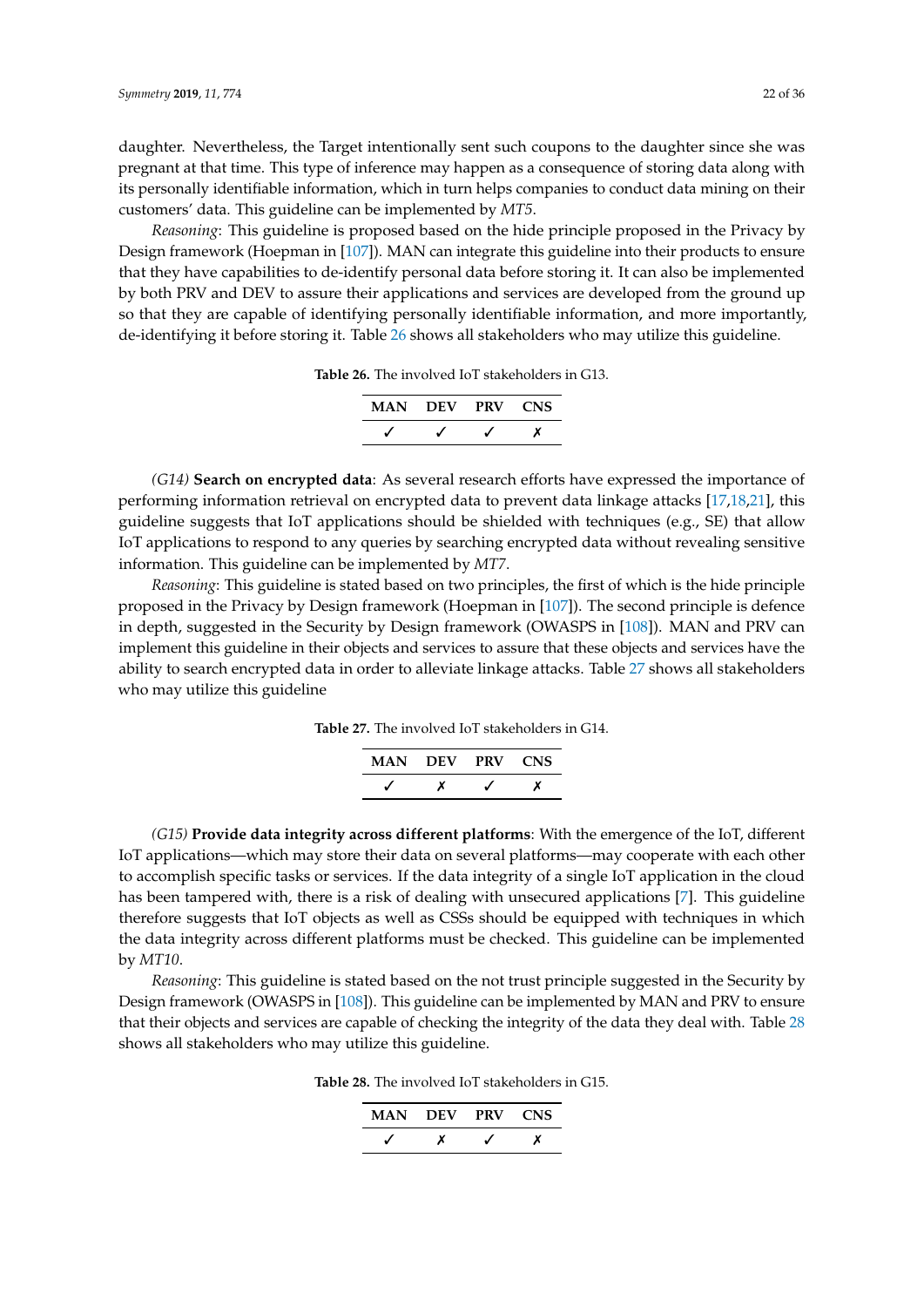daughter. Nevertheless, the Target intentionally sent such coupons to the daughter since she was pregnant at that time. This type of inference may happen as a consequence of storing data along with its personally identifiable information, which in turn helps companies to conduct data mining on their customers' data. This guideline can be implemented by *MT5*.

*Reasoning*: This guideline is proposed based on the hide principle proposed in the Privacy by Design framework (Hoepman in [\[107\]](#page-34-1)). MAN can integrate this guideline into their products to ensure that they have capabilities to de-identify personal data before storing it. It can also be implemented by both PRV and DEV to assure their applications and services are developed from the ground up so that they are capable of identifying personally identifiable information, and more importantly, de-identifying it before storing it. Table [26](#page-21-0) shows all stakeholders who may utilize this guideline.

**Table 26.** The involved IoT stakeholders in G13.

| MAN DEV PRV |  |
|-------------|--|
|             |  |

<span id="page-21-0"></span>*(G14)* **Search on encrypted data**: As several research efforts have expressed the importance of performing information retrieval on encrypted data to prevent data linkage attacks [\[17](#page-29-11)[,18](#page-29-12)[,21\]](#page-29-8), this guideline suggests that IoT applications should be shielded with techniques (e.g., SE) that allow IoT applications to respond to any queries by searching encrypted data without revealing sensitive information. This guideline can be implemented by *MT7*.

*Reasoning*: This guideline is stated based on two principles, the first of which is the hide principle proposed in the Privacy by Design framework (Hoepman in [\[107\]](#page-34-1)). The second principle is defence in depth, suggested in the Security by Design framework (OWASPS in [\[108\]](#page-34-2)). MAN and PRV can implement this guideline in their objects and services to assure that these objects and services have the ability to search encrypted data in order to alleviate linkage attacks. Table [27](#page-21-1) shows all stakeholders who may utilize this guideline

**Table 27.** The involved IoT stakeholders in G14.

| MAN | DEV | PRV | <b>CNS</b> |
|-----|-----|-----|------------|
|     |     |     |            |

<span id="page-21-1"></span>*(G15)* **Provide data integrity across different platforms**: With the emergence of the IoT, different IoT applications—which may store their data on several platforms—may cooperate with each other to accomplish specific tasks or services. If the data integrity of a single IoT application in the cloud has been tampered with, there is a risk of dealing with unsecured applications [\[7\]](#page-29-0). This guideline therefore suggests that IoT objects as well as CSSs should be equipped with techniques in which the data integrity across different platforms must be checked. This guideline can be implemented by *MT10*.

<span id="page-21-2"></span>*Reasoning*: This guideline is stated based on the not trust principle suggested in the Security by Design framework (OWASPS in [\[108\]](#page-34-2)). This guideline can be implemented by MAN and PRV to ensure that their objects and services are capable of checking the integrity of the data they deal with. Table [28](#page-21-2) shows all stakeholders who may utilize this guideline.

**Table 28.** The involved IoT stakeholders in G15.

| MAN DEV | PRV | <b>CNS</b> |
|---------|-----|------------|
|         |     |            |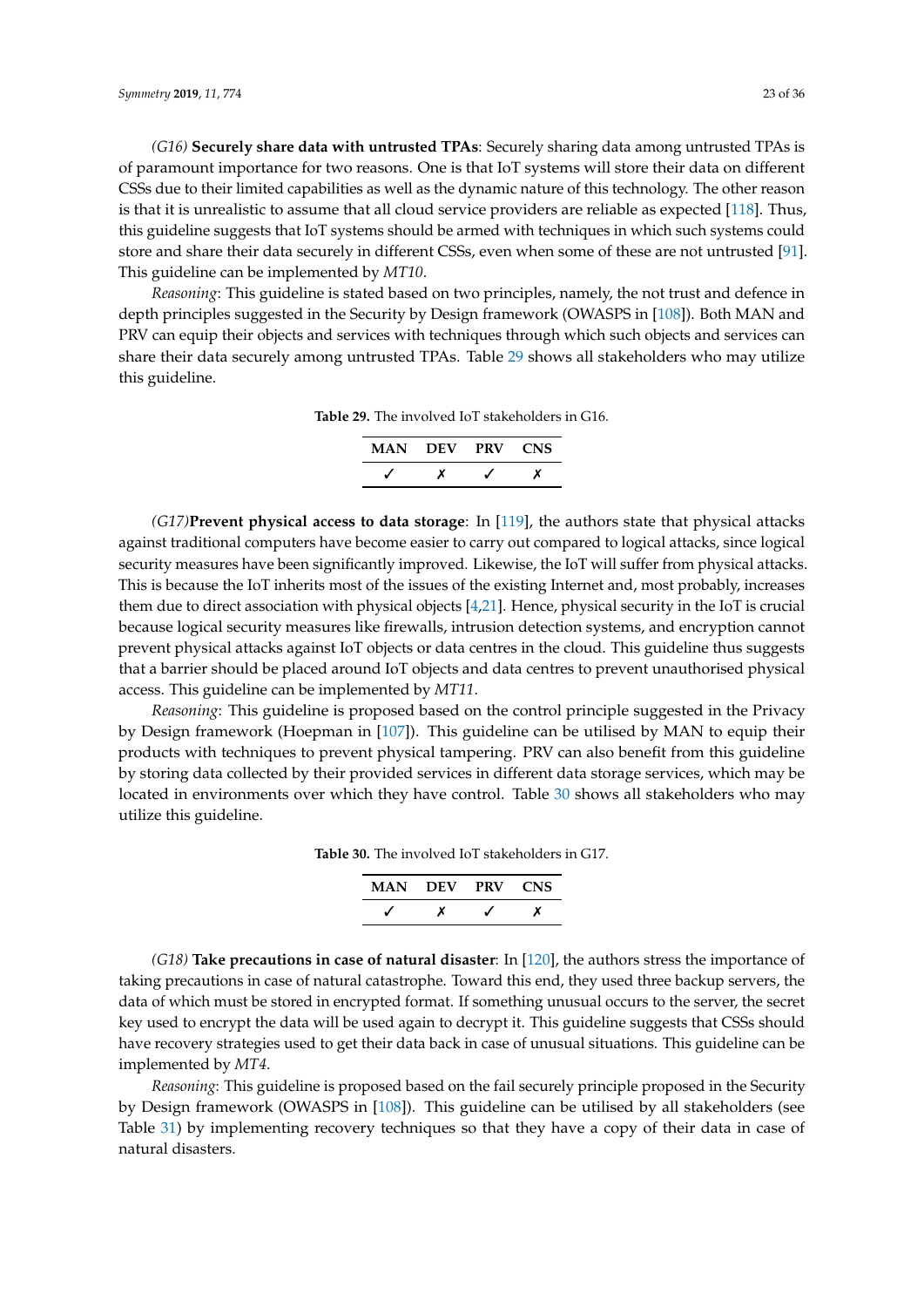*(G16)* **Securely share data with untrusted TPAs**: Securely sharing data among untrusted TPAs is of paramount importance for two reasons. One is that IoT systems will store their data on different CSSs due to their limited capabilities as well as the dynamic nature of this technology. The other reason is that it is unrealistic to assume that all cloud service providers are reliable as expected [\[118\]](#page-34-12). Thus, this guideline suggests that IoT systems should be armed with techniques in which such systems could store and share their data securely in different CSSs, even when some of these are not untrusted [\[91\]](#page-33-2). This guideline can be implemented by *MT10*.

<span id="page-22-0"></span>*Reasoning*: This guideline is stated based on two principles, namely, the not trust and defence in depth principles suggested in the Security by Design framework (OWASPS in [\[108\]](#page-34-2)). Both MAN and PRV can equip their objects and services with techniques through which such objects and services can share their data securely among untrusted TPAs. Table [29](#page-22-0) shows all stakeholders who may utilize this guideline.

**Table 29.** The involved IoT stakeholders in G16.

| MAN | DEV | PRV | <b>CNS</b> |
|-----|-----|-----|------------|
|     |     |     |            |

*(G17)***Prevent physical access to data storage**: In [\[119\]](#page-34-13), the authors state that physical attacks against traditional computers have become easier to carry out compared to logical attacks, since logical security measures have been significantly improved. Likewise, the IoT will suffer from physical attacks. This is because the IoT inherits most of the issues of the existing Internet and, most probably, increases them due to direct association with physical objects [\[4,](#page-28-3)[21\]](#page-29-8). Hence, physical security in the IoT is crucial because logical security measures like firewalls, intrusion detection systems, and encryption cannot prevent physical attacks against IoT objects or data centres in the cloud. This guideline thus suggests that a barrier should be placed around IoT objects and data centres to prevent unauthorised physical access. This guideline can be implemented by *MT11*.

*Reasoning*: This guideline is proposed based on the control principle suggested in the Privacy by Design framework (Hoepman in [\[107\]](#page-34-1)). This guideline can be utilised by MAN to equip their products with techniques to prevent physical tampering. PRV can also benefit from this guideline by storing data collected by their provided services in different data storage services, which may be located in environments over which they have control. Table [30](#page-22-1) shows all stakeholders who may utilize this guideline.

**Table 30.** The involved IoT stakeholders in G17.

| <b>MAN</b> | DEV | PRV | -CNS |
|------------|-----|-----|------|
|            |     |     |      |

<span id="page-22-1"></span>*(G18)* **Take precautions in case of natural disaster**: In [\[120\]](#page-34-14), the authors stress the importance of taking precautions in case of natural catastrophe. Toward this end, they used three backup servers, the data of which must be stored in encrypted format. If something unusual occurs to the server, the secret key used to encrypt the data will be used again to decrypt it. This guideline suggests that CSSs should have recovery strategies used to get their data back in case of unusual situations. This guideline can be implemented by *MT4*.

*Reasoning*: This guideline is proposed based on the fail securely principle proposed in the Security by Design framework (OWASPS in [\[108\]](#page-34-2)). This guideline can be utilised by all stakeholders (see Table [31\)](#page-23-0) by implementing recovery techniques so that they have a copy of their data in case of natural disasters.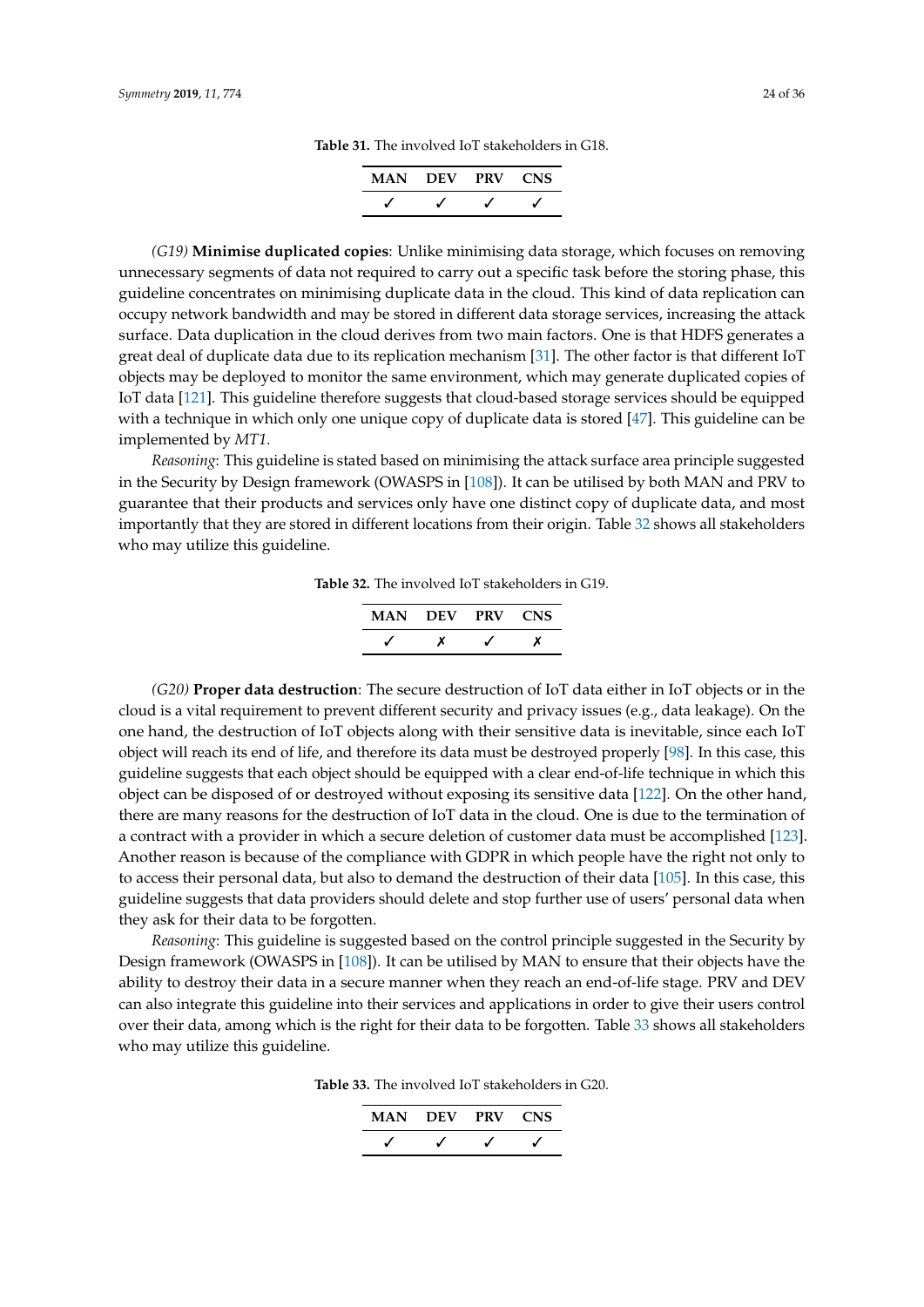**Table 31.** The involved IoT stakeholders in G18.

| MAN | DEV | PRV | <b>CNS</b> |  |  |  |  |
|-----|-----|-----|------------|--|--|--|--|
|     |     |     |            |  |  |  |  |

<span id="page-23-0"></span>*(G19)* **Minimise duplicated copies**: Unlike minimising data storage, which focuses on removing unnecessary segments of data not required to carry out a specific task before the storing phase, this guideline concentrates on minimising duplicate data in the cloud. This kind of data replication can occupy network bandwidth and may be stored in different data storage services, increasing the attack surface. Data duplication in the cloud derives from two main factors. One is that HDFS generates a great deal of duplicate data due to its replication mechanism [\[31\]](#page-30-4). The other factor is that different IoT objects may be deployed to monitor the same environment, which may generate duplicated copies of IoT data [\[121\]](#page-34-15). This guideline therefore suggests that cloud-based storage services should be equipped with a technique in which only one unique copy of duplicate data is stored [\[47\]](#page-30-20). This guideline can be implemented by *MT1*.

<span id="page-23-1"></span>*Reasoning*: This guideline is stated based on minimising the attack surface area principle suggested in the Security by Design framework (OWASPS in [\[108\]](#page-34-2)). It can be utilised by both MAN and PRV to guarantee that their products and services only have one distinct copy of duplicate data, and most importantly that they are stored in different locations from their origin. Table [32](#page-23-1) shows all stakeholders who may utilize this guideline.

**Table 32.** The involved IoT stakeholders in G19.

| MAN | <b>DEV</b> | PRV | <b>CNS</b> |  |  |  |  |
|-----|------------|-----|------------|--|--|--|--|
|     |            |     |            |  |  |  |  |

*(G20)* **Proper data destruction**: The secure destruction of IoT data either in IoT objects or in the cloud is a vital requirement to prevent different security and privacy issues (e.g., data leakage). On the one hand, the destruction of IoT objects along with their sensitive data is inevitable, since each IoT object will reach its end of life, and therefore its data must be destroyed properly [\[98\]](#page-33-10). In this case, this guideline suggests that each object should be equipped with a clear end-of-life technique in which this object can be disposed of or destroyed without exposing its sensitive data [\[122\]](#page-34-16). On the other hand, there are many reasons for the destruction of IoT data in the cloud. One is due to the termination of a contract with a provider in which a secure deletion of customer data must be accomplished [\[123\]](#page-34-17). Another reason is because of the compliance with GDPR in which people have the right not only to to access their personal data, but also to demand the destruction of their data [\[105\]](#page-33-17). In this case, this guideline suggests that data providers should delete and stop further use of users' personal data when they ask for their data to be forgotten.

<span id="page-23-2"></span>*Reasoning*: This guideline is suggested based on the control principle suggested in the Security by Design framework (OWASPS in [\[108\]](#page-34-2)). It can be utilised by MAN to ensure that their objects have the ability to destroy their data in a secure manner when they reach an end-of-life stage. PRV and DEV can also integrate this guideline into their services and applications in order to give their users control over their data, among which is the right for their data to be forgotten. Table [33](#page-23-2) shows all stakeholders who may utilize this guideline.

**Table 33.** The involved IoT stakeholders in G20.

| MAN DEV PRV | <b>CNS</b> |  |  |  |  |
|-------------|------------|--|--|--|--|
|             |            |  |  |  |  |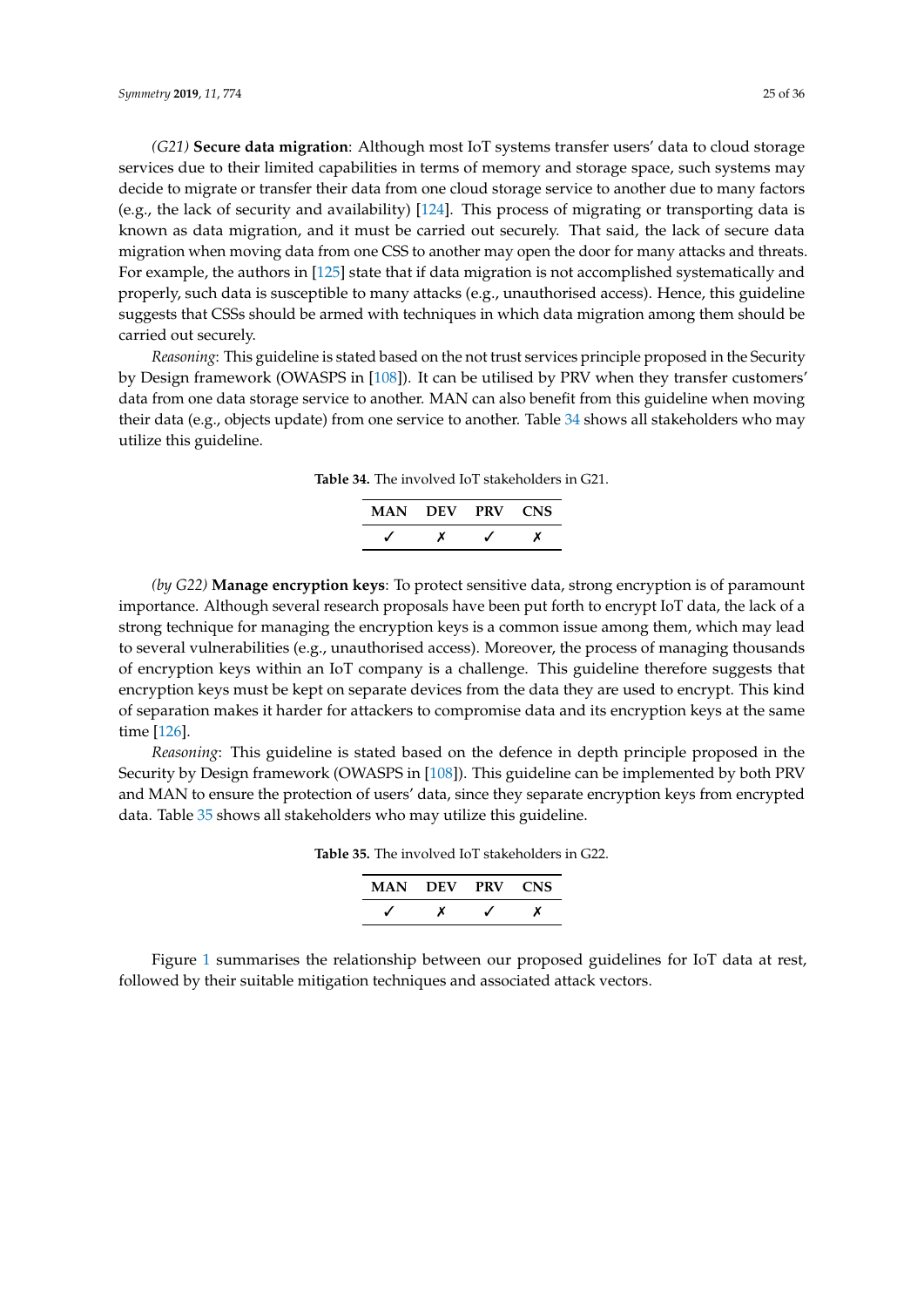services due to their limited capabilities in terms of memory and storage space, such systems may decide to migrate or transfer their data from one cloud storage service to another due to many factors (e.g., the lack of security and availability) [\[124\]](#page-34-18). This process of migrating or transporting data is known as data migration, and it must be carried out securely. That said, the lack of secure data migration when moving data from one CSS to another may open the door for many attacks and threats. For example, the authors in [\[125\]](#page-34-19) state that if data migration is not accomplished systematically and properly, such data is susceptible to many attacks (e.g., unauthorised access). Hence, this guideline suggests that CSSs should be armed with techniques in which data migration among them should be carried out securely.

<span id="page-24-0"></span>*Reasoning*: This guideline is stated based on the not trust services principle proposed in the Security by Design framework (OWASPS in [\[108\]](#page-34-2)). It can be utilised by PRV when they transfer customers' data from one data storage service to another. MAN can also benefit from this guideline when moving their data (e.g., objects update) from one service to another. Table [34](#page-24-0) shows all stakeholders who may utilize this guideline.

**Table 34.** The involved IoT stakeholders in G21.

| MAN | <b>DEV PRV</b> | īς<br>. N |  |  |  |  |
|-----|----------------|-----------|--|--|--|--|
|     |                |           |  |  |  |  |

*(by G22)* **Manage encryption keys**: To protect sensitive data, strong encryption is of paramount importance. Although several research proposals have been put forth to encrypt IoT data, the lack of a strong technique for managing the encryption keys is a common issue among them, which may lead to several vulnerabilities (e.g., unauthorised access). Moreover, the process of managing thousands of encryption keys within an IoT company is a challenge. This guideline therefore suggests that encryption keys must be kept on separate devices from the data they are used to encrypt. This kind of separation makes it harder for attackers to compromise data and its encryption keys at the same time [\[126\]](#page-34-20).

<span id="page-24-1"></span>*Reasoning*: This guideline is stated based on the defence in depth principle proposed in the Security by Design framework (OWASPS in [\[108\]](#page-34-2)). This guideline can be implemented by both PRV and MAN to ensure the protection of users' data, since they separate encryption keys from encrypted data. Table [35](#page-24-1) shows all stakeholders who may utilize this guideline.

**Table 35.** The involved IoT stakeholders in G22.

| MAN | <b>DEV</b> | <b>PRV</b> | CNS |  |  |  |  |
|-----|------------|------------|-----|--|--|--|--|
|     |            |            |     |  |  |  |  |

Figure [1](#page-25-1) summarises the relationship between our proposed guidelines for IoT data at rest, followed by their suitable mitigation techniques and associated attack vectors.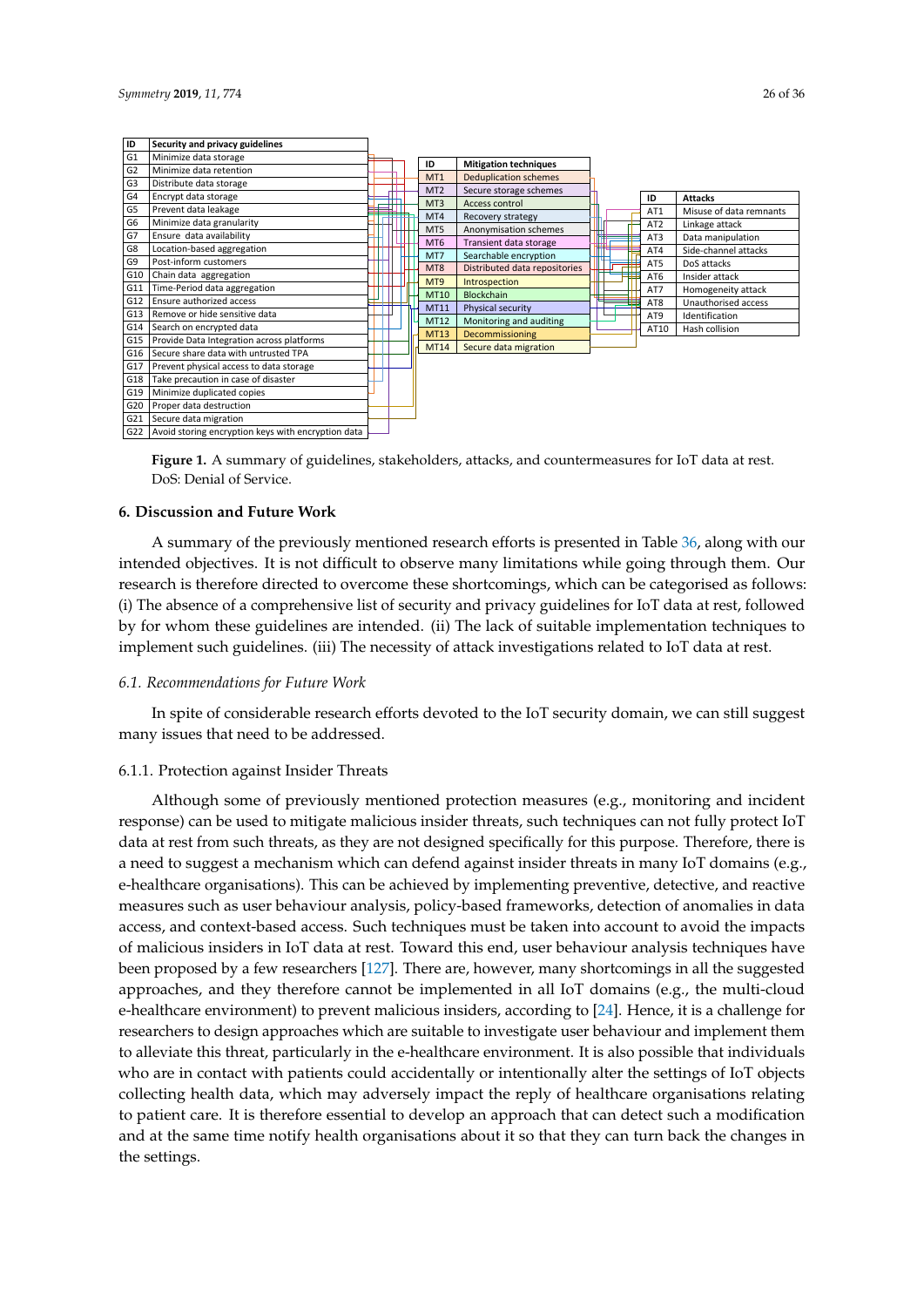<span id="page-25-1"></span>

| ID              | Security and privacy guidelines                    |  |                 |                               |   |                 |                         |
|-----------------|----------------------------------------------------|--|-----------------|-------------------------------|---|-----------------|-------------------------|
| G <sub>1</sub>  | Minimize data storage                              |  | ID              | <b>Mitigation techniques</b>  |   |                 |                         |
| G <sub>2</sub>  | Minimize data retention                            |  |                 |                               |   |                 |                         |
| G <sub>3</sub>  | Distribute data storage                            |  | MT <sub>1</sub> | <b>Deduplication schemes</b>  |   |                 |                         |
| G <sub>4</sub>  | Encrypt data storage                               |  | MT <sub>2</sub> | Secure storage schemes        |   | ID              | <b>Attacks</b>          |
| G5              | Prevent data leakage                               |  | MT <sub>3</sub> | Access control                |   | AT1             | Misuse of data remnants |
| G <sub>6</sub>  | Minimize data granularity                          |  | MT4             | Recovery strategy             |   | AT <sub>2</sub> | Linkage attack          |
| G7              | Ensure data availability                           |  | MT5             | Anonymisation schemes         | ╥ | AT <sub>3</sub> | Data manipulation       |
| G8              | Location-based aggregation                         |  | MT <sub>6</sub> | Transient data storage        |   | AT4             | Side-channel attacks    |
| G <sub>9</sub>  | Post-inform customers                              |  | MT7             | Searchable encryption         |   | AT5             | DoS attacks             |
| G10             | Chain data aggregation                             |  | MT <sub>8</sub> | Distributed data repositories |   |                 |                         |
|                 |                                                    |  | MT <sub>9</sub> | Introspection                 |   | AT6             | Insider attack          |
| G11             | Time-Period data aggregation                       |  | <b>MT10</b>     | <b>Blockchain</b>             |   | AT7             | Homogeneity attack      |
| G12             | Ensure authorized access                           |  | <b>MT11</b>     | Physical security             |   | AT <sub>8</sub> | Unauthorised access     |
| G13             | Remove or hide sensitive data                      |  | MT12            | Monitoring and auditing       |   | AT <sub>9</sub> | Identification          |
|                 | G14 Search on encrypted data                       |  | <b>MT13</b>     | Decommissioning               |   | AT10            | Hash collision          |
| G15             | Provide Data Integration across platforms          |  | <b>MT14</b>     | Secure data migration         |   |                 |                         |
| G16             | Secure share data with untrusted TPA               |  |                 |                               |   |                 |                         |
| G17             | Prevent physical access to data storage            |  |                 |                               |   |                 |                         |
| G18             | Take precaution in case of disaster                |  |                 |                               |   |                 |                         |
| G19             | Minimize duplicated copies                         |  |                 |                               |   |                 |                         |
| G20             | Proper data destruction                            |  |                 |                               |   |                 |                         |
| G <sub>21</sub> | Secure data migration                              |  |                 |                               |   |                 |                         |
| G22             | Avoid storing encryption keys with encryption data |  |                 |                               |   |                 |                         |

**Figure 1.** A summary of guidelines, stakeholders, attacks, and countermeasures for IoT data at rest. DoS: Denial of Service.

## <span id="page-25-0"></span>**6. Discussion and Future Work**

A summary of the previously mentioned research efforts is presented in Table [36,](#page-26-0) along with our intended objectives. It is not difficult to observe many limitations while going through them. Our research is therefore directed to overcome these shortcomings, which can be categorised as follows: (i) The absence of a comprehensive list of security and privacy guidelines for IoT data at rest, followed by for whom these guidelines are intended. (ii) The lack of suitable implementation techniques to implement such guidelines. (iii) The necessity of attack investigations related to IoT data at rest.

#### *6.1. Recommendations for Future Work*

In spite of considerable research efforts devoted to the IoT security domain, we can still suggest many issues that need to be addressed.

# 6.1.1. Protection against Insider Threats

Although some of previously mentioned protection measures (e.g., monitoring and incident response) can be used to mitigate malicious insider threats, such techniques can not fully protect IoT data at rest from such threats, as they are not designed specifically for this purpose. Therefore, there is a need to suggest a mechanism which can defend against insider threats in many IoT domains (e.g., e-healthcare organisations). This can be achieved by implementing preventive, detective, and reactive measures such as user behaviour analysis, policy-based frameworks, detection of anomalies in data access, and context-based access. Such techniques must be taken into account to avoid the impacts of malicious insiders in IoT data at rest. Toward this end, user behaviour analysis techniques have been proposed by a few researchers [\[127\]](#page-34-21). There are, however, many shortcomings in all the suggested approaches, and they therefore cannot be implemented in all IoT domains (e.g., the multi-cloud e-healthcare environment) to prevent malicious insiders, according to [\[24\]](#page-29-16). Hence, it is a challenge for researchers to design approaches which are suitable to investigate user behaviour and implement them to alleviate this threat, particularly in the e-healthcare environment. It is also possible that individuals who are in contact with patients could accidentally or intentionally alter the settings of IoT objects collecting health data, which may adversely impact the reply of healthcare organisations relating to patient care. It is therefore essential to develop an approach that can detect such a modification and at the same time notify health organisations about it so that they can turn back the changes in the settings.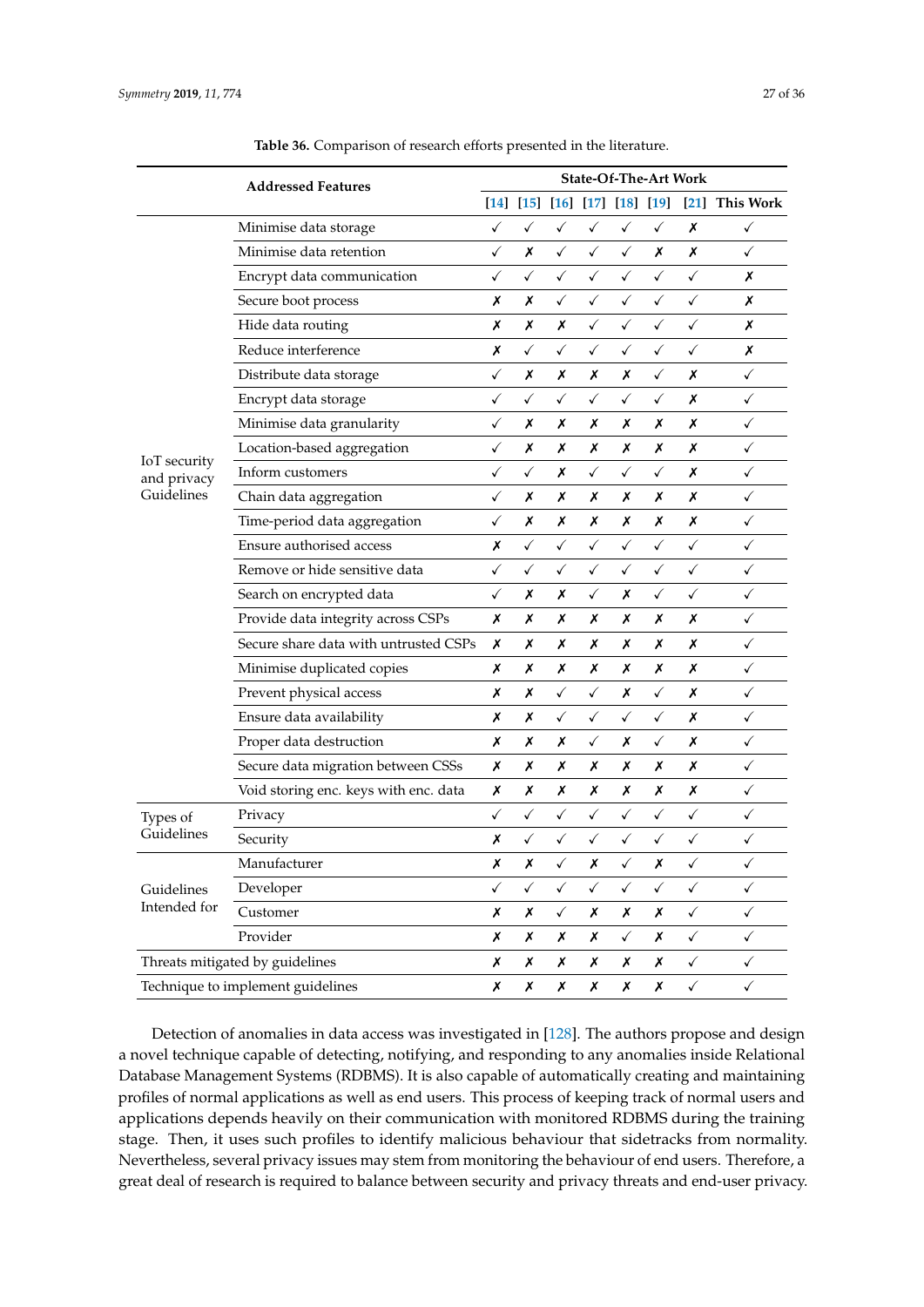<span id="page-26-0"></span>

|                             | <b>Addressed Features</b>             |                                                                                              | <b>State-Of-The-Art Work</b> |                    |                    |                     |              |              |                |  |  |
|-----------------------------|---------------------------------------|----------------------------------------------------------------------------------------------|------------------------------|--------------------|--------------------|---------------------|--------------|--------------|----------------|--|--|
|                             |                                       | <b>14</b>                                                                                    | $[15]$                       |                    |                    | [16] [17] [18] [19] |              |              | [21] This Work |  |  |
|                             | Minimise data storage                 | ✓                                                                                            | $\checkmark$                 | $\checkmark$       | $\checkmark$       | $\checkmark$        | $\checkmark$ | X            | ✓              |  |  |
|                             | Minimise data retention               |                                                                                              | Х                            | $\checkmark$       | $\checkmark$       | $\checkmark$        | Х            | Х            | ✓              |  |  |
|                             | Encrypt data communication            | ✓                                                                                            | $\checkmark$                 | $\checkmark$       | $\checkmark$       | $\checkmark$        | $\checkmark$ | ✓            | Х              |  |  |
|                             | Secure boot process                   | Х                                                                                            | Х                            | $\checkmark$       | $\checkmark$       | $\checkmark$        | $\checkmark$ | $\checkmark$ | Х              |  |  |
|                             | Hide data routing                     | X                                                                                            | Х                            | Х                  | $\checkmark$       | $\checkmark$        | $\checkmark$ | $\checkmark$ | Х              |  |  |
|                             | Reduce interference                   | Х                                                                                            | $\checkmark$                 | $\checkmark$       | $\checkmark$       | $\checkmark$        | $\checkmark$ | $\checkmark$ | Х              |  |  |
|                             | Distribute data storage               | ✓                                                                                            | Х                            | Х                  | Х                  | Х                   | $\checkmark$ | Х            | ✓              |  |  |
|                             | Encrypt data storage                  | $\checkmark$                                                                                 | $\checkmark$                 | $\checkmark$       | $\checkmark$       | $\checkmark$        | $\checkmark$ | Х            | ✓              |  |  |
|                             | Minimise data granularity             | ✓                                                                                            | Х                            | Х                  | Х                  | Х                   | Х            | Х            | ✓              |  |  |
|                             | Location-based aggregation            | ✓                                                                                            | Х                            | Х                  | Х                  | Х                   | Х            | Х            | ✓              |  |  |
| IoT security<br>and privacy | Inform customers                      | ✓                                                                                            | $\checkmark$                 | Х                  | $\checkmark$       | $\checkmark$        | $\checkmark$ | Х            | ✓              |  |  |
| Guidelines                  | Chain data aggregation                | $\checkmark$                                                                                 | Х                            | Х                  | Х                  | Х                   | Х            | Х            | ✓              |  |  |
|                             | Time-period data aggregation          | ✓                                                                                            | Х                            | Х                  | Х                  | Х                   | Х            | Х            | ✓              |  |  |
|                             | Ensure authorised access              | Х                                                                                            | $\checkmark$                 | $\checkmark$       | $\checkmark$       | $\checkmark$        | $\checkmark$ | ✓            | $\checkmark$   |  |  |
|                             | Remove or hide sensitive data         | ✓                                                                                            | $\checkmark$                 | ✓                  | $\checkmark$       | $\checkmark$        | $\checkmark$ | $\checkmark$ | ✓              |  |  |
|                             | Search on encrypted data              | ✓                                                                                            | Х                            | Х                  | $\checkmark$       | Х                   | $\checkmark$ | $\checkmark$ | ✓              |  |  |
|                             | Provide data integrity across CSPs    | Х                                                                                            | Х                            | Х                  | Х                  | X                   | Х            | Х            | ✓              |  |  |
|                             | Secure share data with untrusted CSPs | Х                                                                                            | Х                            | Х                  | Х                  | Х                   | Х            | Х            | ✓              |  |  |
|                             | Minimise duplicated copies            | х                                                                                            | Х                            | Х                  | Х                  | Х                   | Х            | Х            | $\checkmark$   |  |  |
|                             | Prevent physical access               | X                                                                                            | Х                            | $\checkmark$       | $\checkmark$       | Х                   | $\checkmark$ | X            | ✓              |  |  |
|                             | Ensure data availability              | х                                                                                            | Х                            | $\checkmark$       | $\checkmark$       | $\checkmark$        | $\checkmark$ | Х            | ✓              |  |  |
|                             | Proper data destruction               | Х                                                                                            | Х                            | Х                  | ✓                  | X                   | $\checkmark$ | x            | $\checkmark$   |  |  |
|                             | Secure data migration between CSSs    | Х                                                                                            | х                            | Х                  | Х                  | Х                   | Х            | Х            | ✓              |  |  |
|                             | Void storing enc. keys with enc. data | Х                                                                                            | Х                            | Х                  | $\pmb{\mathsf{x}}$ | Х                   | Х            | Х            | $\checkmark$   |  |  |
| Types of                    | Privacy                               | ✓                                                                                            | $\checkmark$                 | $\checkmark$       | $\checkmark$       | $\checkmark$        | $\checkmark$ | $\checkmark$ | $\checkmark$   |  |  |
| Guidelines                  | Security                              | Х                                                                                            | $\checkmark$                 | $\checkmark$       | $\checkmark$       | $\checkmark$        | $\checkmark$ | $\checkmark$ | ✓              |  |  |
|                             | Manufacturer                          | Х                                                                                            | Х                            | ✓                  | Х                  | $\checkmark$        | Х            | $\checkmark$ | $\checkmark$   |  |  |
| Guidelines                  | Developer                             | $\checkmark$                                                                                 | $\checkmark$                 | $\checkmark$       | $\checkmark$       | $\checkmark$        | $\checkmark$ | $\checkmark$ | $\checkmark$   |  |  |
| Intended for                | Customer                              | Х                                                                                            | Х                            | $\checkmark$       | Х                  | Х                   | Х            | $\checkmark$ | $\checkmark$   |  |  |
|                             | Provider                              | Х                                                                                            | Х                            | Х                  | $\pmb{\mathsf{x}}$ | $\checkmark$        | Х            | $\checkmark$ | $\checkmark$   |  |  |
|                             | Threats mitigated by guidelines       | Х                                                                                            | Х                            | $\pmb{\mathsf{x}}$ | $\pmb{\mathsf{x}}$ | $\pmb{\mathsf{x}}$  | X            | $\checkmark$ | $\checkmark$   |  |  |
|                             | Technique to implement guidelines     | X<br>Х<br>$\pmb{\mathsf{x}}$<br>$\pmb{\mathsf{x}}$<br>Х<br>Х<br>$\checkmark$<br>$\checkmark$ |                              |                    |                    |                     |              |              |                |  |  |

**Table 36.** Comparison of research efforts presented in the literature.

Detection of anomalies in data access was investigated in [\[128\]](#page-34-22). The authors propose and design a novel technique capable of detecting, notifying, and responding to any anomalies inside Relational Database Management Systems (RDBMS). It is also capable of automatically creating and maintaining profiles of normal applications as well as end users. This process of keeping track of normal users and applications depends heavily on their communication with monitored RDBMS during the training stage. Then, it uses such profiles to identify malicious behaviour that sidetracks from normality. Nevertheless, several privacy issues may stem from monitoring the behaviour of end users. Therefore, a great deal of research is required to balance between security and privacy threats and end-user privacy.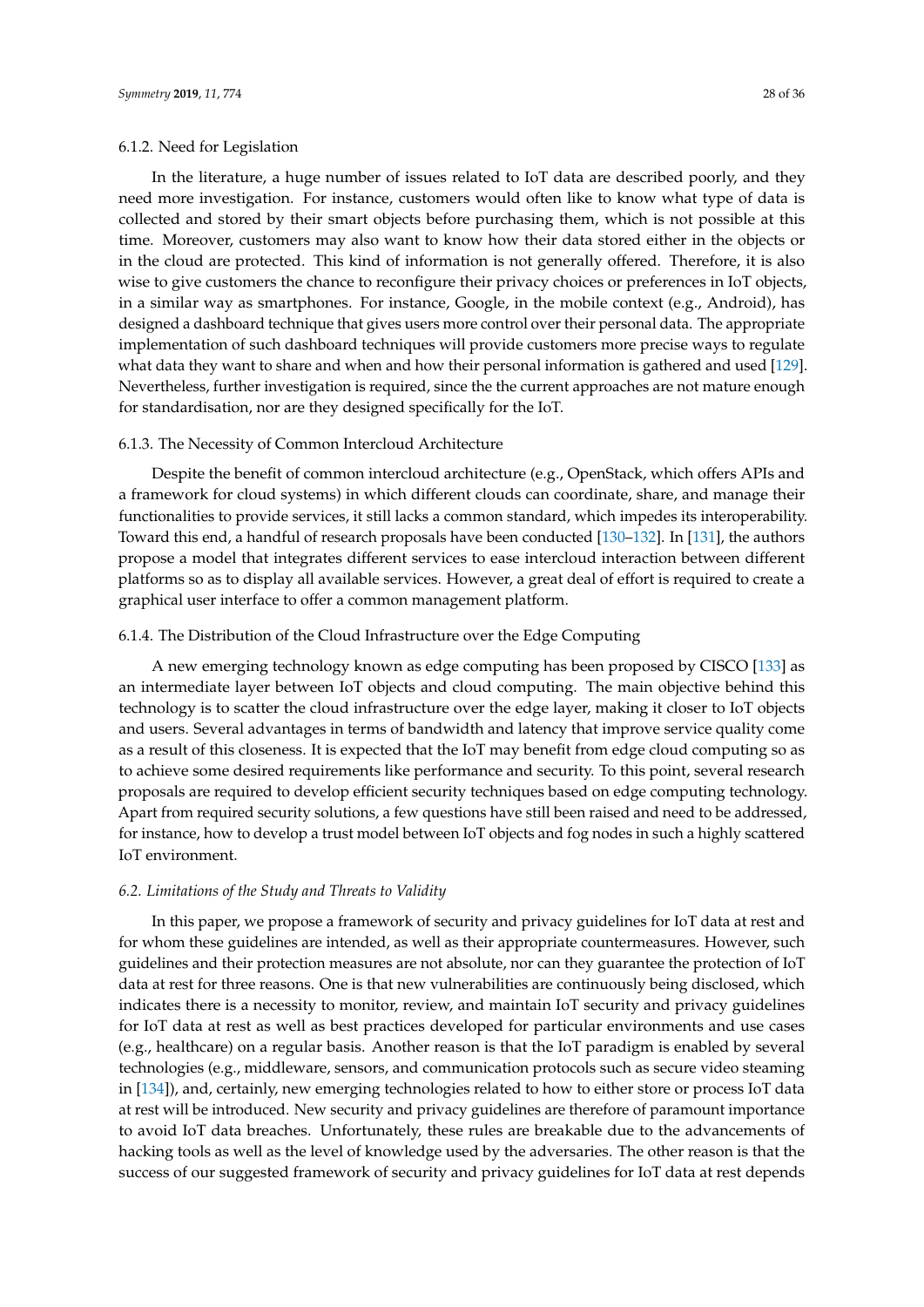# 6.1.2. Need for Legislation

In the literature, a huge number of issues related to IoT data are described poorly, and they need more investigation. For instance, customers would often like to know what type of data is collected and stored by their smart objects before purchasing them, which is not possible at this time. Moreover, customers may also want to know how their data stored either in the objects or in the cloud are protected. This kind of information is not generally offered. Therefore, it is also wise to give customers the chance to reconfigure their privacy choices or preferences in IoT objects, in a similar way as smartphones. For instance, Google, in the mobile context (e.g., Android), has designed a dashboard technique that gives users more control over their personal data. The appropriate implementation of such dashboard techniques will provide customers more precise ways to regulate what data they want to share and when and how their personal information is gathered and used [\[129\]](#page-35-0). Nevertheless, further investigation is required, since the the current approaches are not mature enough for standardisation, nor are they designed specifically for the IoT.

## 6.1.3. The Necessity of Common Intercloud Architecture

Despite the benefit of common intercloud architecture (e.g., OpenStack, which offers APIs and a framework for cloud systems) in which different clouds can coordinate, share, and manage their functionalities to provide services, it still lacks a common standard, which impedes its interoperability. Toward this end, a handful of research proposals have been conducted [\[130–](#page-35-1)[132\]](#page-35-2). In [\[131\]](#page-35-3), the authors propose a model that integrates different services to ease intercloud interaction between different platforms so as to display all available services. However, a great deal of effort is required to create a graphical user interface to offer a common management platform.

# 6.1.4. The Distribution of the Cloud Infrastructure over the Edge Computing

A new emerging technology known as edge computing has been proposed by CISCO [\[133\]](#page-35-4) as an intermediate layer between IoT objects and cloud computing. The main objective behind this technology is to scatter the cloud infrastructure over the edge layer, making it closer to IoT objects and users. Several advantages in terms of bandwidth and latency that improve service quality come as a result of this closeness. It is expected that the IoT may benefit from edge cloud computing so as to achieve some desired requirements like performance and security. To this point, several research proposals are required to develop efficient security techniques based on edge computing technology. Apart from required security solutions, a few questions have still been raised and need to be addressed, for instance, how to develop a trust model between IoT objects and fog nodes in such a highly scattered IoT environment.

## *6.2. Limitations of the Study and Threats to Validity*

In this paper, we propose a framework of security and privacy guidelines for IoT data at rest and for whom these guidelines are intended, as well as their appropriate countermeasures. However, such guidelines and their protection measures are not absolute, nor can they guarantee the protection of IoT data at rest for three reasons. One is that new vulnerabilities are continuously being disclosed, which indicates there is a necessity to monitor, review, and maintain IoT security and privacy guidelines for IoT data at rest as well as best practices developed for particular environments and use cases (e.g., healthcare) on a regular basis. Another reason is that the IoT paradigm is enabled by several technologies (e.g., middleware, sensors, and communication protocols such as secure video steaming in [\[134\]](#page-35-5)), and, certainly, new emerging technologies related to how to either store or process IoT data at rest will be introduced. New security and privacy guidelines are therefore of paramount importance to avoid IoT data breaches. Unfortunately, these rules are breakable due to the advancements of hacking tools as well as the level of knowledge used by the adversaries. The other reason is that the success of our suggested framework of security and privacy guidelines for IoT data at rest depends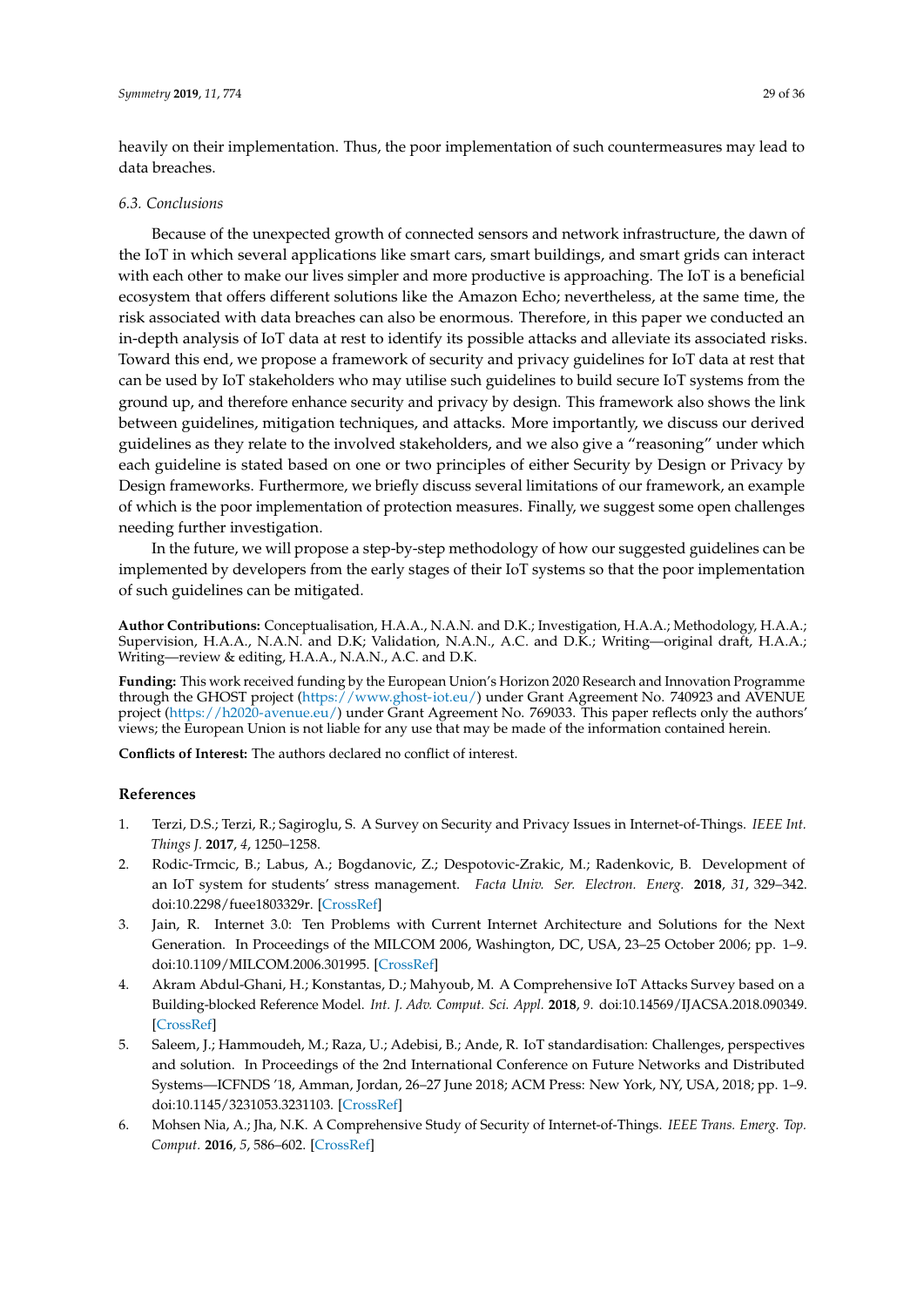heavily on their implementation. Thus, the poor implementation of such countermeasures may lead to data breaches.

## *6.3. Conclusions*

Because of the unexpected growth of connected sensors and network infrastructure, the dawn of the IoT in which several applications like smart cars, smart buildings, and smart grids can interact with each other to make our lives simpler and more productive is approaching. The IoT is a beneficial ecosystem that offers different solutions like the Amazon Echo; nevertheless, at the same time, the risk associated with data breaches can also be enormous. Therefore, in this paper we conducted an in-depth analysis of IoT data at rest to identify its possible attacks and alleviate its associated risks. Toward this end, we propose a framework of security and privacy guidelines for IoT data at rest that can be used by IoT stakeholders who may utilise such guidelines to build secure IoT systems from the ground up, and therefore enhance security and privacy by design. This framework also shows the link between guidelines, mitigation techniques, and attacks. More importantly, we discuss our derived guidelines as they relate to the involved stakeholders, and we also give a "reasoning" under which each guideline is stated based on one or two principles of either Security by Design or Privacy by Design frameworks. Furthermore, we briefly discuss several limitations of our framework, an example of which is the poor implementation of protection measures. Finally, we suggest some open challenges needing further investigation.

In the future, we will propose a step-by-step methodology of how our suggested guidelines can be implemented by developers from the early stages of their IoT systems so that the poor implementation of such guidelines can be mitigated.

**Author Contributions:** Conceptualisation, H.A.A., N.A.N. and D.K.; Investigation, H.A.A.; Methodology, H.A.A.; Supervision, H.A.A., N.A.N. and D.K; Validation, N.A.N., A.C. and D.K.; Writing—original draft, H.A.A.; Writing—review & editing, H.A.A., N.A.N., A.C. and D.K.

**Funding:** This work received funding by the European Union's Horizon 2020 Research and Innovation Programme through the GHOST project [\(https://www.ghost-iot.eu/\)](https://www.ghost-iot.eu/) under Grant Agreement No. 740923 and AVENUE project [\(https://h2020-avenue.eu/\)](https://h2020-avenue.eu/) under Grant Agreement No. 769033. This paper reflects only the authors' views; the European Union is not liable for any use that may be made of the information contained herein.

**Conflicts of Interest:** The authors declared no conflict of interest.

# **References**

- <span id="page-28-0"></span>1. Terzi, D.S.; Terzi, R.; Sagiroglu, S. A Survey on Security and Privacy Issues in Internet-of-Things. *IEEE Int. Things J.* **2017**, *4*, 1250–1258.
- <span id="page-28-1"></span>2. Rodic-Trmcic, B.; Labus, A.; Bogdanovic, Z.; Despotovic-Zrakic, M.; Radenkovic, B. Development of an IoT system for students' stress management. *Facta Univ. Ser. Electron. Energ.* **2018**, *31*, 329–342. doi[:10.2298/fuee1803329r.](https://doi.org/10.2298/fuee1803329r) [\[CrossRef\]](http://dx.doi.org/10.2298/FUEE1803329R)
- <span id="page-28-2"></span>3. Jain, R. Internet 3.0: Ten Problems with Current Internet Architecture and Solutions for the Next Generation. In Proceedings of the MILCOM 2006, Washington, DC, USA, 23–25 October 2006; pp. 1–9. doi[:10.1109/MILCOM.2006.301995.](https://doi.org/10.1109/MILCOM.2006.301995) [\[CrossRef\]](http://dx.doi.org/10.1109/MILCOM.2006.301995)
- <span id="page-28-3"></span>4. Akram Abdul-Ghani, H.; Konstantas, D.; Mahyoub, M. A Comprehensive IoT Attacks Survey based on a Building-blocked Reference Model. *Int. J. Adv. Comput. Sci. Appl.* **2018**, *9*. doi[:10.14569/IJACSA.2018.090349.](https://doi.org/10.14569/IJACSA.2018.090349) [\[CrossRef\]](http://dx.doi.org/10.14569/IJACSA.2018.090349)
- <span id="page-28-4"></span>5. Saleem, J.; Hammoudeh, M.; Raza, U.; Adebisi, B.; Ande, R. IoT standardisation: Challenges, perspectives and solution. In Proceedings of the 2nd International Conference on Future Networks and Distributed Systems—ICFNDS '18, Amman, Jordan, 26–27 June 2018; ACM Press: New York, NY, USA, 2018; pp. 1–9. doi[:10.1145/3231053.3231103.](https://doi.org/10.1145/3231053.3231103) [\[CrossRef\]](http://dx.doi.org/10.1145/3231053.3231103)
- <span id="page-28-5"></span>6. Mohsen Nia, A.; Jha, N.K. A Comprehensive Study of Security of Internet-of-Things. *IEEE Trans. Emerg. Top. Comput.* **2016**, *5*, 586–602. [\[CrossRef\]](http://dx.doi.org/10.1109/TETC.2016.2606384)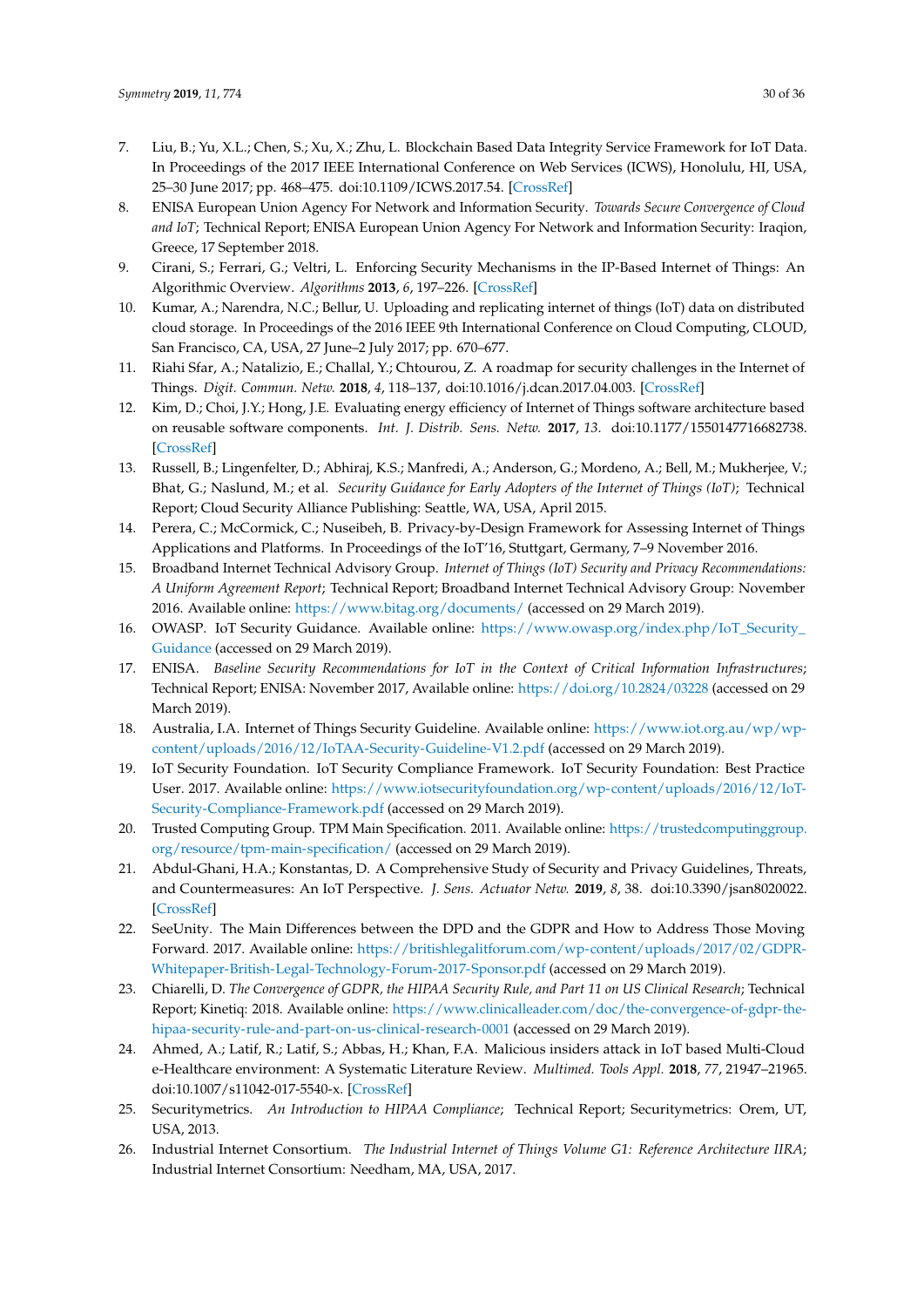- <span id="page-29-0"></span>7. Liu, B.; Yu, X.L.; Chen, S.; Xu, X.; Zhu, L. Blockchain Based Data Integrity Service Framework for IoT Data. In Proceedings of the 2017 IEEE International Conference on Web Services (ICWS), Honolulu, HI, USA, 25–30 June 2017; pp. 468–475. doi[:10.1109/ICWS.2017.54.](https://doi.org/10.1109/ICWS.2017.54) [\[CrossRef\]](http://dx.doi.org/10.1109/ICWS.2017.54)
- <span id="page-29-1"></span>8. ENISA European Union Agency For Network and Information Security. *Towards Secure Convergence of Cloud and IoT*; Technical Report; ENISA European Union Agency For Network and Information Security: Iraqion, Greece, 17 September 2018.
- <span id="page-29-2"></span>9. Cirani, S.; Ferrari, G.; Veltri, L. Enforcing Security Mechanisms in the IP-Based Internet of Things: An Algorithmic Overview. *Algorithms* **2013**, *6*, 197–226. [\[CrossRef\]](http://dx.doi.org/10.3390/a6020197)
- <span id="page-29-3"></span>10. Kumar, A.; Narendra, N.C.; Bellur, U. Uploading and replicating internet of things (IoT) data on distributed cloud storage. In Proceedings of the 2016 IEEE 9th International Conference on Cloud Computing, CLOUD, San Francisco, CA, USA, 27 June–2 July 2017; pp. 670–677.
- <span id="page-29-4"></span>11. Riahi Sfar, A.; Natalizio, E.; Challal, Y.; Chtourou, Z. A roadmap for security challenges in the Internet of Things. *Digit. Commun. Netw.* **2018**, *4*, 118–137, doi[:10.1016/j.dcan.2017.04.003.](https://doi.org/10.1016/j.dcan.2017.04.003) [\[CrossRef\]](http://dx.doi.org/10.1016/j.dcan.2017.04.003)
- <span id="page-29-5"></span>12. Kim, D.; Choi, J.Y.; Hong, J.E. Evaluating energy efficiency of Internet of Things software architecture based on reusable software components. *Int. J. Distrib. Sens. Netw.* **2017**, *13*. doi[:10.1177/1550147716682738.](https://doi.org/10.1177/1550147716682738) [\[CrossRef\]](http://dx.doi.org/10.1177/1550147716682738)
- <span id="page-29-6"></span>13. Russell, B.; Lingenfelter, D.; Abhiraj, K.S.; Manfredi, A.; Anderson, G.; Mordeno, A.; Bell, M.; Mukherjee, V.; Bhat, G.; Naslund, M.; et al. *Security Guidance for Early Adopters of the Internet of Things (IoT)*; Technical Report; Cloud Security Alliance Publishing: Seattle, WA, USA, April 2015.
- <span id="page-29-7"></span>14. Perera, C.; McCormick, C.; Nuseibeh, B. Privacy-by-Design Framework for Assessing Internet of Things Applications and Platforms. In Proceedings of the IoT'16, Stuttgart, Germany, 7–9 November 2016.
- <span id="page-29-9"></span>15. Broadband Internet Technical Advisory Group. *Internet of Things (IoT) Security and Privacy Recommendations: A Uniform Agreement Report*; Technical Report; Broadband Internet Technical Advisory Group: November 2016. Available online: <https://www.bitag.org/documents/> (accessed on 29 March 2019).
- <span id="page-29-10"></span>16. OWASP. IoT Security Guidance. Available online: [https://www.owasp.org/index.php/IoT\\_Security\\_](https://www.owasp.org/index.php/IoT_Security_Guidance) [Guidance](https://www.owasp.org/index.php/IoT_Security_Guidance) (accessed on 29 March 2019).
- <span id="page-29-11"></span>17. ENISA. *Baseline Security Recommendations for IoT in the Context of Critical Information Infrastructures*; Technical Report; ENISA: November 2017, Available online: <https://doi.org/10.2824/03228> (accessed on 29 March 2019).
- <span id="page-29-12"></span>18. Australia, I.A. Internet of Things Security Guideline. Available online: [https://www.iot.org.au/wp/wp](https://www.iot.org.au/wp/wp-content/uploads/2016/12/IoTAA-Security-Guideline-V1.2.pdf)[content/uploads/2016/12/IoTAA-Security-Guideline-V1.2.pdf](https://www.iot.org.au/wp/wp-content/uploads/2016/12/IoTAA-Security-Guideline-V1.2.pdf) (accessed on 29 March 2019).
- <span id="page-29-13"></span>19. IoT Security Foundation. IoT Security Compliance Framework. IoT Security Foundation: Best Practice User. 2017. Available online: [https://www.iotsecurityfoundation.org/wp-content/uploads/2016/12/IoT-](https://www.iotsecurityfoundation.org/wp-content/uploads/2016/12/IoT-Security-Compliance-Framework.pdf)[Security-Compliance-Framework.pdf](https://www.iotsecurityfoundation.org/wp-content/uploads/2016/12/IoT-Security-Compliance-Framework.pdf) (accessed on 29 March 2019).
- 20. Trusted Computing Group. TPM Main Specification. 2011. Available online: [https://trustedcomputinggroup.](https://trustedcomputinggroup.org/resource/tpm-main-specification/) [org/resource/tpm-main-specification/](https://trustedcomputinggroup.org/resource/tpm-main-specification/) (accessed on 29 March 2019).
- <span id="page-29-8"></span>21. Abdul-Ghani, H.A.; Konstantas, D. A Comprehensive Study of Security and Privacy Guidelines, Threats, and Countermeasures: An IoT Perspective. *J. Sens. Actuator Netw.* **2019**, *8*, 38. doi[:10.3390/jsan8020022.](https://doi.org/10.3390/jsan8020022) [\[CrossRef\]](http://dx.doi.org/10.3390/jsan8020022)
- <span id="page-29-14"></span>22. SeeUnity. The Main Differences between the DPD and the GDPR and How to Address Those Moving Forward. 2017. Available online: [https://britishlegalitforum.com/wp-content/uploads/2017/02/GDPR-](https://britishlegalitforum.com/wp-content/uploads/2017/02/GDPR-Whitepaper-British-Legal-Technology-Forum-2017-Sponsor.pdf)[Whitepaper-British-Legal-Technology-Forum-2017-Sponsor.pdf](https://britishlegalitforum.com/wp-content/uploads/2017/02/GDPR-Whitepaper-British-Legal-Technology-Forum-2017-Sponsor.pdf) (accessed on 29 March 2019).
- <span id="page-29-15"></span>23. Chiarelli, D. *The Convergence of GDPR, the HIPAA Security Rule, and Part 11 on US Clinical Research*; Technical Report; Kinetiq: 2018. Available online: [https://www.clinicalleader.com/doc/the-convergence-of-gdpr-the](https://www.clinicalleader.com/doc/the-convergence-of-gdpr-the-hipaa-security-rule-and-part-on-us-clinical-research-0001)[hipaa-security-rule-and-part-on-us-clinical-research-0001](https://www.clinicalleader.com/doc/the-convergence-of-gdpr-the-hipaa-security-rule-and-part-on-us-clinical-research-0001) (accessed on 29 March 2019).
- <span id="page-29-16"></span>24. Ahmed, A.; Latif, R.; Latif, S.; Abbas, H.; Khan, F.A. Malicious insiders attack in IoT based Multi-Cloud e-Healthcare environment: A Systematic Literature Review. *Multimed. Tools Appl.* **2018**, *77*, 21947–21965. doi[:10.1007/s11042-017-5540-x.](https://doi.org/10.1007/s11042-017-5540-x) [\[CrossRef\]](http://dx.doi.org/10.1007/s11042-017-5540-x)
- <span id="page-29-17"></span>25. Securitymetrics. *An Introduction to HIPAA Compliance*; Technical Report; Securitymetrics: Orem, UT, USA, 2013.
- <span id="page-29-18"></span>26. Industrial Internet Consortium. *The Industrial Internet of Things Volume G1: Reference Architecture IIRA*; Industrial Internet Consortium: Needham, MA, USA, 2017.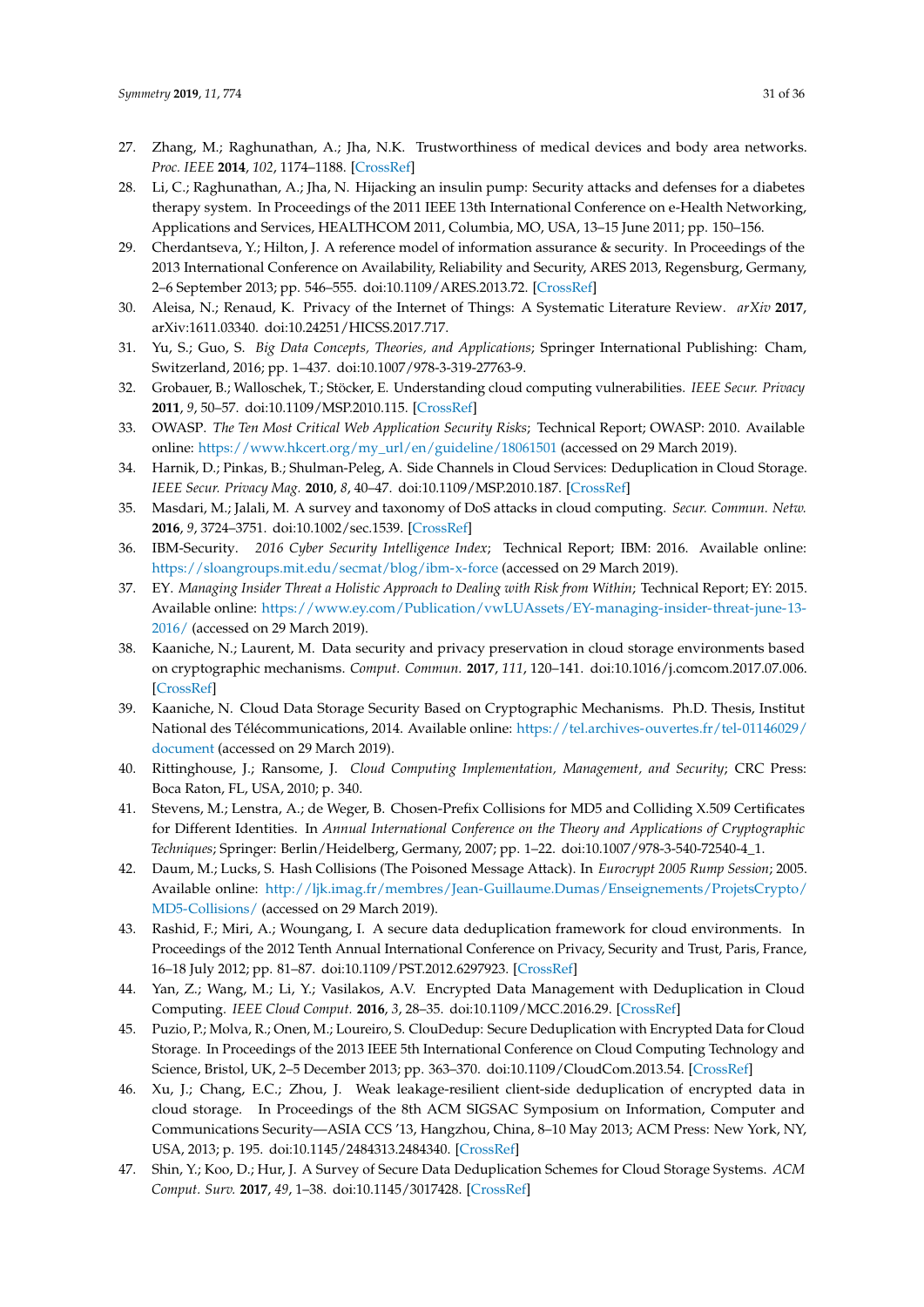- <span id="page-30-0"></span>27. Zhang, M.; Raghunathan, A.; Jha, N.K. Trustworthiness of medical devices and body area networks. *Proc. IEEE* **2014**, *102*, 1174–1188. [\[CrossRef\]](http://dx.doi.org/10.1109/JPROC.2014.2322103)
- <span id="page-30-1"></span>28. Li, C.; Raghunathan, A.; Jha, N. Hijacking an insulin pump: Security attacks and defenses for a diabetes therapy system. In Proceedings of the 2011 IEEE 13th International Conference on e-Health Networking, Applications and Services, HEALTHCOM 2011, Columbia, MO, USA, 13–15 June 2011; pp. 150–156.
- <span id="page-30-2"></span>29. Cherdantseva, Y.; Hilton, J. A reference model of information assurance & security. In Proceedings of the 2013 International Conference on Availability, Reliability and Security, ARES 2013, Regensburg, Germany, 2–6 September 2013; pp. 546–555. doi[:10.1109/ARES.2013.72.](https://doi.org/10.1109/ARES.2013.72) [\[CrossRef\]](http://dx.doi.org/10.1109/ARES.2013.72)
- <span id="page-30-3"></span>30. Aleisa, N.; Renaud, K. Privacy of the Internet of Things: A Systematic Literature Review. *arXiv* **2017**, arXiv:1611.03340. doi[:10.24251/HICSS.2017.717.](https://doi.org/10.24251/HICSS.2017.717)
- <span id="page-30-4"></span>31. Yu, S.; Guo, S. *Big Data Concepts, Theories, and Applications*; Springer International Publishing: Cham, Switzerland, 2016; pp. 1–437. doi[:10.1007/978-3-319-27763-9.](https://doi.org/10.1007/978-3-319-27763-9)
- <span id="page-30-5"></span>32. Grobauer, B.; Walloschek, T.; Stöcker, E. Understanding cloud computing vulnerabilities. *IEEE Secur. Privacy* **2011**, *9*, 50–57. doi[:10.1109/MSP.2010.115.](https://doi.org/10.1109/MSP.2010.115) [\[CrossRef\]](http://dx.doi.org/10.1109/MSP.2010.115)
- <span id="page-30-6"></span>33. OWASP. *The Ten Most Critical Web Application Security Risks*; Technical Report; OWASP: 2010. Available online: [https://www.hkcert.org/my\\_url/en/guideline/18061501](https://www.hkcert.org/my_url/en/guideline/18061501) (accessed on 29 March 2019).
- <span id="page-30-7"></span>34. Harnik, D.; Pinkas, B.; Shulman-Peleg, A. Side Channels in Cloud Services: Deduplication in Cloud Storage. *IEEE Secur. Privacy Mag.* **2010**, *8*, 40–47. doi[:10.1109/MSP.2010.187.](https://doi.org/10.1109/MSP.2010.187) [\[CrossRef\]](http://dx.doi.org/10.1109/MSP.2010.187)
- <span id="page-30-8"></span>35. Masdari, M.; Jalali, M. A survey and taxonomy of DoS attacks in cloud computing. *Secur. Commun. Netw.* **2016**, *9*, 3724–3751. doi[:10.1002/sec.1539.](https://doi.org/10.1002/sec.1539) [\[CrossRef\]](http://dx.doi.org/10.1002/sec.1539)
- <span id="page-30-9"></span>36. IBM-Security. *2016 Cyber Security Intelligence Index*; Technical Report; IBM: 2016. Available online: <https://sloangroups.mit.edu/secmat/blog/ibm-x-force> (accessed on 29 March 2019).
- <span id="page-30-10"></span>37. EY. *Managing Insider Threat a Holistic Approach to Dealing with Risk from Within*; Technical Report; EY: 2015. Available online: [https://www.ey.com/Publication/vwLUAssets/EY-managing-insider-threat-june-13-](https://www.ey.com/Publication/vwLUAssets/EY-managing-insider-threat-june-13-2016/) [2016/](https://www.ey.com/Publication/vwLUAssets/EY-managing-insider-threat-june-13-2016/) (accessed on 29 March 2019).
- <span id="page-30-11"></span>38. Kaaniche, N.; Laurent, M. Data security and privacy preservation in cloud storage environments based on cryptographic mechanisms. *Comput. Commun.* **2017**, *111*, 120–141. doi[:10.1016/j.comcom.2017.07.006.](https://doi.org/10.1016/j.comcom.2017.07.006) [\[CrossRef\]](http://dx.doi.org/10.1016/j.comcom.2017.07.006)
- <span id="page-30-12"></span>39. Kaaniche, N. Cloud Data Storage Security Based on Cryptographic Mechanisms. Ph.D. Thesis, Institut National des Télécommunications, 2014. Available online: [https://tel.archives-ouvertes.fr/tel-01146029/](https://tel.archives-ouvertes.fr/tel-01146029/document) [document](https://tel.archives-ouvertes.fr/tel-01146029/document) (accessed on 29 March 2019).
- <span id="page-30-13"></span>40. Rittinghouse, J.; Ransome, J. *Cloud Computing Implementation, Management, and Security*; CRC Press: Boca Raton, FL, USA, 2010; p. 340.
- <span id="page-30-14"></span>41. Stevens, M.; Lenstra, A.; de Weger, B. Chosen-Prefix Collisions for MD5 and Colliding X.509 Certificates for Different Identities. In *Annual International Conference on the Theory and Applications of Cryptographic Techniques*; Springer: Berlin/Heidelberg, Germany, 2007; pp. 1–22. doi[:10.1007/978-3-540-72540-4\\_1.](https://doi.org/10.1007/978-3-540-72540-4_1)
- <span id="page-30-15"></span>42. Daum, M.; Lucks, S. Hash Collisions (The Poisoned Message Attack). In *Eurocrypt 2005 Rump Session*; 2005. Available online: [http://ljk.imag.fr/membres/Jean-Guillaume.Dumas/Enseignements/ProjetsCrypto/](http://ljk.imag.fr/membres/Jean-Guillaume.Dumas/Enseignements/ProjetsCrypto/MD5-Collisions/) [MD5-Collisions/](http://ljk.imag.fr/membres/Jean-Guillaume.Dumas/Enseignements/ProjetsCrypto/MD5-Collisions/) (accessed on 29 March 2019).
- <span id="page-30-16"></span>43. Rashid, F.; Miri, A.; Woungang, I. A secure data deduplication framework for cloud environments. In Proceedings of the 2012 Tenth Annual International Conference on Privacy, Security and Trust, Paris, France, 16–18 July 2012; pp. 81–87. doi[:10.1109/PST.2012.6297923.](https://doi.org/10.1109/PST.2012.6297923) [\[CrossRef\]](http://dx.doi.org/10.1109/PST.2012.6297923)
- <span id="page-30-17"></span>44. Yan, Z.; Wang, M.; Li, Y.; Vasilakos, A.V. Encrypted Data Management with Deduplication in Cloud Computing. *IEEE Cloud Comput.* **2016**, *3*, 28–35. doi[:10.1109/MCC.2016.29.](https://doi.org/10.1109/MCC.2016.29) [\[CrossRef\]](http://dx.doi.org/10.1109/MCC.2016.29)
- <span id="page-30-18"></span>45. Puzio, P.; Molva, R.; Onen, M.; Loureiro, S. ClouDedup: Secure Deduplication with Encrypted Data for Cloud Storage. In Proceedings of the 2013 IEEE 5th International Conference on Cloud Computing Technology and Science, Bristol, UK, 2–5 December 2013; pp. 363–370. doi[:10.1109/CloudCom.2013.54.](https://doi.org/10.1109/CloudCom.2013.54) [\[CrossRef\]](http://dx.doi.org/10.1109/CloudCom.2013.54)
- <span id="page-30-19"></span>46. Xu, J.; Chang, E.C.; Zhou, J. Weak leakage-resilient client-side deduplication of encrypted data in cloud storage. In Proceedings of the 8th ACM SIGSAC Symposium on Information, Computer and Communications Security—ASIA CCS '13, Hangzhou, China, 8–10 May 2013; ACM Press: New York, NY, USA, 2013; p. 195. doi[:10.1145/2484313.2484340.](https://doi.org/10.1145/2484313.2484340) [\[CrossRef\]](http://dx.doi.org/10.1145/2484313.2484340)
- <span id="page-30-20"></span>47. Shin, Y.; Koo, D.; Hur, J. A Survey of Secure Data Deduplication Schemes for Cloud Storage Systems. *ACM Comput. Surv.* **2017**, *49*, 1–38. doi[:10.1145/3017428.](https://doi.org/10.1145/3017428) [\[CrossRef\]](http://dx.doi.org/10.1145/3017428)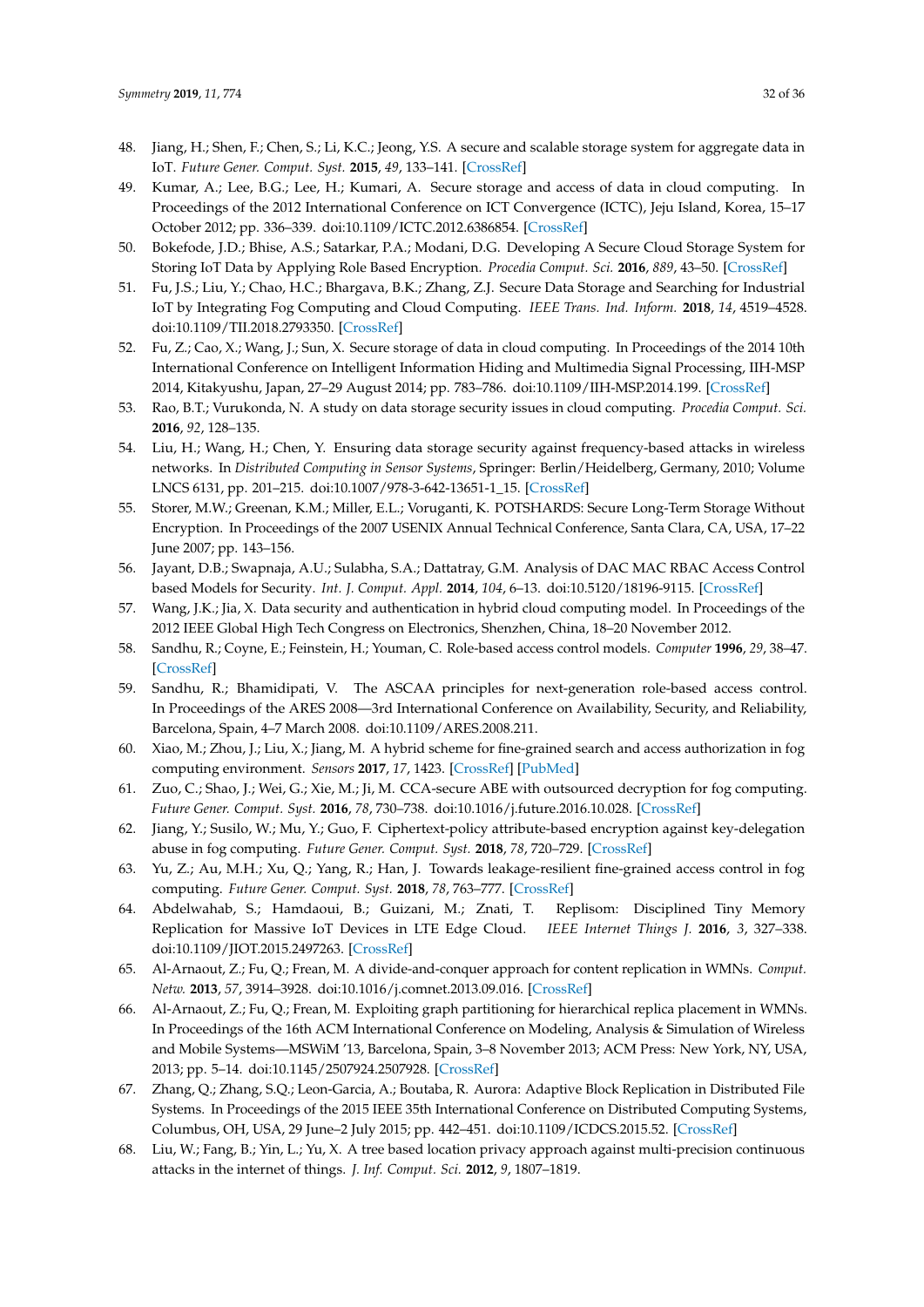- <span id="page-31-0"></span>48. Jiang, H.; Shen, F.; Chen, S.; Li, K.C.; Jeong, Y.S. A secure and scalable storage system for aggregate data in IoT. *Future Gener. Comput. Syst.* **2015**, *49*, 133–141. [\[CrossRef\]](http://dx.doi.org/10.1016/j.future.2014.11.009)
- <span id="page-31-1"></span>49. Kumar, A.; Lee, B.G.; Lee, H.; Kumari, A. Secure storage and access of data in cloud computing. In Proceedings of the 2012 International Conference on ICT Convergence (ICTC), Jeju Island, Korea, 15–17 October 2012; pp. 336–339. doi[:10.1109/ICTC.2012.6386854.](https://doi.org/10.1109/ICTC.2012.6386854) [\[CrossRef\]](http://dx.doi.org/10.1109/ICTC.2012.6386854)
- <span id="page-31-2"></span>50. Bokefode, J.D.; Bhise, A.S.; Satarkar, P.A.; Modani, D.G. Developing A Secure Cloud Storage System for Storing IoT Data by Applying Role Based Encryption. *Procedia Comput. Sci.* **2016**, *889*, 43–50. [\[CrossRef\]](http://dx.doi.org/10.1016/j.procs.2016.06.007)
- <span id="page-31-3"></span>51. Fu, J.S.; Liu, Y.; Chao, H.C.; Bhargava, B.K.; Zhang, Z.J. Secure Data Storage and Searching for Industrial IoT by Integrating Fog Computing and Cloud Computing. *IEEE Trans. Ind. Inform.* **2018**, *14*, 4519–4528. doi[:10.1109/TII.2018.2793350.](https://doi.org/10.1109/TII.2018.2793350) [\[CrossRef\]](http://dx.doi.org/10.1109/TII.2018.2793350)
- <span id="page-31-17"></span>52. Fu, Z.; Cao, X.; Wang, J.; Sun, X. Secure storage of data in cloud computing. In Proceedings of the 2014 10th International Conference on Intelligent Information Hiding and Multimedia Signal Processing, IIH-MSP 2014, Kitakyushu, Japan, 27–29 August 2014; pp. 783–786. doi[:10.1109/IIH-MSP.2014.199.](https://doi.org/10.1109/IIH-MSP.2014.199) [\[CrossRef\]](http://dx.doi.org/10.1109/IIH-MSP.2014.199)
- <span id="page-31-16"></span>53. Rao, B.T.; Vurukonda, N. A study on data storage security issues in cloud computing. *Procedia Comput. Sci.* **2016**, *92*, 128–135.
- <span id="page-31-4"></span>54. Liu, H.; Wang, H.; Chen, Y. Ensuring data storage security against frequency-based attacks in wireless networks. In *Distributed Computing in Sensor Systems*, Springer: Berlin/Heidelberg, Germany, 2010; Volume LNCS 6131, pp. 201–215. doi[:10.1007/978-3-642-13651-1\\_15.](https://doi.org/10.1007/978-3-642-13651-1_15) [\[CrossRef\]](http://dx.doi.org/10.1007/978-3-642-13651-1_15.)
- <span id="page-31-5"></span>55. Storer, M.W.; Greenan, K.M.; Miller, E.L.; Voruganti, K. POTSHARDS: Secure Long-Term Storage Without Encryption. In Proceedings of the 2007 USENIX Annual Technical Conference, Santa Clara, CA, USA, 17–22 June 2007; pp. 143–156.
- <span id="page-31-6"></span>56. Jayant, D.B.; Swapnaja, A.U.; Sulabha, S.A.; Dattatray, G.M. Analysis of DAC MAC RBAC Access Control based Models for Security. *Int. J. Comput. Appl.* **2014**, *104*, 6–13. doi[:10.5120/18196-9115.](https://doi.org/10.5120/18196-9115) [\[CrossRef\]](http://dx.doi.org/10.5120/18196-9115)
- <span id="page-31-7"></span>57. Wang, J.K.; Jia, X. Data security and authentication in hybrid cloud computing model. In Proceedings of the 2012 IEEE Global High Tech Congress on Electronics, Shenzhen, China, 18–20 November 2012.
- 58. Sandhu, R.; Coyne, E.; Feinstein, H.; Youman, C. Role-based access control models. *Computer* **1996**, *29*, 38–47. [\[CrossRef\]](http://dx.doi.org/10.1109/2.485845)
- <span id="page-31-8"></span>59. Sandhu, R.; Bhamidipati, V. The ASCAA principles for next-generation role-based access control. In Proceedings of the ARES 2008—3rd International Conference on Availability, Security, and Reliability, Barcelona, Spain, 4–7 March 2008. doi[:10.1109/ARES.2008.211.](https://doi.org/10.1109/ARES.2008.211)
- <span id="page-31-9"></span>60. Xiao, M.; Zhou, J.; Liu, X.; Jiang, M. A hybrid scheme for fine-grained search and access authorization in fog computing environment. *Sensors* **2017**, *17*, 1423. [\[CrossRef\]](http://dx.doi.org/10.3390/s17061423) [\[PubMed\]](http://www.ncbi.nlm.nih.gov/pubmed/28629131)
- <span id="page-31-10"></span>61. Zuo, C.; Shao, J.; Wei, G.; Xie, M.; Ji, M. CCA-secure ABE with outsourced decryption for fog computing. *Future Gener. Comput. Syst.* **2016**, *78*, 730–738. doi[:10.1016/j.future.2016.10.028.](https://doi.org/10.1016/j.future.2016.10.028) [\[CrossRef\]](http://dx.doi.org/10.1016/j.future.2016.10.028)
- <span id="page-31-18"></span>62. Jiang, Y.; Susilo, W.; Mu, Y.; Guo, F. Ciphertext-policy attribute-based encryption against key-delegation abuse in fog computing. *Future Gener. Comput. Syst.* **2018**, *78*, 720–729. [\[CrossRef\]](http://dx.doi.org/10.1016/j.future.2017.01.026)
- <span id="page-31-11"></span>63. Yu, Z.; Au, M.H.; Xu, Q.; Yang, R.; Han, J. Towards leakage-resilient fine-grained access control in fog computing. *Future Gener. Comput. Syst.* **2018**, *78*, 763–777. [\[CrossRef\]](http://dx.doi.org/10.1016/j.future.2017.01.025)
- <span id="page-31-12"></span>64. Abdelwahab, S.; Hamdaoui, B.; Guizani, M.; Znati, T. Replisom: Disciplined Tiny Memory Replication for Massive IoT Devices in LTE Edge Cloud. *IEEE Internet Things J.* **2016**, *3*, 327–338. doi[:10.1109/JIOT.2015.2497263.](https://doi.org/10.1109/JIOT.2015.2497263) [\[CrossRef\]](http://dx.doi.org/10.1109/JIOT.2015.2497263)
- <span id="page-31-13"></span>65. Al-Arnaout, Z.; Fu, Q.; Frean, M. A divide-and-conquer approach for content replication in WMNs. *Comput. Netw.* **2013**, *57*, 3914–3928. doi[:10.1016/j.comnet.2013.09.016.](https://doi.org/10.1016/j.comnet.2013.09.016) [\[CrossRef\]](http://dx.doi.org/10.1016/j.comnet.2013.09.016)
- <span id="page-31-19"></span>66. Al-Arnaout, Z.; Fu, Q.; Frean, M. Exploiting graph partitioning for hierarchical replica placement in WMNs. In Proceedings of the 16th ACM International Conference on Modeling, Analysis & Simulation of Wireless and Mobile Systems—MSWiM '13, Barcelona, Spain, 3–8 November 2013; ACM Press: New York, NY, USA, 2013; pp. 5–14. doi[:10.1145/2507924.2507928.](https://doi.org/10.1145/2507924.2507928) [\[CrossRef\]](http://dx.doi.org/10.1145/2507924.2507928)
- <span id="page-31-14"></span>67. Zhang, Q.; Zhang, S.Q.; Leon-Garcia, A.; Boutaba, R. Aurora: Adaptive Block Replication in Distributed File Systems. In Proceedings of the 2015 IEEE 35th International Conference on Distributed Computing Systems, Columbus, OH, USA, 29 June–2 July 2015; pp. 442–451. doi[:10.1109/ICDCS.2015.52.](https://doi.org/10.1109/ICDCS.2015.52) [\[CrossRef\]](http://dx.doi.org/10.1109/ICDCS.2015.52)
- <span id="page-31-15"></span>68. Liu, W.; Fang, B.; Yin, L.; Yu, X. A tree based location privacy approach against multi-precision continuous attacks in the internet of things. *J. Inf. Comput. Sci.* **2012**, *9*, 1807–1819.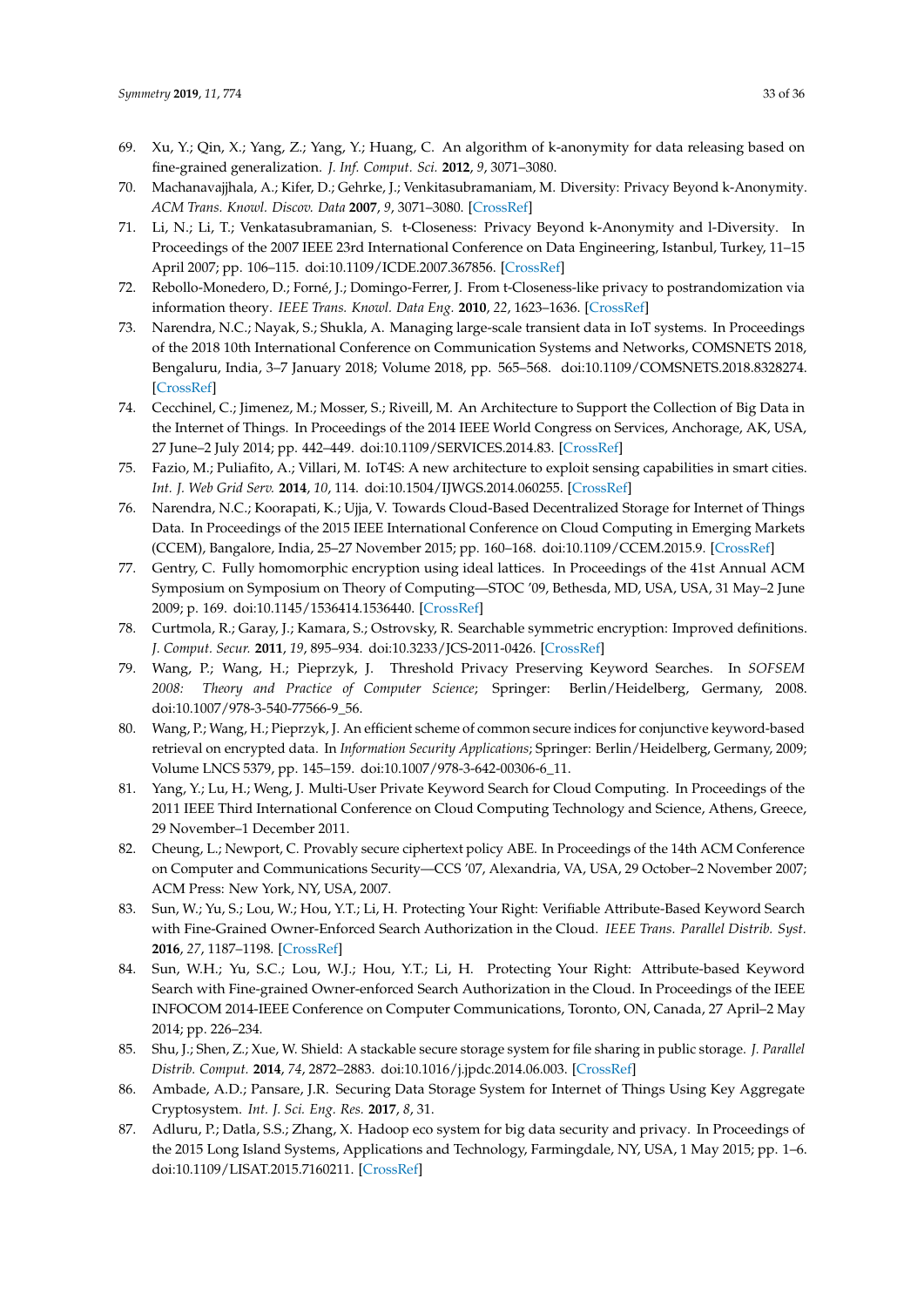- <span id="page-32-0"></span>69. Xu, Y.; Qin, X.; Yang, Z.; Yang, Y.; Huang, C. An algorithm of k-anonymity for data releasing based on fine-grained generalization. *J. Inf. Comput. Sci.* **2012**, *9*, 3071–3080.
- <span id="page-32-1"></span>70. Machanavajjhala, A.; Kifer, D.; Gehrke, J.; Venkitasubramaniam, M. Diversity: Privacy Beyond k-Anonymity. *ACM Trans. Knowl. Discov. Data* **2007**, *9*, 3071–3080. [\[CrossRef\]](http://dx.doi.org/10.1145/1217299.1217302)
- <span id="page-32-2"></span>71. Li, N.; Li, T.; Venkatasubramanian, S. t-Closeness: Privacy Beyond k-Anonymity and l-Diversity. In Proceedings of the 2007 IEEE 23rd International Conference on Data Engineering, Istanbul, Turkey, 11–15 April 2007; pp. 106–115. doi[:10.1109/ICDE.2007.367856.](https://doi.org/10.1109/ICDE.2007.367856) [\[CrossRef\]](http://dx.doi.org/10.1109/ICDE.2007.367856)
- <span id="page-32-3"></span>72. Rebollo-Monedero, D.; Forné, J.; Domingo-Ferrer, J. From t-Closeness-like privacy to postrandomization via information theory. *IEEE Trans. Knowl. Data Eng.* **2010**, *22*, 1623–1636. [\[CrossRef\]](http://dx.doi.org/10.1109/TKDE.2009.190)
- <span id="page-32-4"></span>73. Narendra, N.C.; Nayak, S.; Shukla, A. Managing large-scale transient data in IoT systems. In Proceedings of the 2018 10th International Conference on Communication Systems and Networks, COMSNETS 2018, Bengaluru, India, 3–7 January 2018; Volume 2018, pp. 565–568. doi[:10.1109/COMSNETS.2018.8328274.](https://doi.org/10.1109/COMSNETS.2018.8328274) [\[CrossRef\]](http://dx.doi.org/10.1109/COMSNETS.2018.8328274)
- <span id="page-32-5"></span>74. Cecchinel, C.; Jimenez, M.; Mosser, S.; Riveill, M. An Architecture to Support the Collection of Big Data in the Internet of Things. In Proceedings of the 2014 IEEE World Congress on Services, Anchorage, AK, USA, 27 June–2 July 2014; pp. 442–449. doi[:10.1109/SERVICES.2014.83.](https://doi.org/10.1109/SERVICES.2014.83) [\[CrossRef\]](http://dx.doi.org/10.1109/SERVICES.2014.83)
- <span id="page-32-18"></span>75. Fazio, M.; Puliafito, A.; Villari, M. IoT4S: A new architecture to exploit sensing capabilities in smart cities. *Int. J. Web Grid Serv.* **2014**, *10*, 114. doi[:10.1504/IJWGS.2014.060255.](https://doi.org/10.1504/IJWGS.2014.060255) [\[CrossRef\]](http://dx.doi.org/10.1504/IJWGS.2014.060255)
- <span id="page-32-6"></span>76. Narendra, N.C.; Koorapati, K.; Ujja, V. Towards Cloud-Based Decentralized Storage for Internet of Things Data. In Proceedings of the 2015 IEEE International Conference on Cloud Computing in Emerging Markets (CCEM), Bangalore, India, 25–27 November 2015; pp. 160–168. doi[:10.1109/CCEM.2015.9.](https://doi.org/10.1109/CCEM.2015.9) [\[CrossRef\]](http://dx.doi.org/10.1109/CCEM.2015.9)
- <span id="page-32-7"></span>77. Gentry, C. Fully homomorphic encryption using ideal lattices. In Proceedings of the 41st Annual ACM Symposium on Symposium on Theory of Computing—STOC '09, Bethesda, MD, USA, USA, 31 May–2 June 2009; p. 169. doi[:10.1145/1536414.1536440.](https://doi.org/10.1145/1536414.1536440) [\[CrossRef\]](http://dx.doi.org/10.1145/1536414.1536440)
- <span id="page-32-8"></span>78. Curtmola, R.; Garay, J.; Kamara, S.; Ostrovsky, R. Searchable symmetric encryption: Improved definitions. *J. Comput. Secur.* **2011**, *19*, 895–934. doi[:10.3233/JCS-2011-0426.](https://doi.org/10.3233/JCS-2011-0426) [\[CrossRef\]](http://dx.doi.org/10.3233/JCS-2011-0426)
- <span id="page-32-9"></span>79. Wang, P.; Wang, H.; Pieprzyk, J. Threshold Privacy Preserving Keyword Searches. In *SOFSEM 2008: Theory and Practice of Computer Science*; Springer: Berlin/Heidelberg, Germany, 2008. doi[:10.1007/978-3-540-77566-9\\_56.](https://doi.org/10.1007/978-3-540-77566-9_56)
- <span id="page-32-10"></span>80. Wang, P.; Wang, H.; Pieprzyk, J. An efficient scheme of common secure indices for conjunctive keyword-based retrieval on encrypted data. In *Information Security Applications*; Springer: Berlin/Heidelberg, Germany, 2009; Volume LNCS 5379, pp. 145–159. doi[:10.1007/978-3-642-00306-6\\_11.](https://doi.org/10.1007/978-3-642-00306-6_11)
- <span id="page-32-11"></span>81. Yang, Y.; Lu, H.; Weng, J. Multi-User Private Keyword Search for Cloud Computing. In Proceedings of the 2011 IEEE Third International Conference on Cloud Computing Technology and Science, Athens, Greece, 29 November–1 December 2011.
- <span id="page-32-12"></span>82. Cheung, L.; Newport, C. Provably secure ciphertext policy ABE. In Proceedings of the 14th ACM Conference on Computer and Communications Security—CCS '07, Alexandria, VA, USA, 29 October–2 November 2007; ACM Press: New York, NY, USA, 2007.
- <span id="page-32-13"></span>83. Sun, W.; Yu, S.; Lou, W.; Hou, Y.T.; Li, H. Protecting Your Right: Verifiable Attribute-Based Keyword Search with Fine-Grained Owner-Enforced Search Authorization in the Cloud. *IEEE Trans. Parallel Distrib. Syst.* **2016**, *27*, 1187–1198. [\[CrossRef\]](http://dx.doi.org/10.1109/TPDS.2014.2355202)
- <span id="page-32-14"></span>84. Sun, W.H.; Yu, S.C.; Lou, W.J.; Hou, Y.T.; Li, H. Protecting Your Right: Attribute-based Keyword Search with Fine-grained Owner-enforced Search Authorization in the Cloud. In Proceedings of the IEEE INFOCOM 2014-IEEE Conference on Computer Communications, Toronto, ON, Canada, 27 April–2 May 2014; pp. 226–234.
- <span id="page-32-15"></span>85. Shu, J.; Shen, Z.; Xue, W. Shield: A stackable secure storage system for file sharing in public storage. *J. Parallel Distrib. Comput.* **2014**, *74*, 2872–2883. doi[:10.1016/j.jpdc.2014.06.003.](https://doi.org/10.1016/j.jpdc.2014.06.003) [\[CrossRef\]](http://dx.doi.org/10.1016/j.jpdc.2014.06.003)
- <span id="page-32-16"></span>86. Ambade, A.D.; Pansare, J.R. Securing Data Storage System for Internet of Things Using Key Aggregate Cryptosystem. *Int. J. Sci. Eng. Res.* **2017**, *8*, 31.
- <span id="page-32-17"></span>87. Adluru, P.; Datla, S.S.; Zhang, X. Hadoop eco system for big data security and privacy. In Proceedings of the 2015 Long Island Systems, Applications and Technology, Farmingdale, NY, USA, 1 May 2015; pp. 1–6. doi[:10.1109/LISAT.2015.7160211.](https://doi.org/10.1109/LISAT.2015.7160211) [\[CrossRef\]](http://dx.doi.org/10.1109/LISAT.2015.7160211)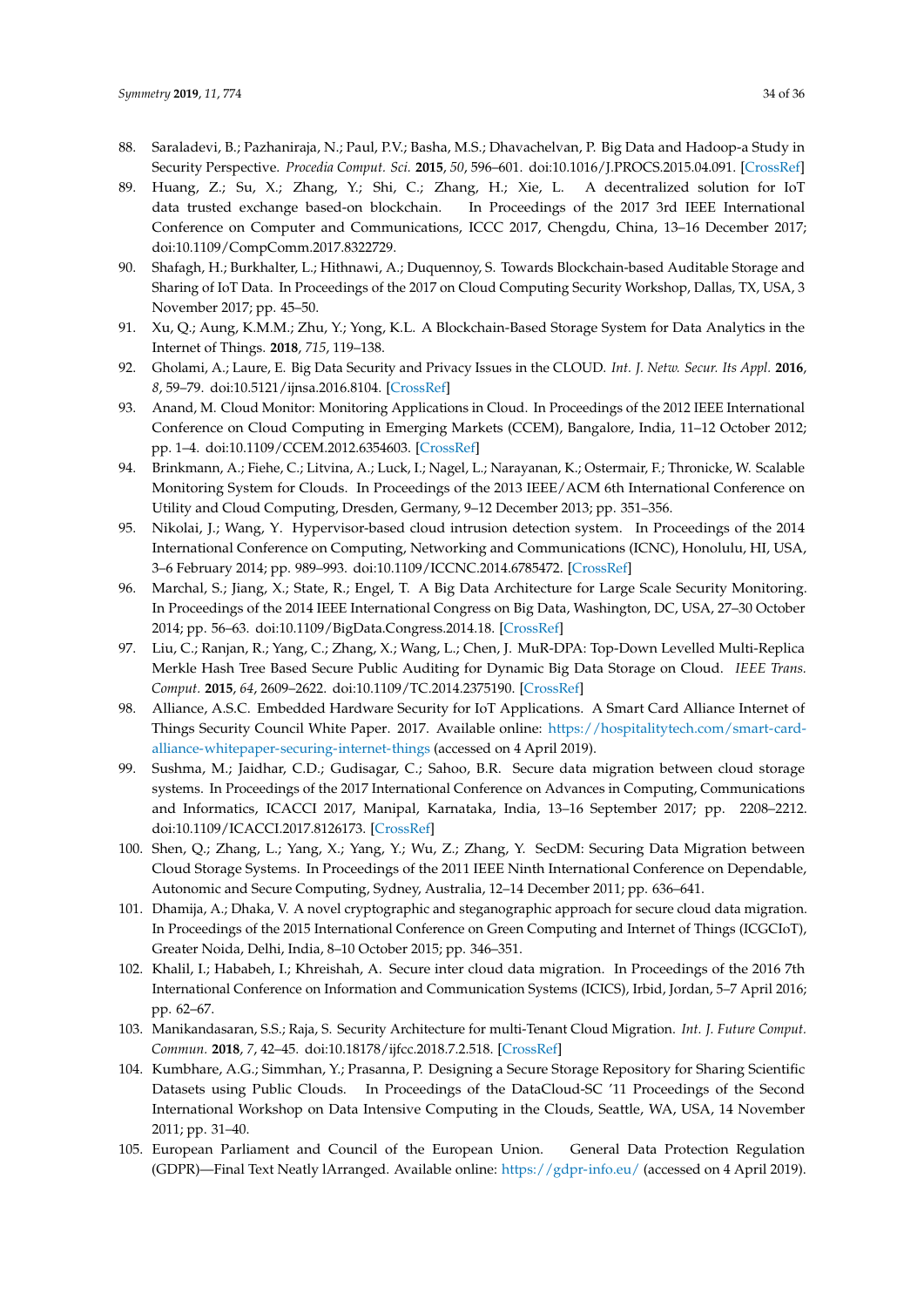- <span id="page-33-0"></span>88. Saraladevi, B.; Pazhaniraja, N.; Paul, P.V.; Basha, M.S.; Dhavachelvan, P. Big Data and Hadoop-a Study in Security Perspective. *Procedia Comput. Sci.* **2015**, *50*, 596–601. doi[:10.1016/J.PROCS.2015.04.091.](https://doi.org/10.1016/J.PROCS.2015.04.091) [\[CrossRef\]](http://dx.doi.org/10.1016/j.procs.2015.04.091)
- <span id="page-33-1"></span>89. Huang, Z.; Su, X.; Zhang, Y.; Shi, C.; Zhang, H.; Xie, L. A decentralized solution for IoT data trusted exchange based-on blockchain. In Proceedings of the 2017 3rd IEEE International Conference on Computer and Communications, ICCC 2017, Chengdu, China, 13–16 December 2017; doi[:10.1109/CompComm.2017.8322729.](https://doi.org/10.1109/CompComm.2017.8322729)
- <span id="page-33-3"></span>90. Shafagh, H.; Burkhalter, L.; Hithnawi, A.; Duquennoy, S. Towards Blockchain-based Auditable Storage and Sharing of IoT Data. In Proceedings of the 2017 on Cloud Computing Security Workshop, Dallas, TX, USA, 3 November 2017; pp. 45–50.
- <span id="page-33-2"></span>91. Xu, Q.; Aung, K.M.M.; Zhu, Y.; Yong, K.L. A Blockchain-Based Storage System for Data Analytics in the Internet of Things. **2018**, *715*, 119–138.
- <span id="page-33-4"></span>92. Gholami, A.; Laure, E. Big Data Security and Privacy Issues in the CLOUD. *Int. J. Netw. Secur. Its Appl.* **2016**, *8*, 59–79. doi[:10.5121/ijnsa.2016.8104.](https://doi.org/10.5121/ijnsa.2016.8104) [\[CrossRef\]](http://dx.doi.org/10.5121/ijnsa.2016.8104)
- <span id="page-33-5"></span>93. Anand, M. Cloud Monitor: Monitoring Applications in Cloud. In Proceedings of the 2012 IEEE International Conference on Cloud Computing in Emerging Markets (CCEM), Bangalore, India, 11–12 October 2012; pp. 1–4. doi[:10.1109/CCEM.2012.6354603.](https://doi.org/10.1109/CCEM.2012.6354603) [\[CrossRef\]](http://dx.doi.org/10.1109/CCEM.2012.6354603)
- <span id="page-33-6"></span>94. Brinkmann, A.; Fiehe, C.; Litvina, A.; Luck, I.; Nagel, L.; Narayanan, K.; Ostermair, F.; Thronicke, W. Scalable Monitoring System for Clouds. In Proceedings of the 2013 IEEE/ACM 6th International Conference on Utility and Cloud Computing, Dresden, Germany, 9–12 December 2013; pp. 351–356.
- <span id="page-33-7"></span>95. Nikolai, J.; Wang, Y. Hypervisor-based cloud intrusion detection system. In Proceedings of the 2014 International Conference on Computing, Networking and Communications (ICNC), Honolulu, HI, USA, 3–6 February 2014; pp. 989–993. doi[:10.1109/ICCNC.2014.6785472.](https://doi.org/10.1109/ICCNC.2014.6785472) [\[CrossRef\]](http://dx.doi.org/10.1109/ICCNC.2014.6785472)
- <span id="page-33-8"></span>96. Marchal, S.; Jiang, X.; State, R.; Engel, T. A Big Data Architecture for Large Scale Security Monitoring. In Proceedings of the 2014 IEEE International Congress on Big Data, Washington, DC, USA, 27–30 October 2014; pp. 56–63. doi[:10.1109/BigData.Congress.2014.18.](https://doi.org/10.1109/BigData.Congress.2014.18) [\[CrossRef\]](http://dx.doi.org/10.1109/BigData.Congress.2014.18)
- <span id="page-33-9"></span>97. Liu, C.; Ranjan, R.; Yang, C.; Zhang, X.; Wang, L.; Chen, J. MuR-DPA: Top-Down Levelled Multi-Replica Merkle Hash Tree Based Secure Public Auditing for Dynamic Big Data Storage on Cloud. *IEEE Trans. Comput.* **2015**, *64*, 2609–2622. doi[:10.1109/TC.2014.2375190.](https://doi.org/10.1109/TC.2014.2375190) [\[CrossRef\]](http://dx.doi.org/10.1109/TC.2014.2375190)
- <span id="page-33-10"></span>98. Alliance, A.S.C. Embedded Hardware Security for IoT Applications. A Smart Card Alliance Internet of Things Security Council White Paper. 2017. Available online: [https://hospitalitytech.com/smart-card](https://hospitalitytech.com/smart-card-alliance-whitepaper-securing-internet-things)[alliance-whitepaper-securing-internet-things](https://hospitalitytech.com/smart-card-alliance-whitepaper-securing-internet-things) (accessed on 4 April 2019).
- <span id="page-33-11"></span>99. Sushma, M.; Jaidhar, C.D.; Gudisagar, C.; Sahoo, B.R. Secure data migration between cloud storage systems. In Proceedings of the 2017 International Conference on Advances in Computing, Communications and Informatics, ICACCI 2017, Manipal, Karnataka, India, 13–16 September 2017; pp. 2208–2212. doi[:10.1109/ICACCI.2017.8126173.](https://doi.org/10.1109/ICACCI.2017.8126173) [\[CrossRef\]](http://dx.doi.org/10.1109/ICACCI.2017.8126173)
- <span id="page-33-12"></span>100. Shen, Q.; Zhang, L.; Yang, X.; Yang, Y.; Wu, Z.; Zhang, Y. SecDM: Securing Data Migration between Cloud Storage Systems. In Proceedings of the 2011 IEEE Ninth International Conference on Dependable, Autonomic and Secure Computing, Sydney, Australia, 12–14 December 2011; pp. 636–641.
- <span id="page-33-13"></span>101. Dhamija, A.; Dhaka, V. A novel cryptographic and steganographic approach for secure cloud data migration. In Proceedings of the 2015 International Conference on Green Computing and Internet of Things (ICGCIoT), Greater Noida, Delhi, India, 8–10 October 2015; pp. 346–351.
- <span id="page-33-16"></span>102. Khalil, I.; Hababeh, I.; Khreishah, A. Secure inter cloud data migration. In Proceedings of the 2016 7th International Conference on Information and Communication Systems (ICICS), Irbid, Jordan, 5–7 April 2016; pp. 62–67.
- <span id="page-33-14"></span>103. Manikandasaran, S.S.; Raja, S. Security Architecture for multi-Tenant Cloud Migration. *Int. J. Future Comput. Commun.* **2018**, *7*, 42–45. doi[:10.18178/ijfcc.2018.7.2.518.](https://doi.org/10.18178/ijfcc.2018.7.2.518) [\[CrossRef\]](http://dx.doi.org/10.18178/ijfcc.2018.7.2.518)
- <span id="page-33-15"></span>104. Kumbhare, A.G.; Simmhan, Y.; Prasanna, P. Designing a Secure Storage Repository for Sharing Scientific Datasets using Public Clouds. In Proceedings of the DataCloud-SC '11 Proceedings of the Second International Workshop on Data Intensive Computing in the Clouds, Seattle, WA, USA, 14 November 2011; pp. 31–40.
- <span id="page-33-17"></span>105. European Parliament and Council of the European Union. General Data Protection Regulation (GDPR)—Final Text Neatly lArranged. Available online: <https://gdpr-info.eu/> (accessed on 4 April 2019).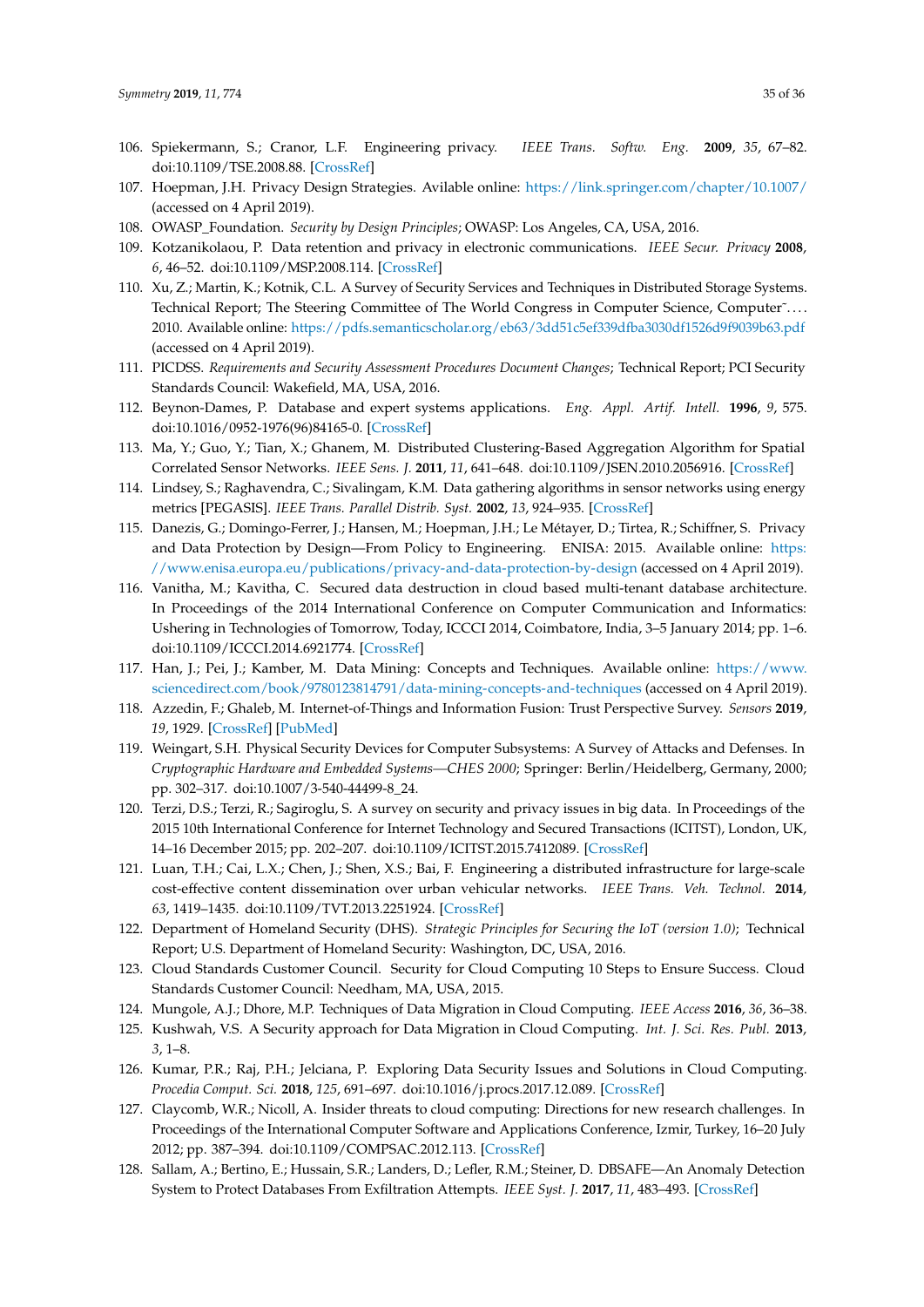- <span id="page-34-0"></span>106. Spiekermann, S.; Cranor, L.F. Engineering privacy. *IEEE Trans. Softw. Eng.* **2009**, *35*, 67–82. doi[:10.1109/TSE.2008.88.](https://doi.org/10.1109/TSE.2008.88) [\[CrossRef\]](http://dx.doi.org/10.1109/TSE.2008.88)
- <span id="page-34-1"></span>107. Hoepman, J.H. Privacy Design Strategies. Avilable online: <https://link.springer.com/chapter/10.1007/> (accessed on 4 April 2019).
- <span id="page-34-2"></span>108. OWASP\_Foundation. *Security by Design Principles*; OWASP: Los Angeles, CA, USA, 2016.
- <span id="page-34-3"></span>109. Kotzanikolaou, P. Data retention and privacy in electronic communications. *IEEE Secur. Privacy* **2008**, *6*, 46–52. doi[:10.1109/MSP.2008.114.](https://doi.org/10.1109/MSP.2008.114) [\[CrossRef\]](http://dx.doi.org/10.1109/MSP.2008.114)
- <span id="page-34-4"></span>110. Xu, Z.; Martin, K.; Kotnik, C.L. A Survey of Security Services and Techniques in Distributed Storage Systems. Technical Report; The Steering Committee of The World Congress in Computer Science, Computer˜. . . . 2010. Available online: <https://pdfs.semanticscholar.org/eb63/3dd51c5ef339dfba3030df1526d9f9039b63.pdf> (accessed on 4 April 2019).
- <span id="page-34-5"></span>111. PICDSS. *Requirements and Security Assessment Procedures Document Changes*; Technical Report; PCI Security Standards Council: Wakefield, MA, USA, 2016.
- <span id="page-34-6"></span>112. Beynon-Dames, P. Database and expert systems applications. *Eng. Appl. Artif. Intell.* **1996**, *9*, 575. doi[:10.1016/0952-1976\(96\)84165-0.](https://doi.org/10.1016/0952-1976(96)84165-0) [\[CrossRef\]](http://dx.doi.org/10.1016/0952-1976(96)84165-0)
- <span id="page-34-7"></span>113. Ma, Y.; Guo, Y.; Tian, X.; Ghanem, M. Distributed Clustering-Based Aggregation Algorithm for Spatial Correlated Sensor Networks. *IEEE Sens. J.* **2011**, *11*, 641–648. doi[:10.1109/JSEN.2010.2056916.](https://doi.org/10.1109/JSEN.2010.2056916) [\[CrossRef\]](http://dx.doi.org/10.1109/JSEN.2010.2056916)
- <span id="page-34-8"></span>114. Lindsey, S.; Raghavendra, C.; Sivalingam, K.M. Data gathering algorithms in sensor networks using energy metrics [PEGASIS]. *IEEE Trans. Parallel Distrib. Syst.* **2002**, *13*, 924–935. [\[CrossRef\]](http://dx.doi.org/10.1109/TPDS.2002.1036066)
- <span id="page-34-9"></span>115. Danezis, G.; Domingo-Ferrer, J.; Hansen, M.; Hoepman, J.H.; Le Métayer, D.; Tirtea, R.; Schiffner, S. Privacy and Data Protection by Design—From Policy to Engineering. ENISA: 2015. Available online: [https:](https://www.enisa.europa.eu/publications/privacy-and-data-protection-by-design) [//www.enisa.europa.eu/publications/privacy-and-data-protection-by-design](https://www.enisa.europa.eu/publications/privacy-and-data-protection-by-design) (accessed on 4 April 2019).
- <span id="page-34-10"></span>116. Vanitha, M.; Kavitha, C. Secured data destruction in cloud based multi-tenant database architecture. In Proceedings of the 2014 International Conference on Computer Communication and Informatics: Ushering in Technologies of Tomorrow, Today, ICCCI 2014, Coimbatore, India, 3–5 January 2014; pp. 1–6. doi[:10.1109/ICCCI.2014.6921774.](https://doi.org/10.1109/ICCCI.2014.6921774) [\[CrossRef\]](http://dx.doi.org/10.1109/ICCCI.2014.6921774)
- <span id="page-34-11"></span>117. Han, J.; Pei, J.; Kamber, M. Data Mining: Concepts and Techniques. Available online: [https://www.](https://www.sciencedirect.com/book/9780123814791/data-mining-concepts-and-techniques) [sciencedirect.com/book/9780123814791/data-mining-concepts-and-techniques](https://www.sciencedirect.com/book/9780123814791/data-mining-concepts-and-techniques) (accessed on 4 April 2019).
- <span id="page-34-12"></span>118. Azzedin, F.; Ghaleb, M. Internet-of-Things and Information Fusion: Trust Perspective Survey. *Sensors* **2019**, *19*, 1929. [\[CrossRef\]](http://dx.doi.org/10.3390/s19081929) [\[PubMed\]](http://www.ncbi.nlm.nih.gov/pubmed/31022920)
- <span id="page-34-13"></span>119. Weingart, S.H. Physical Security Devices for Computer Subsystems: A Survey of Attacks and Defenses. In *Cryptographic Hardware and Embedded Systems—CHES 2000*; Springer: Berlin/Heidelberg, Germany, 2000; pp. 302–317. doi[:10.1007/3-540-44499-8\\_24.](https://doi.org/10.1007/3-540-44499-8_24)
- <span id="page-34-14"></span>120. Terzi, D.S.; Terzi, R.; Sagiroglu, S. A survey on security and privacy issues in big data. In Proceedings of the 2015 10th International Conference for Internet Technology and Secured Transactions (ICITST), London, UK, 14–16 December 2015; pp. 202–207. doi[:10.1109/ICITST.2015.7412089.](https://doi.org/10.1109/ICITST.2015.7412089) [\[CrossRef\]](http://dx.doi.org/10.1109/ICITST.2015.7412089)
- <span id="page-34-15"></span>121. Luan, T.H.; Cai, L.X.; Chen, J.; Shen, X.S.; Bai, F. Engineering a distributed infrastructure for large-scale cost-effective content dissemination over urban vehicular networks. *IEEE Trans. Veh. Technol.* **2014**, *63*, 1419–1435. doi[:10.1109/TVT.2013.2251924.](https://doi.org/10.1109/TVT.2013.2251924) [\[CrossRef\]](http://dx.doi.org/10.1109/TVT.2013.2251924)
- <span id="page-34-16"></span>122. Department of Homeland Security (DHS). *Strategic Principles for Securing the IoT (version 1.0)*; Technical Report; U.S. Department of Homeland Security: Washington, DC, USA, 2016.
- <span id="page-34-17"></span>123. Cloud Standards Customer Council. Security for Cloud Computing 10 Steps to Ensure Success. Cloud Standards Customer Council: Needham, MA, USA, 2015.
- <span id="page-34-18"></span>124. Mungole, A.J.; Dhore, M.P. Techniques of Data Migration in Cloud Computing. *IEEE Access* **2016**, *36*, 36–38.
- <span id="page-34-19"></span>125. Kushwah, V.S. A Security approach for Data Migration in Cloud Computing. *Int. J. Sci. Res. Publ.* **2013**, *3*, 1–8.
- <span id="page-34-20"></span>126. Kumar, P.R.; Raj, P.H.; Jelciana, P. Exploring Data Security Issues and Solutions in Cloud Computing. *Procedia Comput. Sci.* **2018**, *125*, 691–697. doi[:10.1016/j.procs.2017.12.089.](https://doi.org/10.1016/j.procs.2017.12.089) [\[CrossRef\]](http://dx.doi.org/10.1016/j.procs.2017.12.089)
- <span id="page-34-21"></span>127. Claycomb, W.R.; Nicoll, A. Insider threats to cloud computing: Directions for new research challenges. In Proceedings of the International Computer Software and Applications Conference, Izmir, Turkey, 16–20 July 2012; pp. 387–394. doi[:10.1109/COMPSAC.2012.113.](https://doi.org/10.1109/COMPSAC.2012.113) [\[CrossRef\]](http://dx.doi.org/10.1109/COMPSAC.2012.113)
- <span id="page-34-22"></span>128. Sallam, A.; Bertino, E.; Hussain, S.R.; Landers, D.; Lefler, R.M.; Steiner, D. DBSAFE—An Anomaly Detection System to Protect Databases From Exfiltration Attempts. *IEEE Syst. J.* **2017**, *11*, 483–493. [\[CrossRef\]](http://dx.doi.org/10.1109/JSYST.2015.2487221)